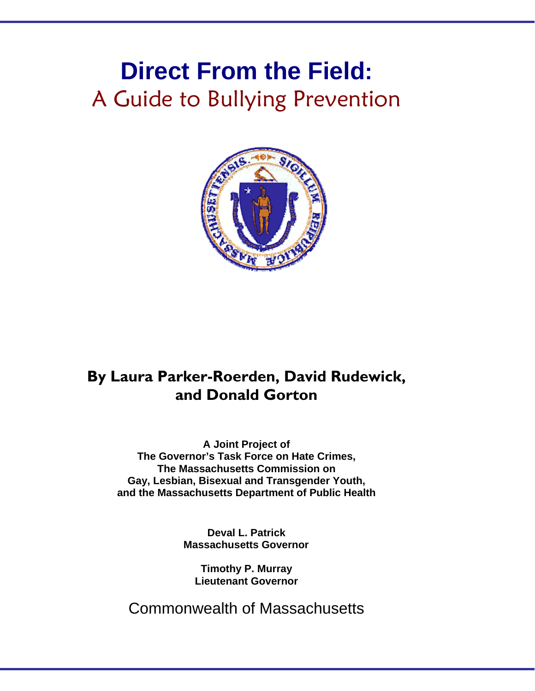# **Direct From the Field:**  A Guide to Bullying Prevention



## **By Laura Parker-Roerden, David Rudewick, and Donald Gorton**

**A Joint Project of The Governor's Task Force on Hate Crimes, The Massachusetts Commission on Gay, Lesbian, Bisexual and Transgender Youth, and the Massachusetts Department of Public Health** 

> **Deval L. Patrick Massachusetts Governor**

**Timothy P. Murray Lieutenant Governor** 

Commonwealth of Massachusetts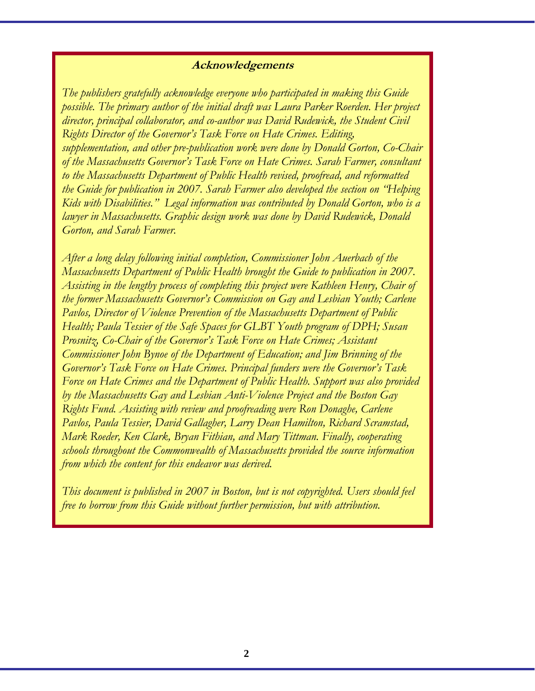#### **Acknowledgements**

*The publishers gratefully acknowledge everyone who participated in making this Guide possible. The primary author of the initial draft was Laura Parker Roerden. Her project director, principal collaborator, and co-author was David Rudewick, the Student Civil Rights Director of the Governor's Task Force on Hate Crimes. Editing, supplementation, and other pre-publication work were done by Donald Gorton, Co-Chair of the Massachusetts Governor's Task Force on Hate Crimes. Sarah Farmer, consultant to the Massachusetts Department of Public Health revised, proofread, and reformatted the Guide for publication in 2007. Sarah Farmer also developed the section on "Helping Kids with Disabilities." Legal information was contributed by Donald Gorton, who is a lawyer in Massachusetts. Graphic design work was done by David Rudewick, Donald Gorton, and Sarah Farmer.* 

*After a long delay following initial completion, Commissioner John Auerbach of the Massachusetts Department of Public Health brought the Guide to publication in 2007. Assisting in the lengthy process of completing this project were Kathleen Henry, Chair of the former Massachusetts Governor's Commission on Gay and Lesbian Youth; Carlene Pavlos, Director of Violence Prevention of the Massachusetts Department of Public Health; Paula Tessier of the Safe Spaces for GLBT Youth program of DPH; Susan Prosnitz, Co-Chair of the Governor's Task Force on Hate Crimes; Assistant Commissioner John Bynoe of the Department of Education; and Jim Brinning of the Governor's Task Force on Hate Crimes. Principal funders were the Governor's Task Force on Hate Crimes and the Department of Public Health. Support was also provided by the Massachusetts Gay and Lesbian Anti-Violence Project and the Boston Gay Rights Fund. Assisting with review and proofreading were Ron Donaghe, Carlene Pavlos, Paula Tessier, David Gallagher, Larry Dean Hamilton, Richard Scramstad, Mark Roeder, Ken Clark, Bryan Fithian, and Mary Tittman. Finally, cooperating schools throughout the Commonwealth of Massachusetts provided the source information from which the content for this endeavor was derived.* 

*This document is published in 2007 in Boston, but is not copyrighted. Users should feel free to borrow from this Guide without further permission, but with attribution.*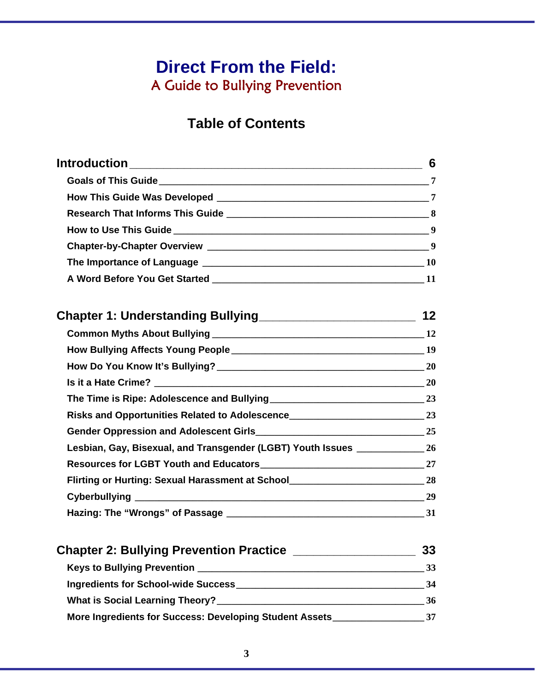## **Direct From the Field:**  A Guide to Bullying Prevention

## **Table of Contents**

|                                                                                     | 6  |
|-------------------------------------------------------------------------------------|----|
|                                                                                     |    |
|                                                                                     |    |
|                                                                                     |    |
|                                                                                     |    |
|                                                                                     |    |
|                                                                                     |    |
|                                                                                     |    |
|                                                                                     |    |
|                                                                                     |    |
|                                                                                     |    |
|                                                                                     |    |
|                                                                                     |    |
|                                                                                     |    |
|                                                                                     |    |
|                                                                                     |    |
| Lesbian, Gay, Bisexual, and Transgender (LGBT) Youth Issues _______________ 26      |    |
|                                                                                     |    |
| Flirting or Hurting: Sexual Harassment at School_________________________________28 |    |
|                                                                                     |    |
|                                                                                     |    |
|                                                                                     |    |
|                                                                                     |    |
|                                                                                     |    |
|                                                                                     | 36 |

|  | More Ingredients for Success: Developing Student Assets |  |
|--|---------------------------------------------------------|--|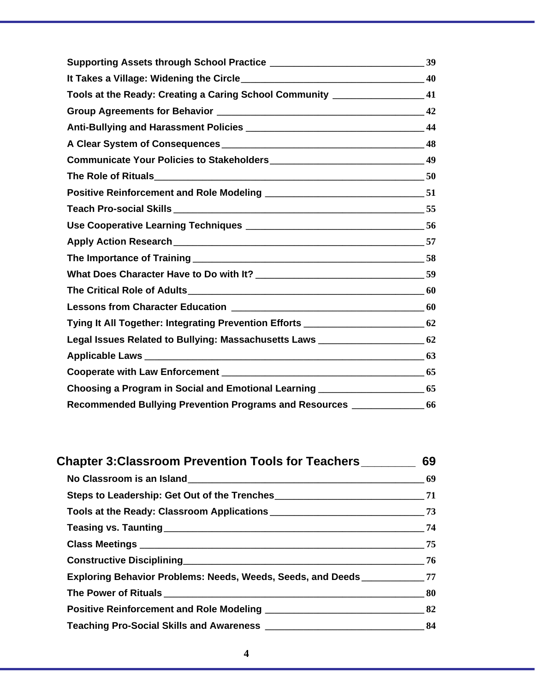| Tools at the Ready: Creating a Caring School Community _______________________41   |  |
|------------------------------------------------------------------------------------|--|
|                                                                                    |  |
|                                                                                    |  |
|                                                                                    |  |
|                                                                                    |  |
|                                                                                    |  |
|                                                                                    |  |
|                                                                                    |  |
|                                                                                    |  |
| Apply Action Research 57                                                           |  |
|                                                                                    |  |
|                                                                                    |  |
|                                                                                    |  |
|                                                                                    |  |
| Tying It All Together: Integrating Prevention Efforts __________________________62 |  |
| Legal Issues Related to Bullying: Massachusetts Laws __________________________62  |  |
|                                                                                    |  |
|                                                                                    |  |
| Choosing a Program in Social and Emotional Learning __________________________65   |  |
| Recommended Bullying Prevention Programs and Resources _______________ 66          |  |

| Chapter 3: Classroom Prevention Tools for Teachers ________                      | 69               |
|----------------------------------------------------------------------------------|------------------|
|                                                                                  |                  |
|                                                                                  |                  |
|                                                                                  |                  |
|                                                                                  | 74               |
|                                                                                  | $\frac{1}{2}$ 75 |
|                                                                                  | 76               |
| Exploring Behavior Problems: Needs, Weeds, Seeds, and Deeds __________________77 |                  |
|                                                                                  | 80               |
|                                                                                  |                  |
|                                                                                  |                  |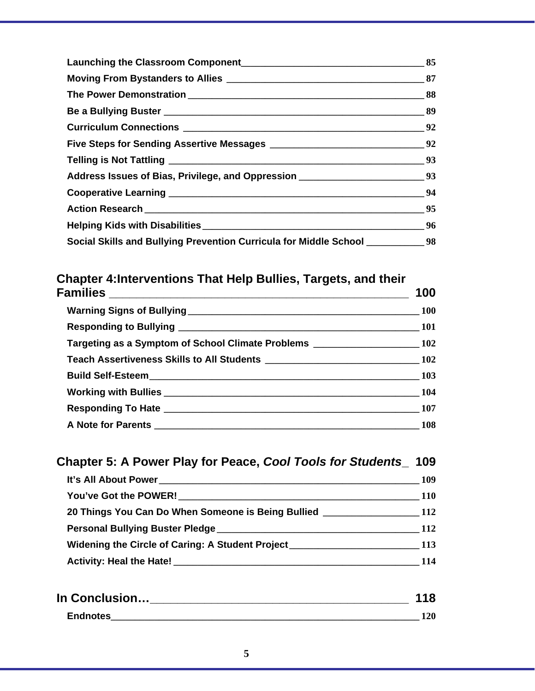| Address Issues of Bias, Privilege, and Oppression ______________________________93 |                                                          |
|------------------------------------------------------------------------------------|----------------------------------------------------------|
|                                                                                    | $\frac{1}{\sqrt{1-\frac{1}{2}}}\frac{94}{1-\frac{1}{2}}$ |
|                                                                                    |                                                          |
|                                                                                    |                                                          |
| Social Skills and Bullying Prevention Curricula for Middle School ___________98    |                                                          |

## **Chapter 4:Interventions That Help Bullies, Targets, and their**

| 100                                                                                  |
|--------------------------------------------------------------------------------------|
|                                                                                      |
|                                                                                      |
| Targeting as a Symptom of School Climate Problems ______________________________ 102 |
|                                                                                      |
|                                                                                      |
|                                                                                      |
|                                                                                      |
|                                                                                      |
|                                                                                      |

| Chapter 5: A Power Play for Peace, Cool Tools for Students 109                                        |            |
|-------------------------------------------------------------------------------------------------------|------------|
|                                                                                                       | 109        |
|                                                                                                       | <b>110</b> |
| 20 Things You Can Do When Someone is Being Bullied 20 Things You Can Do When Someone is Being Bullied |            |
|                                                                                                       | <b>112</b> |
| Widening the Circle of Caring: A Student Project _______________________________113                   |            |
|                                                                                                       | 114        |
|                                                                                                       |            |

| In Conclusion   |  |
|-----------------|--|
| <b>Endnotes</b> |  |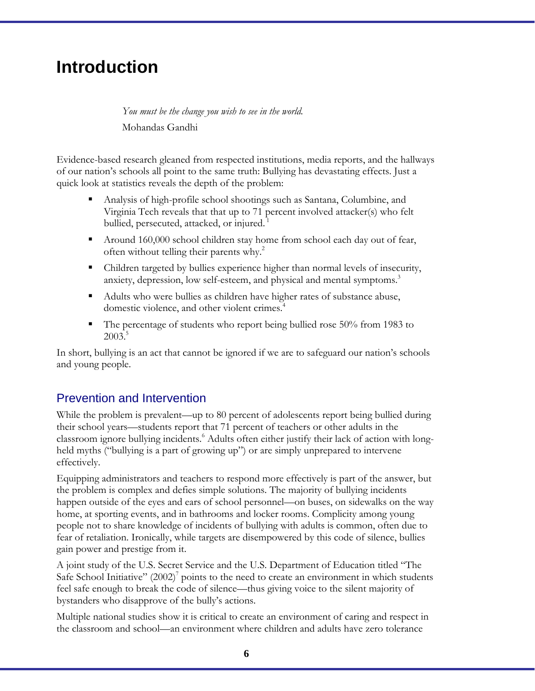## **Introduction**

*You must be the change you wish to see in the world.*  Mohandas Gandhi

Evidence-based research gleaned from respected institutions, media reports, and the hallways of our nation's schools all point to the same truth: Bullying has devastating effects. Just a quick look at statistics reveals the depth of the problem:

- Analysis of high-profile school shootings such as Santana, Columbine, and Virginia Tech reveals that that up to 71 percent involved attacker(s) who felt bullied, persecuted, attacked, or injured.<sup>1</sup>
- Around 160,000 school children stay home from school each day out of fear, often without telling their parents why.<sup>2</sup>
- Children targeted by bullies experience higher than normal levels of insecurity, anxiety, depression, low self-esteem, and physical and mental symptoms.<sup>3</sup>
- Adults who were bullies as children have higher rates of substance abuse, domestic violence, and other violent crimes.<sup>4</sup>
- The percentage of students who report being bullied rose 50% from 1983 to  $2003.<sup>5</sup>$

In short, bullying is an act that cannot be ignored if we are to safeguard our nation's schools and young people.

### Prevention and Intervention

While the problem is prevalent—up to 80 percent of adolescents report being bullied during their school years––students report that 71 percent of teachers or other adults in the classroom ignore bullying incidents.<sup>6</sup> Adults often either justify their lack of action with longheld myths ("bullying is a part of growing up") or are simply unprepared to intervene effectively.

Equipping administrators and teachers to respond more effectively is part of the answer, but the problem is complex and defies simple solutions. The majority of bullying incidents happen outside of the eyes and ears of school personnel—on buses, on sidewalks on the way home, at sporting events, and in bathrooms and locker rooms. Complicity among young people not to share knowledge of incidents of bullying with adults is common, often due to fear of retaliation. Ironically, while targets are disempowered by this code of silence, bullies gain power and prestige from it.

A joint study of the U.S. Secret Service and the U.S. Department of Education titled "The Safe School Initiative"  $(2002)^7$  points to the need to create an environment in which students feel safe enough to break the code of silence—thus giving voice to the silent majority of bystanders who disapprove of the bully's actions.

Multiple national studies show it is critical to create an environment of caring and respect in the classroom and school––an environment where children and adults have zero tolerance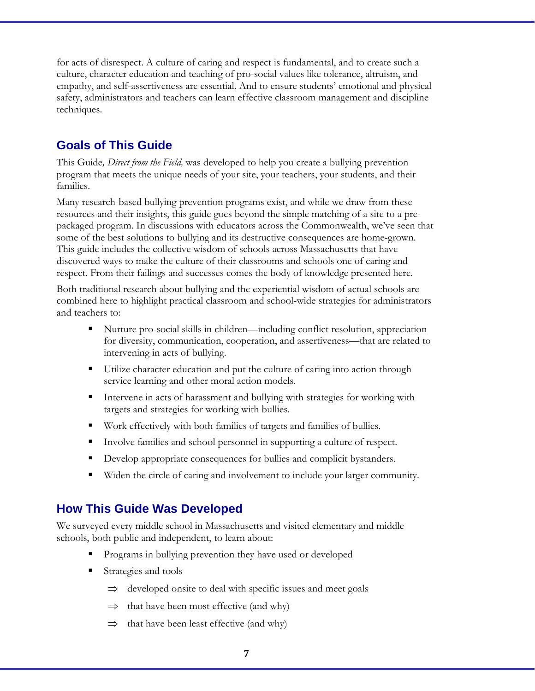for acts of disrespect. A culture of caring and respect is fundamental, and to create such a culture, character education and teaching of pro-social values like tolerance, altruism, and empathy, and self-assertiveness are essential. And to ensure students' emotional and physical safety, administrators and teachers can learn effective classroom management and discipline techniques.

### **Goals of This Guide**

This Guide*, Direct from the Field,* was developed to help you create a bullying prevention program that meets the unique needs of your site, your teachers, your students, and their families.

Many research-based bullying prevention programs exist, and while we draw from these resources and their insights, this guide goes beyond the simple matching of a site to a prepackaged program. In discussions with educators across the Commonwealth, we've seen that some of the best solutions to bullying and its destructive consequences are home-grown. This guide includes the collective wisdom of schools across Massachusetts that have discovered ways to make the culture of their classrooms and schools one of caring and respect. From their failings and successes comes the body of knowledge presented here.

Both traditional research about bullying and the experiential wisdom of actual schools are combined here to highlight practical classroom and school-wide strategies for administrators and teachers to:

- Nurture pro-social skills in children—including conflict resolution, appreciation for diversity, communication, cooperation, and assertiveness––that are related to intervening in acts of bullying.
- Utilize character education and put the culture of caring into action through service learning and other moral action models.
- Intervene in acts of harassment and bullying with strategies for working with targets and strategies for working with bullies.
- Work effectively with both families of targets and families of bullies.
- Involve families and school personnel in supporting a culture of respect.
- Develop appropriate consequences for bullies and complicit bystanders.
- Widen the circle of caring and involvement to include your larger community.

#### **How This Guide Was Developed**

We surveyed every middle school in Massachusetts and visited elementary and middle schools, both public and independent, to learn about:

- Programs in bullying prevention they have used or developed
- Strategies and tools
	- $\Rightarrow$  developed onsite to deal with specific issues and meet goals
	- $\Rightarrow$  that have been most effective (and why)
	- $\Rightarrow$  that have been least effective (and why)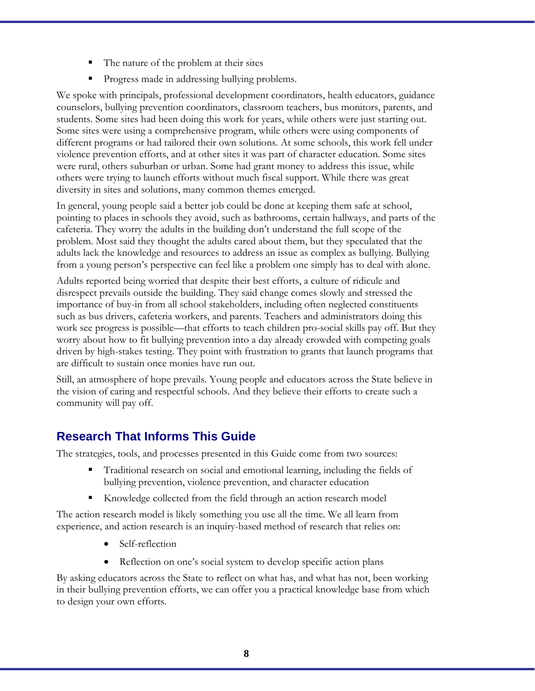- The nature of the problem at their sites
- **Progress made in addressing bullying problems.**

We spoke with principals, professional development coordinators, health educators, guidance counselors, bullying prevention coordinators, classroom teachers, bus monitors, parents, and students. Some sites had been doing this work for years, while others were just starting out. Some sites were using a comprehensive program, while others were using components of different programs or had tailored their own solutions. At some schools, this work fell under violence prevention efforts, and at other sites it was part of character education. Some sites were rural, others suburban or urban. Some had grant money to address this issue, while others were trying to launch efforts without much fiscal support. While there was great diversity in sites and solutions, many common themes emerged.

In general, young people said a better job could be done at keeping them safe at school, pointing to places in schools they avoid, such as bathrooms, certain hallways, and parts of the cafeteria. They worry the adults in the building don't understand the full scope of the problem. Most said they thought the adults cared about them, but they speculated that the adults lack the knowledge and resources to address an issue as complex as bullying. Bullying from a young person's perspective can feel like a problem one simply has to deal with alone.

Adults reported being worried that despite their best efforts, a culture of ridicule and disrespect prevails outside the building. They said change comes slowly and stressed the importance of buy-in from all school stakeholders, including often neglected constituents such as bus drivers, cafeteria workers, and parents. Teachers and administrators doing this work see progress is possible—that efforts to teach children pro-social skills pay off. But they worry about how to fit bullying prevention into a day already crowded with competing goals driven by high-stakes testing. They point with frustration to grants that launch programs that are difficult to sustain once monies have run out.

Still, an atmosphere of hope prevails. Young people and educators across the State believe in the vision of caring and respectful schools. And they believe their efforts to create such a community will pay off.

### **Research That Informs This Guide**

The strategies, tools, and processes presented in this Guide come from two sources:

- Traditional research on social and emotional learning, including the fields of bullying prevention, violence prevention, and character education
- Knowledge collected from the field through an action research model

The action research model is likely something you use all the time. We all learn from experience, and action research is an inquiry-based method of research that relies on:

- Self-reflection
- Reflection on one's social system to develop specific action plans

By asking educators across the State to reflect on what has, and what has not, been working in their bullying prevention efforts, we can offer you a practical knowledge base from which to design your own efforts.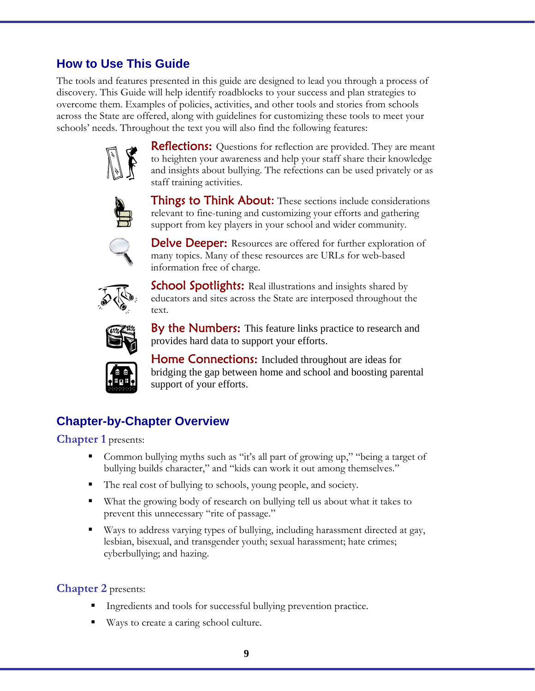### **How to Use This Guide**

The tools and features presented in this guide are designed to lead you through a process of discovery. This Guide will help identify roadblocks to your success and plan strategies to overcome them. Examples of policies, activities, and other tools and stories from schools across the State are offered, along with guidelines for customizing these tools to meet your schools' needs. Throughout the text you will also find the following features:



**Reflections:** Questions for reflection are provided. They are meant to heighten your awareness and help your staff share their knowledge and insights about bullying. The refections can be used privately or as staff training activities.



**Things to Think About:** These sections include considerations relevant to fine-tuning and customizing your efforts and gathering support from key players in your school and wider community.



**Delve Deeper:** Resources are offered for further exploration of many topics. Many of these resources are URLs for web-based information free of charge.



**School Spotlights:** Real illustrations and insights shared by educators and sites across the State are interposed throughout the text.



By the Numbers: This feature links practice to research and provides hard data to support your efforts.



Home Connections: Included throughout are ideas for bridging the gap between home and school and boosting parental support of your efforts.

### **Chapter-by-Chapter Overview**

**Chapter 1** presents:

- Common bullying myths such as "it's all part of growing up," "being a target of bullying builds character," and "kids can work it out among themselves."
- The real cost of bullying to schools, young people, and society.
- What the growing body of research on bullying tell us about what it takes to prevent this unnecessary "rite of passage."
- Ways to address varying types of bullying, including harassment directed at gay, lesbian, bisexual, and transgender youth; sexual harassment; hate crimes; cyberbullying; and hazing.

#### **Chapter 2** presents:

- Ingredients and tools for successful bullying prevention practice.
- Ways to create a caring school culture.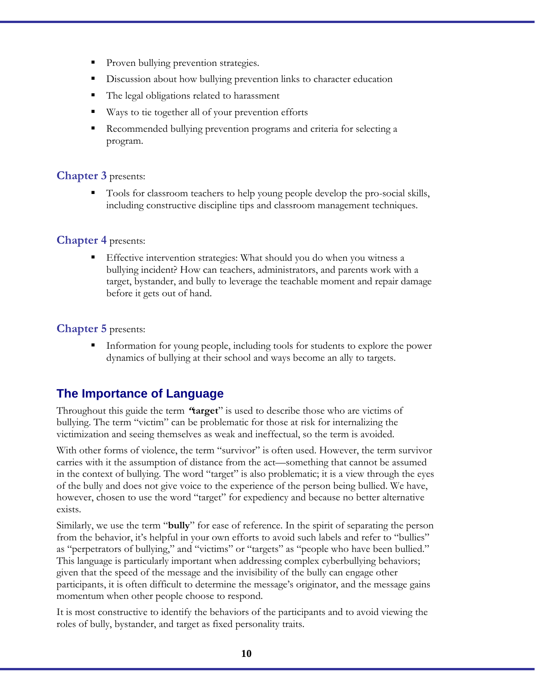- Proven bullying prevention strategies.
- Discussion about how bullying prevention links to character education
- The legal obligations related to harassment
- Ways to tie together all of your prevention efforts
- Recommended bullying prevention programs and criteria for selecting a program.

#### **Chapter 3** presents:

 Tools for classroom teachers to help young people develop the pro-social skills, including constructive discipline tips and classroom management techniques.

#### **Chapter 4** presents:

 Effective intervention strategies: What should you do when you witness a bullying incident? How can teachers, administrators, and parents work with a target, bystander, and bully to leverage the teachable moment and repair damage before it gets out of hand.

#### **Chapter 5** presents:

 Information for young people, including tools for students to explore the power dynamics of bullying at their school and ways become an ally to targets.

### **The Importance of Language**

Throughout this guide the term **"target**" is used to describe those who are victims of bullying. The term "victim" can be problematic for those at risk for internalizing the victimization and seeing themselves as weak and ineffectual, so the term is avoided.

With other forms of violence, the term "survivor" is often used. However, the term survivor carries with it the assumption of distance from the act—something that cannot be assumed in the context of bullying. The word "target" is also problematic; it is a view through the eyes of the bully and does not give voice to the experience of the person being bullied. We have, however, chosen to use the word "target" for expediency and because no better alternative exists.

Similarly, we use the term "**bully**" for ease of reference. In the spirit of separating the person from the behavior, it's helpful in your own efforts to avoid such labels and refer to "bullies" as "perpetrators of bullying," and "victims" or "targets" as "people who have been bullied." This language is particularly important when addressing complex cyberbullying behaviors; given that the speed of the message and the invisibility of the bully can engage other participants, it is often difficult to determine the message's originator, and the message gains momentum when other people choose to respond.

It is most constructive to identify the behaviors of the participants and to avoid viewing the roles of bully, bystander, and target as fixed personality traits.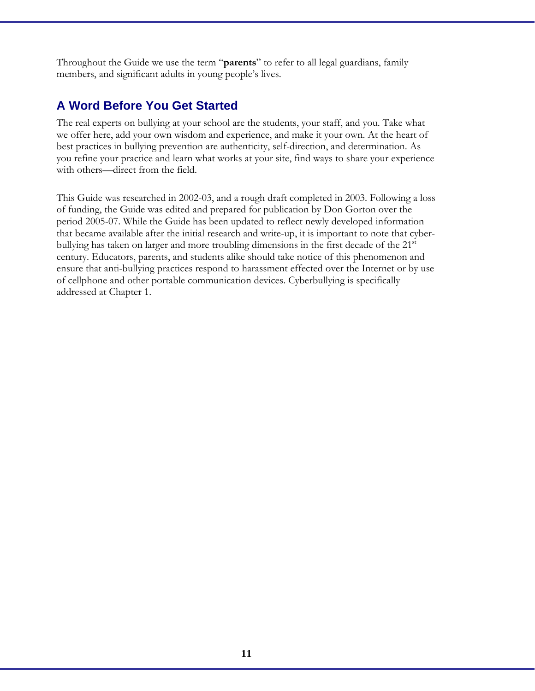Throughout the Guide we use the term "**parents**" to refer to all legal guardians, family members, and significant adults in young people's lives.

### **A Word Before You Get Started**

The real experts on bullying at your school are the students, your staff, and you. Take what we offer here, add your own wisdom and experience, and make it your own. At the heart of best practices in bullying prevention are authenticity, self-direction, and determination. As you refine your practice and learn what works at your site, find ways to share your experience with others—direct from the field.

This Guide was researched in 2002-03, and a rough draft completed in 2003. Following a loss of funding, the Guide was edited and prepared for publication by Don Gorton over the period 2005-07. While the Guide has been updated to reflect newly developed information that became available after the initial research and write-up, it is important to note that cyberbullying has taken on larger and more troubling dimensions in the first decade of the  $21<sup>st</sup>$ century. Educators, parents, and students alike should take notice of this phenomenon and ensure that anti-bullying practices respond to harassment effected over the Internet or by use of cellphone and other portable communication devices. Cyberbullying is specifically addressed at Chapter 1.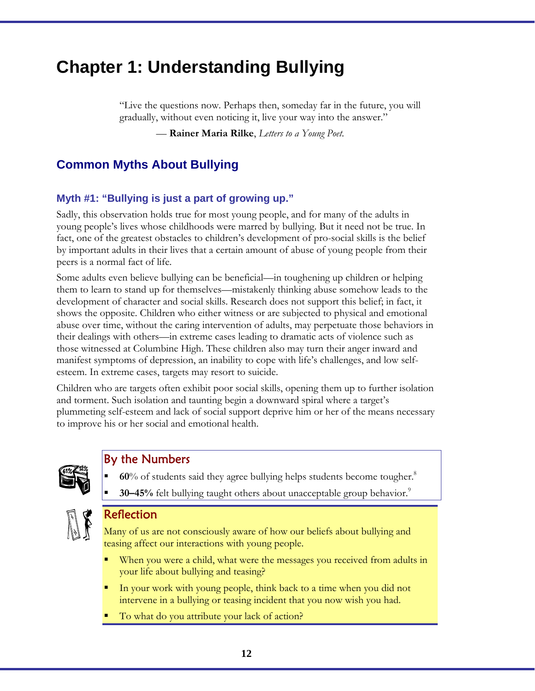## **Chapter 1: Understanding Bullying**

"Live the questions now. Perhaps then, someday far in the future, you will gradually, without even noticing it, live your way into the answer."

— **Rainer Maria Rilke**, *Letters to a Young Poet*.

### **Common Myths About Bullying**

#### **Myth #1: "Bullying is just a part of growing up."**

Sadly, this observation holds true for most young people, and for many of the adults in young people's lives whose childhoods were marred by bullying. But it need not be true. In fact, one of the greatest obstacles to children's development of pro-social skills is the belief by important adults in their lives that a certain amount of abuse of young people from their peers is a normal fact of life.

Some adults even believe bullying can be beneficial—in toughening up children or helping them to learn to stand up for themselves—mistakenly thinking abuse somehow leads to the development of character and social skills. Research does not support this belief; in fact, it shows the opposite. Children who either witness or are subjected to physical and emotional abuse over time, without the caring intervention of adults, may perpetuate those behaviors in their dealings with others—in extreme cases leading to dramatic acts of violence such as those witnessed at Columbine High. These children also may turn their anger inward and manifest symptoms of depression, an inability to cope with life's challenges, and low selfesteem. In extreme cases, targets may resort to suicide.

Children who are targets often exhibit poor social skills, opening them up to further isolation and torment. Such isolation and taunting begin a downward spiral where a target's plummeting self-esteem and lack of social support deprive him or her of the means necessary to improve his or her social and emotional health.



#### By the Numbers

- **60**% of students said they agree bullying helps students become tougher.<sup>8</sup>
- **30–45%** felt bullying taught others about unacceptable group behavior.<sup>9</sup>



#### Reflection

Many of us are not consciously aware of how our beliefs about bullying and teasing affect our interactions with young people.

- When you were a child, what were the messages you received from adults in your life about bullying and teasing?
- In your work with young people, think back to a time when you did not intervene in a bullying or teasing incident that you now wish you had.
- To what do you attribute your lack of action?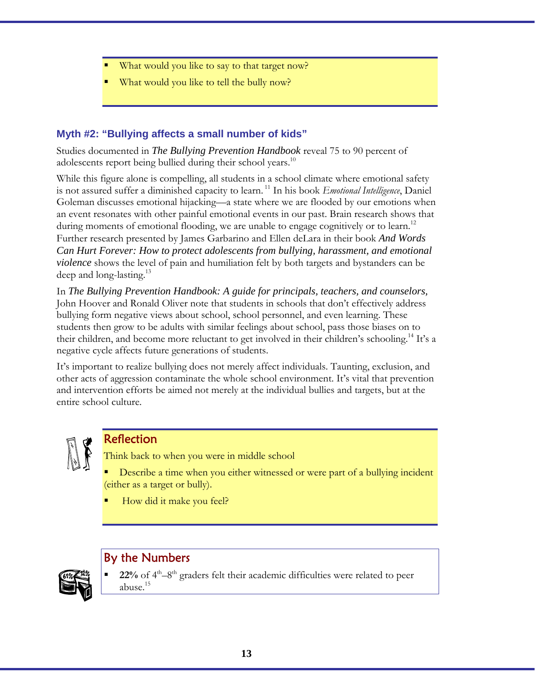- What would you like to say to that target now?
- What would you like to tell the bully now?

#### **Myth #2: "Bullying affects a small number of kids"**

Studies documented in *The Bullying Prevention Handbook* reveal 75 to 90 percent of adolescents report being bullied during their school years.<sup>10</sup>

While this figure alone is compelling, all students in a school climate where emotional safety is not assured suffer a diminished capacity to learn. 11 In his book *Emotional Intelligence*, Daniel Goleman discusses emotional hijacking––a state where we are flooded by our emotions when an event resonates with other painful emotional events in our past. Brain research shows that during moments of emotional flooding, we are unable to engage cognitively or to learn.<sup>12</sup> Further research presented by James Garbarino and Ellen deLara in their book *And Words Can Hurt Forever: How to protect adolescents from bullying, harassment, and emotional violence* shows the level of pain and humiliation felt by both targets and bystanders can be deep and long-lasting.<sup>13</sup>

In *The Bullying Prevention Handbook: A guide for principals, teachers, and counselors,* John Hoover and Ronald Oliver note that students in schools that don't effectively address bullying form negative views about school, school personnel, and even learning. These students then grow to be adults with similar feelings about school, pass those biases on to their children, and become more reluctant to get involved in their children's schooling.<sup>14</sup> It's a negative cycle affects future generations of students.

It's important to realize bullying does not merely affect individuals. Taunting, exclusion, and other acts of aggression contaminate the whole school environment. It's vital that prevention and intervention efforts be aimed not merely at the individual bullies and targets, but at the entire school culture.



### Reflection

Think back to when you were in middle school

- Describe a time when you either witnessed or were part of a bullying incident (either as a target or bully).
- How did it make you feel?

### By the Numbers



 $22\%$  of  $4<sup>th</sup>-8<sup>th</sup>$  graders felt their academic difficulties were related to peer abuse.15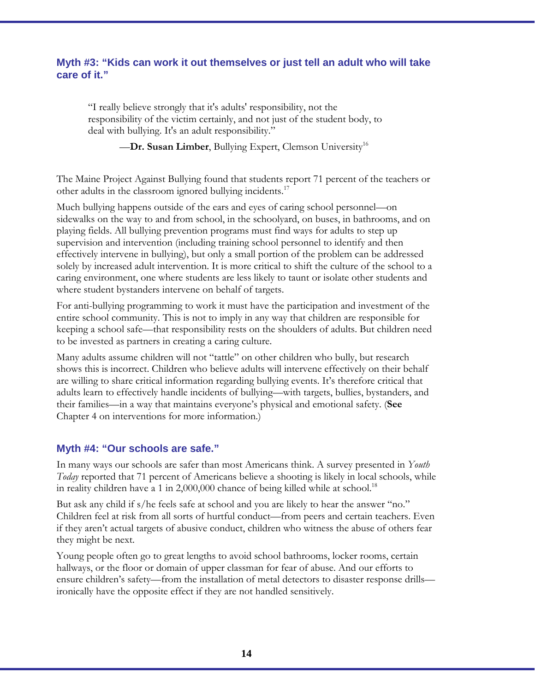#### **Myth #3: "Kids can work it out themselves or just tell an adult who will take care of it."**

"I really believe strongly that it's adults' responsibility, not the responsibility of the victim certainly, and not just of the student body, to deal with bullying. It's an adult responsibility."

**—Dr. Susan Limber, Bullying Expert, Clemson University**<sup>16</sup>

The Maine Project Against Bullying found that students report 71 percent of the teachers or other adults in the classroom ignored bullying incidents.<sup>17</sup>

Much bullying happens outside of the ears and eyes of caring school personnel—on sidewalks on the way to and from school, in the schoolyard, on buses, in bathrooms, and on playing fields. All bullying prevention programs must find ways for adults to step up supervision and intervention (including training school personnel to identify and then effectively intervene in bullying), but only a small portion of the problem can be addressed solely by increased adult intervention. It is more critical to shift the culture of the school to a caring environment, one where students are less likely to taunt or isolate other students and where student bystanders intervene on behalf of targets.

For anti-bullying programming to work it must have the participation and investment of the entire school community. This is not to imply in any way that children are responsible for keeping a school safe—that responsibility rests on the shoulders of adults. But children need to be invested as partners in creating a caring culture.

Many adults assume children will not "tattle" on other children who bully, but research shows this is incorrect. Children who believe adults will intervene effectively on their behalf are willing to share critical information regarding bullying events. It's therefore critical that adults learn to effectively handle incidents of bullying—with targets, bullies, bystanders, and their families—in a way that maintains everyone's physical and emotional safety. (**See** Chapter 4 on interventions for more information.)

#### **Myth #4: "Our schools are safe."**

In many ways our schools are safer than most Americans think. A survey presented in *Youth Today* reported that 71 percent of Americans believe a shooting is likely in local schools, while in reality children have a 1 in 2,000,000 chance of being killed while at school.<sup>18</sup>

But ask any child if s/he feels safe at school and you are likely to hear the answer "no." Children feel at risk from all sorts of hurtful conduct—from peers and certain teachers. Even if they aren't actual targets of abusive conduct, children who witness the abuse of others fear they might be next.

Young people often go to great lengths to avoid school bathrooms, locker rooms, certain hallways, or the floor or domain of upper classman for fear of abuse. And our efforts to ensure children's safety—from the installation of metal detectors to disaster response drills ironically have the opposite effect if they are not handled sensitively.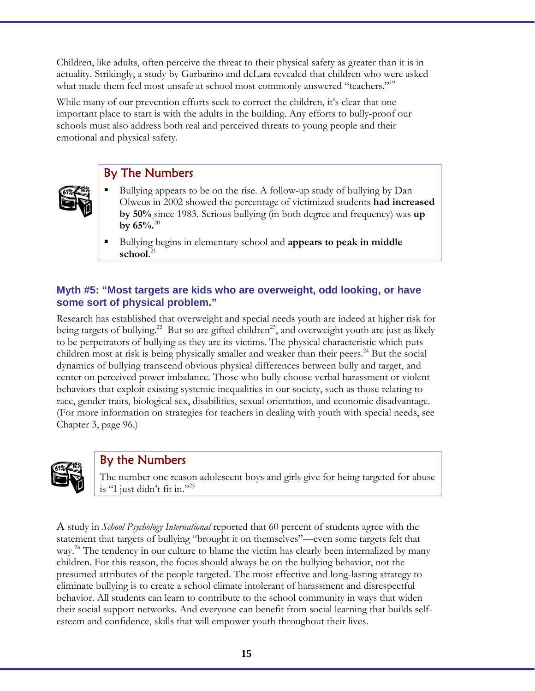Children, like adults, often perceive the threat to their physical safety as greater than it is in actuality. Strikingly, a study by Garbarino and deLara revealed that children who were asked what made them feel most unsafe at school most commonly answered "teachers."<sup>19</sup>

While many of our prevention efforts seek to correct the children, it's clear that one important place to start is with the adults in the building. Any efforts to bully-proof our schools must also address both real and perceived threats to young people and their emotional and physical safety.

### By The Numbers

- Bullying appears to be on the rise. A follow-up study of bullying by Dan Olweus in 2002 showed the percentage of victimized students **had increased by 50%** since 1983. Serious bullying (in both degree and frequency) was **up by 65%.**<sup>20</sup>
- Bullying begins in elementary school and **appears to peak in middle school**. 21

#### **Myth #5: "Most targets are kids who are overweight, odd looking, or have some sort of physical problem."**

Research has established that overweight and special needs youth are indeed at higher risk for being targets of bullying.<sup>22</sup> But so are gifted children<sup>23</sup>, and overweight youth are just as likely to be perpetrators of bullying as they are its victims. The physical characteristic which puts children most at risk is being physically smaller and weaker than their peers.<sup>24</sup> But the social dynamics of bullying transcend obvious physical differences between bully and target, and center on perceived power imbalance. Those who bully choose verbal harassment or violent behaviors that exploit existing systemic inequalities in our society, such as those relating to race, gender traits, biological sex, disabilities, sexual orientation, and economic disadvantage. (For more information on strategies for teachers in dealing with youth with special needs, see Chapter 3, page 96.)



### By the Numbers

The number one reason adolescent boys and girls give for being targeted for abuse is "I just didn't fit in."25

A study in *School Psychology International* reported that 60 percent of students agree with the statement that targets of bullying "brought it on themselves"––even some targets felt that way.<sup>26</sup> The tendency in our culture to blame the victim has clearly been internalized by many children. For this reason, the focus should always be on the bullying behavior, not the presumed attributes of the people targeted. The most effective and long-lasting strategy to eliminate bullying is to create a school climate intolerant of harassment and disrespectful behavior. All students can learn to contribute to the school community in ways that widen their social support networks. And everyone can benefit from social learning that builds selfesteem and confidence, skills that will empower youth throughout their lives.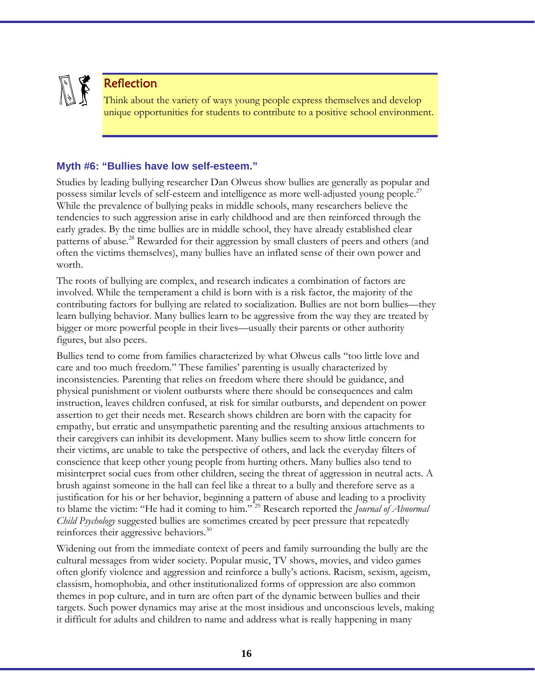

### Reflection

Think about the variety of ways young people express themselves and develop unique opportunities for students to contribute to a positive school environment.

#### **Myth #6: "Bullies have low self-esteem."**

Studies by leading bullying researcher Dan Olweus show bullies are generally as popular and possess similar levels of self-esteem and intelligence as more well-adjusted young people.<sup>27</sup> While the prevalence of bullying peaks in middle schools, many researchers believe the tendencies to such aggression arise in early childhood and are then reinforced through the early grades. By the time bullies are in middle school, they have already established clear patterns of abuse.<sup>28</sup> Rewarded for their aggression by small clusters of peers and others (and often the victims themselves), many bullies have an inflated sense of their own power and worth.

The roots of bullying are complex, and research indicates a combination of factors are involved. While the temperament a child is born with is a risk factor, the majority of the contributing factors for bullying are related to socialization. Bullies are not born bullies––they learn bullying behavior. Many bullies learn to be aggressive from the way they are treated by bigger or more powerful people in their lives—usually their parents or other authority figures, but also peers.

Bullies tend to come from families characterized by what Olweus calls "too little love and care and too much freedom." These families' parenting is usually characterized by inconsistencies. Parenting that relies on freedom where there should be guidance, and physical punishment or violent outbursts where there should be consequences and calm instruction, leaves children confused, at risk for similar outbursts, and dependent on power assertion to get their needs met. Research shows children are born with the capacity for empathy, but erratic and unsympathetic parenting and the resulting anxious attachments to their caregivers can inhibit its development. Many bullies seem to show little concern for their victims, are unable to take the perspective of others, and lack the everyday filters of conscience that keep other young people from hurting others. Many bullies also tend to misinterpret social cues from other children, seeing the threat of aggression in neutral acts. A brush against someone in the hall can feel like a threat to a bully and therefore serve as a justification for his or her behavior, beginning a pattern of abuse and leading to a proclivity to blame the victim: "He had it coming to him." 29 Research reported the *Journal of Abnormal Child Psychology* suggested bullies are sometimes created by peer pressure that repeatedly reinforces their aggressive behaviors. $30$ 

Widening out from the immediate context of peers and family surrounding the bully are the cultural messages from wider society. Popular music, TV shows, movies, and video games often glorify violence and aggression and reinforce a bully's actions. Racism, sexism, ageism, classism, homophobia, and other institutionalized forms of oppression are also common themes in pop culture, and in turn are often part of the dynamic between bullies and their targets. Such power dynamics may arise at the most insidious and unconscious levels, making it difficult for adults and children to name and address what is really happening in many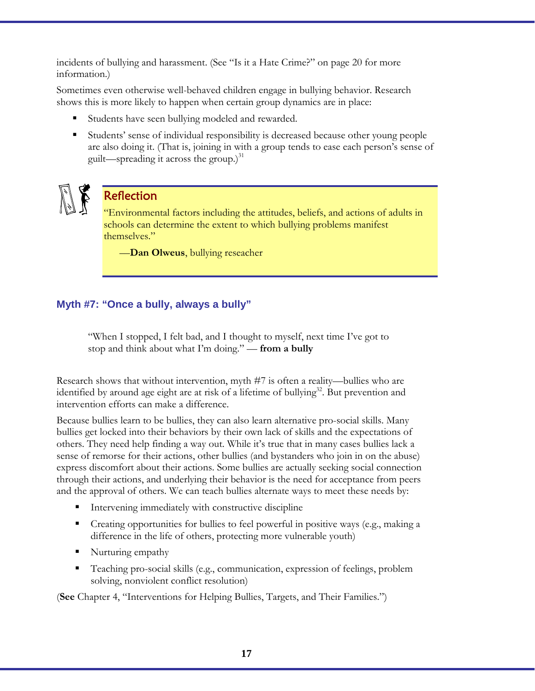incidents of bullying and harassment. (See "Is it a Hate Crime?" on page 20 for more information.)

Sometimes even otherwise well-behaved children engage in bullying behavior. Research shows this is more likely to happen when certain group dynamics are in place:

- Students have seen bullying modeled and rewarded.
- Students' sense of individual responsibility is decreased because other young people are also doing it. (That is, joining in with a group tends to ease each person's sense of guilt—spreading it across the group.) $31$



### **Reflection**

"Environmental factors including the attitudes, beliefs, and actions of adults in schools can determine the extent to which bullying problems manifest themselves."

––**Dan Olweus**, bullying reseacher

#### **Myth #7: "Once a bully, always a bully"**

"When I stopped, I felt bad, and I thought to myself, next time I've got to stop and think about what I'm doing." — **from a bully**

Research shows that without intervention, myth #7 is often a reality—bullies who are identified by around age eight are at risk of a lifetime of bullying<sup>32</sup>. But prevention and intervention efforts can make a difference.

Because bullies learn to be bullies, they can also learn alternative pro-social skills. Many bullies get locked into their behaviors by their own lack of skills and the expectations of others. They need help finding a way out. While it's true that in many cases bullies lack a sense of remorse for their actions, other bullies (and bystanders who join in on the abuse) express discomfort about their actions. Some bullies are actually seeking social connection through their actions, and underlying their behavior is the need for acceptance from peers and the approval of others. We can teach bullies alternate ways to meet these needs by:

- Intervening immediately with constructive discipline
- Creating opportunities for bullies to feel powerful in positive ways (e.g., making a difference in the life of others, protecting more vulnerable youth)
- Nurturing empathy
- Teaching pro-social skills (e.g., communication, expression of feelings, problem solving, nonviolent conflict resolution)

(**See** Chapter 4, "Interventions for Helping Bullies, Targets, and Their Families.")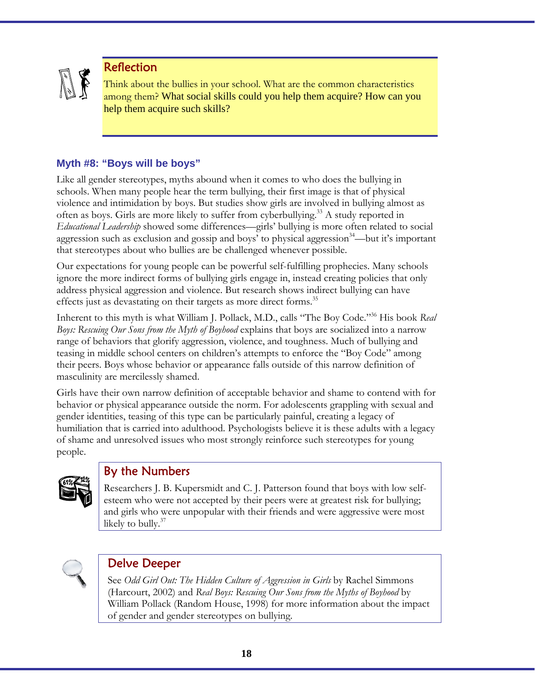

### Reflection

Think about the bullies in your school. What are the common characteristics among them? What social skills could you help them acquire? How can you help them acquire such skills?

#### **Myth #8: "Boys will be boys"**

Like all gender stereotypes, myths abound when it comes to who does the bullying in schools. When many people hear the term bullying, their first image is that of physical violence and intimidation by boys. But studies show girls are involved in bullying almost as often as boys. Girls are more likely to suffer from cyberbullying.<sup>33</sup> A study reported in *Educational Leadership* showed some differences––girls' bullying is more often related to social aggression such as exclusion and gossip and boys' to physical aggression<sup>34</sup>—but it's important that stereotypes about who bullies are be challenged whenever possible.

Our expectations for young people can be powerful self-fulfilling prophecies. Many schools ignore the more indirect forms of bullying girls engage in, instead creating policies that only address physical aggression and violence. But research shows indirect bullying can have effects just as devastating on their targets as more direct forms.<sup>35</sup>

Inherent to this myth is what William J. Pollack, M.D., calls "The Boy Code."36 His book *Real Boys: Rescuing Our Sons from the Myth of Boyhood* explains that boys are socialized into a narrow range of behaviors that glorify aggression, violence, and toughness. Much of bullying and teasing in middle school centers on children's attempts to enforce the "Boy Code" among their peers. Boys whose behavior or appearance falls outside of this narrow definition of masculinity are mercilessly shamed.

Girls have their own narrow definition of acceptable behavior and shame to contend with for behavior or physical appearance outside the norm. For adolescents grappling with sexual and gender identities, teasing of this type can be particularly painful, creating a legacy of humiliation that is carried into adulthood. Psychologists believe it is these adults with a legacy of shame and unresolved issues who most strongly reinforce such stereotypes for young people.



### By the Numbers

Researchers J. B. Kupersmidt and C. J. Patterson found that boys with low selfesteem who were not accepted by their peers were at greatest risk for bullying; and girls who were unpopular with their friends and were aggressive were most likely to bully. $37$ 

#### Delve Deeper

See *Odd Girl Out: The Hidden Culture of Aggression in Girls* by Rachel Simmons (Harcourt, 2002) and *Real Boys: Rescuing Our Sons from the Myths of Boyhood* by William Pollack (Random House, 1998) for more information about the impact of gender and gender stereotypes on bullying.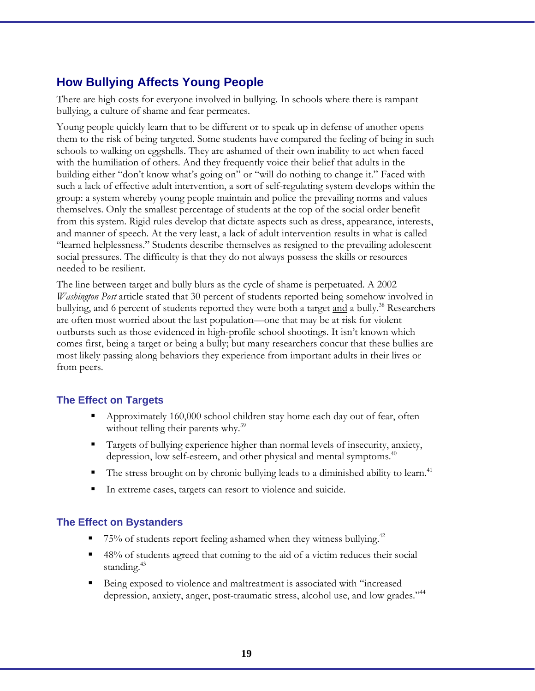### **How Bullying Affects Young People**

There are high costs for everyone involved in bullying. In schools where there is rampant bullying, a culture of shame and fear permeates.

Young people quickly learn that to be different or to speak up in defense of another opens them to the risk of being targeted. Some students have compared the feeling of being in such schools to walking on eggshells. They are ashamed of their own inability to act when faced with the humiliation of others. And they frequently voice their belief that adults in the building either "don't know what's going on" or "will do nothing to change it." Faced with such a lack of effective adult intervention, a sort of self-regulating system develops within the group: a system whereby young people maintain and police the prevailing norms and values themselves. Only the smallest percentage of students at the top of the social order benefit from this system. Rigid rules develop that dictate aspects such as dress, appearance, interests, and manner of speech. At the very least, a lack of adult intervention results in what is called "learned helplessness." Students describe themselves as resigned to the prevailing adolescent social pressures. The difficulty is that they do not always possess the skills or resources needed to be resilient.

The line between target and bully blurs as the cycle of shame is perpetuated. A 2002 *Washington Post* article stated that 30 percent of students reported being somehow involved in bullying, and 6 percent of students reported they were both a target and a bully.<sup>38</sup> Researchers are often most worried about the last population––one that may be at risk for violent outbursts such as those evidenced in high-profile school shootings. It isn't known which comes first, being a target or being a bully; but many researchers concur that these bullies are most likely passing along behaviors they experience from important adults in their lives or from peers.

#### **The Effect on Targets**

- Approximately 160,000 school children stay home each day out of fear, often without telling their parents why.<sup>39</sup>
- Targets of bullying experience higher than normal levels of insecurity, anxiety, depression, low self-esteem, and other physical and mental symptoms.<sup>40</sup>
- The stress brought on by chronic bullying leads to a diminished ability to learn.<sup>41</sup>
- In extreme cases, targets can resort to violence and suicide.

#### **The Effect on Bystanders**

- 75% of students report feeling ashamed when they witness bullying.42
- 48% of students agreed that coming to the aid of a victim reduces their social standing.<sup>43</sup>
- Being exposed to violence and maltreatment is associated with "increased depression, anxiety, anger, post-traumatic stress, alcohol use, and low grades."44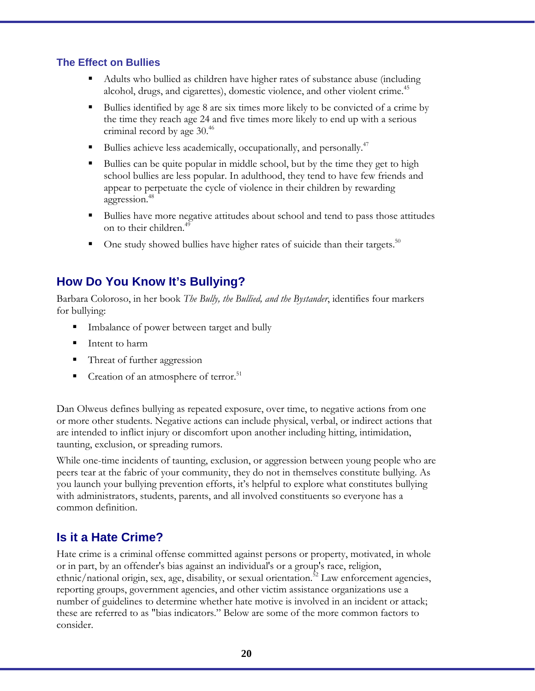#### **The Effect on Bullies**

- Adults who bullied as children have higher rates of substance abuse (including alcohol, drugs, and cigarettes), domestic violence, and other violent crime.<sup>45</sup>
- Bullies identified by age 8 are six times more likely to be convicted of a crime by the time they reach age 24 and five times more likely to end up with a serious criminal record by age 30.<sup>46</sup>
- Bullies achieve less academically, occupationally, and personally.<sup>47</sup>
- Bullies can be quite popular in middle school, but by the time they get to high school bullies are less popular. In adulthood, they tend to have few friends and appear to perpetuate the cycle of violence in their children by rewarding aggression.<sup>48</sup>
- Bullies have more negative attitudes about school and tend to pass those attitudes on to their children.<sup>49</sup>
- One study showed bullies have higher rates of suicide than their targets.<sup>50</sup>

### **How Do You Know It's Bullying?**

Barbara Coloroso, in her book *The Bully, the Bullied, and the Bystander*, identifies four markers for bullying:

- **IMP** Imbalance of power between target and bully
- Intent to harm
- Threat of further aggression
- Creation of an atmosphere of terror.<sup>51</sup>

Dan Olweus defines bullying as repeated exposure, over time, to negative actions from one or more other students. Negative actions can include physical, verbal, or indirect actions that are intended to inflict injury or discomfort upon another including hitting, intimidation, taunting, exclusion, or spreading rumors.

While one-time incidents of taunting, exclusion, or aggression between young people who are peers tear at the fabric of your community, they do not in themselves constitute bullying. As you launch your bullying prevention efforts, it's helpful to explore what constitutes bullying with administrators, students, parents, and all involved constituents so everyone has a common definition.

### **Is it a Hate Crime?**

Hate crime is a criminal offense committed against persons or property, motivated, in whole or in part, by an offender's bias against an individual's or a group's race, religion, ethnic/national origin, sex, age, disability, or sexual orientation.<sup>52</sup> Law enforcement agencies, reporting groups, government agencies, and other victim assistance organizations use a number of guidelines to determine whether hate motive is involved in an incident or attack; these are referred to as "bias indicators." Below are some of the more common factors to consider.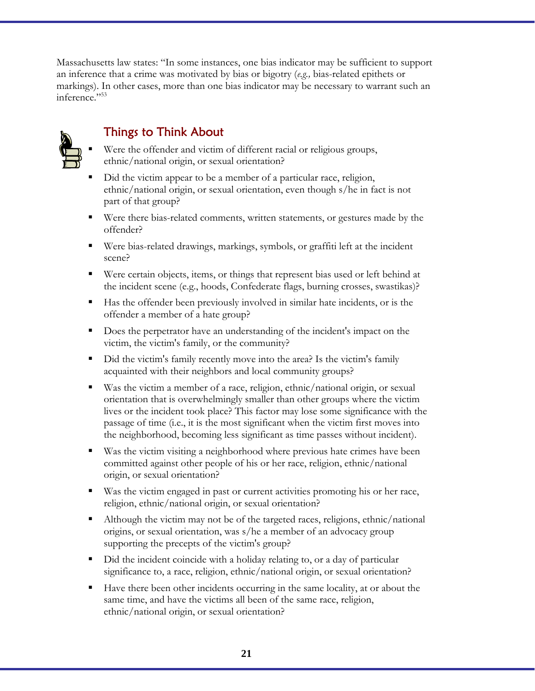Massachusetts law states: "In some instances, one bias indicator may be sufficient to support an inference that a crime was motivated by bias or bigotry (*e.g.,* bias-related epithets or markings). In other cases, more than one bias indicator may be necessary to warrant such an inference."53



### Things to Think About

- Were the offender and victim of different racial or religious groups, ethnic/national origin, or sexual orientation?
- Did the victim appear to be a member of a particular race, religion, ethnic/national origin, or sexual orientation, even though s/he in fact is not part of that group?
- Were there bias-related comments, written statements, or gestures made by the offender?
- Were bias-related drawings, markings, symbols, or graffiti left at the incident scene?
- Were certain objects, items, or things that represent bias used or left behind at the incident scene (e.g., hoods, Confederate flags, burning crosses, swastikas)?
- Has the offender been previously involved in similar hate incidents, or is the offender a member of a hate group?
- Does the perpetrator have an understanding of the incident's impact on the victim, the victim's family, or the community?
- Did the victim's family recently move into the area? Is the victim's family acquainted with their neighbors and local community groups?
- Was the victim a member of a race, religion, ethnic/national origin, or sexual orientation that is overwhelmingly smaller than other groups where the victim lives or the incident took place? This factor may lose some significance with the passage of time (i.e., it is the most significant when the victim first moves into the neighborhood, becoming less significant as time passes without incident).
- Was the victim visiting a neighborhood where previous hate crimes have been committed against other people of his or her race, religion, ethnic/national origin, or sexual orientation?
- Was the victim engaged in past or current activities promoting his or her race, religion, ethnic/national origin, or sexual orientation?
- Although the victim may not be of the targeted races, religions, ethnic/national origins, or sexual orientation, was s/he a member of an advocacy group supporting the precepts of the victim's group?
- Did the incident coincide with a holiday relating to, or a day of particular significance to, a race, religion, ethnic/national origin, or sexual orientation?
- Have there been other incidents occurring in the same locality, at or about the same time, and have the victims all been of the same race, religion, ethnic/national origin, or sexual orientation?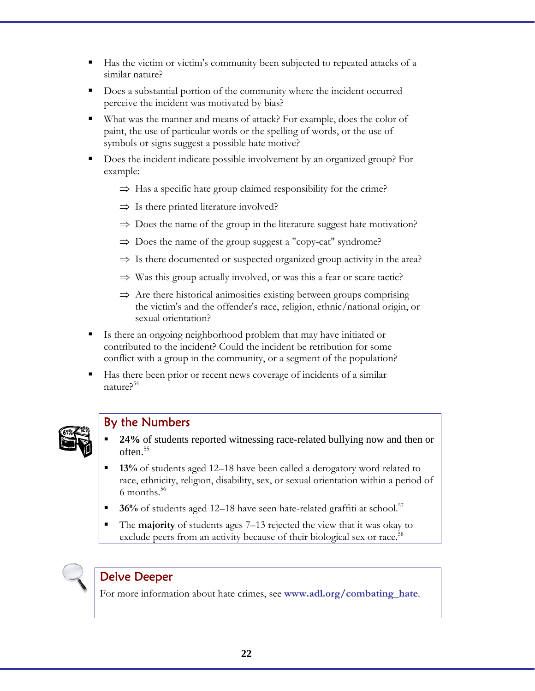- Has the victim or victim's community been subjected to repeated attacks of a similar nature?
- Does a substantial portion of the community where the incident occurred perceive the incident was motivated by bias?
- What was the manner and means of attack? For example, does the color of paint, the use of particular words or the spelling of words, or the use of symbols or signs suggest a possible hate motive?
- Does the incident indicate possible involvement by an organized group? For example:
	- $\Rightarrow$  Has a specific hate group claimed responsibility for the crime?
	- $\Rightarrow$  Is there printed literature involved?
	- $\Rightarrow$  Does the name of the group in the literature suggest hate motivation?
	- $\Rightarrow$  Does the name of the group suggest a "copy-cat" syndrome?
	- $\Rightarrow$  Is there documented or suspected organized group activity in the area?
	- $\Rightarrow$  Was this group actually involved, or was this a fear or scare tactic?
	- $\Rightarrow$  Are there historical animosities existing between groups comprising the victim's and the offender's race, religion, ethnic/national origin, or sexual orientation?
- Is there an ongoing neighborhood problem that may have initiated or contributed to the incident? Could the incident be retribution for some conflict with a group in the community, or a segment of the population?
- Has there been prior or recent news coverage of incidents of a similar nature?54



#### By the Numbers

- **24%** of students reported witnessing race-related bullying now and then or often.<sup>55</sup>
- **13%** of students aged 12–18 have been called a derogatory word related to race, ethnicity, religion, disability, sex, or sexual orientation within a period of 6 months.<sup>56</sup>
- **36%** of students aged 12–18 have seen hate-related graffiti at school.<sup>57</sup>
- The **majority** of students ages 7–13 rejected the view that it was okay to exclude peers from an activity because of their biological sex or race.<sup>58</sup>



#### Delve Deeper

For more information about hate crimes, see **www.adl.org/combating\_hate***.*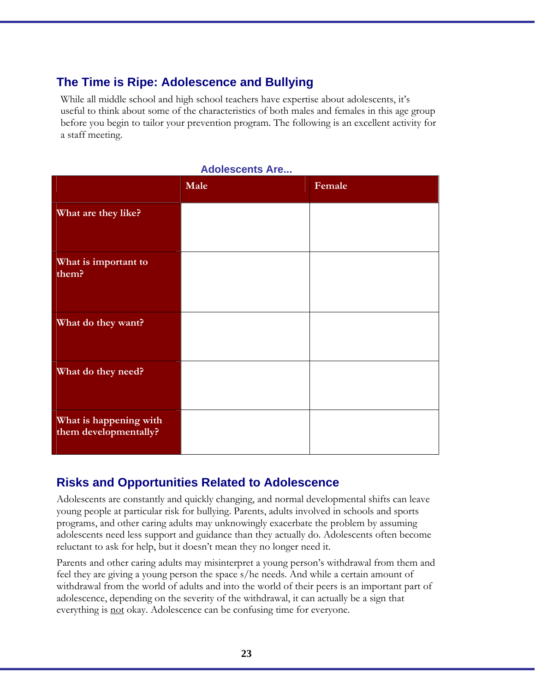### **The Time is Ripe: Adolescence and Bullying**

While all middle school and high school teachers have expertise about adolescents, it's useful to think about some of the characteristics of both males and females in this age group before you begin to tailor your prevention program. The following is an excellent activity for a staff meeting.

|                                                 | Male | Female |
|-------------------------------------------------|------|--------|
| What are they like?                             |      |        |
| What is important to<br>them?                   |      |        |
| What do they want?                              |      |        |
| What do they need?                              |      |        |
| What is happening with<br>them developmentally? |      |        |

#### **Adolescents Are...**

### **Risks and Opportunities Related to Adolescence**

Adolescents are constantly and quickly changing, and normal developmental shifts can leave young people at particular risk for bullying. Parents, adults involved in schools and sports programs, and other caring adults may unknowingly exacerbate the problem by assuming adolescents need less support and guidance than they actually do. Adolescents often become reluctant to ask for help, but it doesn't mean they no longer need it.

Parents and other caring adults may misinterpret a young person's withdrawal from them and feel they are giving a young person the space s/he needs. And while a certain amount of withdrawal from the world of adults and into the world of their peers is an important part of adolescence, depending on the severity of the withdrawal, it can actually be a sign that everything is <u>not</u> okay. Adolescence can be confusing time for everyone.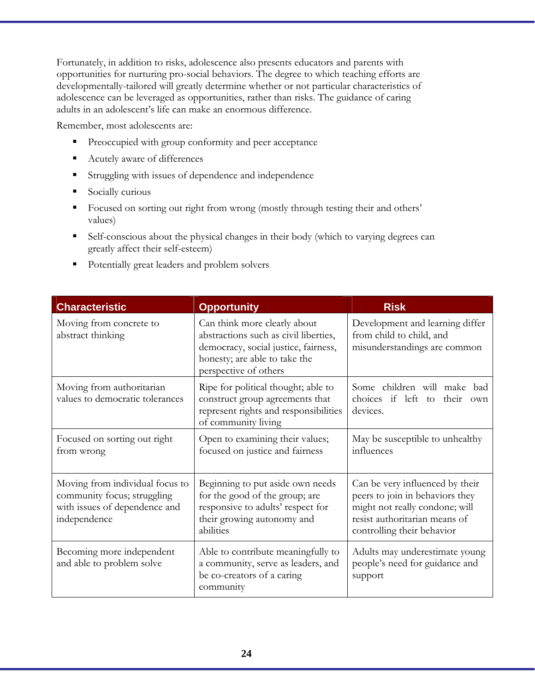Fortunately, in addition to risks, adolescence also presents educators and parents with opportunities for nurturing pro-social behaviors. The degree to which teaching efforts are developmentally-tailored will greatly determine whether or not particular characteristics of adolescence can be leveraged as opportunities, rather than risks. The guidance of caring adults in an adolescent's life can make an enormous difference.

Remember, most adolescents are:

- **Preoccupied with group conformity and peer acceptance**
- Acutely aware of differences
- **Struggling with issues of dependence and independence**
- **Socially curious**
- Focused on sorting out right from wrong (mostly through testing their and others' values)
- Self-conscious about the physical changes in their body (which to varying degrees can greatly affect their self-esteem)
- Potentially great leaders and problem solvers

| <b>Characteristic</b>                                                                                           | <b>Opportunity</b>                                                                                                                                                      | <b>Risk</b>                                                                                                                                                         |
|-----------------------------------------------------------------------------------------------------------------|-------------------------------------------------------------------------------------------------------------------------------------------------------------------------|---------------------------------------------------------------------------------------------------------------------------------------------------------------------|
| Moving from concrete to<br>abstract thinking                                                                    | Can think more clearly about<br>abstractions such as civil liberties,<br>democracy, social justice, fairness,<br>honesty; are able to take the<br>perspective of others | Development and learning differ<br>from child to child, and<br>misunderstandings are common                                                                         |
| Moving from authoritarian<br>values to democratic tolerances                                                    | Ripe for political thought; able to<br>construct group agreements that<br>represent rights and responsibilities<br>of community living                                  | Some children will make bad<br>choices if left to their<br>own<br>devices.                                                                                          |
| Focused on sorting out right<br>from wrong                                                                      | Open to examining their values;<br>focused on justice and fairness                                                                                                      | May be susceptible to unhealthy<br>influences                                                                                                                       |
| Moving from individual focus to<br>community focus; struggling<br>with issues of dependence and<br>independence | Beginning to put aside own needs<br>for the good of the group; are<br>responsive to adults' respect for<br>their growing autonomy and<br>abilities                      | Can be very influenced by their<br>peers to join in behaviors they<br>might not really condone; will<br>resist authoritarian means of<br>controlling their behavior |
| Becoming more independent<br>and able to problem solve                                                          | Able to contribute meaningfully to<br>a community, serve as leaders, and<br>be co-creators of a caring<br>community                                                     | Adults may underestimate young<br>people's need for guidance and<br>support                                                                                         |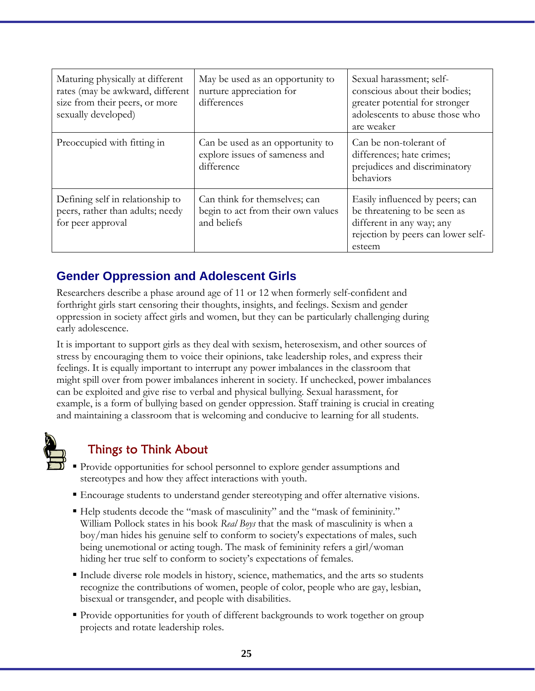| Maturing physically at different<br>rates (may be awkward, different<br>size from their peers, or more<br>sexually developed) | May be used as an opportunity to<br>nurture appreciation for<br>differences        | Sexual harassment; self-<br>conscious about their bodies;<br>greater potential for stronger<br>adolescents to abuse those who<br>are weaker  |
|-------------------------------------------------------------------------------------------------------------------------------|------------------------------------------------------------------------------------|----------------------------------------------------------------------------------------------------------------------------------------------|
| Preoccupied with fitting in                                                                                                   | Can be used as an opportunity to<br>explore issues of sameness and<br>difference   | Can be non-tolerant of<br>differences; hate crimes;<br>prejudices and discriminatory<br>behaviors                                            |
| Defining self in relationship to<br>peers, rather than adults; needy<br>for peer approval                                     | Can think for themselves; can<br>begin to act from their own values<br>and beliefs | Easily influenced by peers; can<br>be threatening to be seen as<br>different in any way; any<br>rejection by peers can lower self-<br>esteem |

### **Gender Oppression and Adolescent Girls**

Researchers describe a phase around age of 11 or 12 when formerly self-confident and forthright girls start censoring their thoughts, insights, and feelings. Sexism and gender oppression in society affect girls and women, but they can be particularly challenging during early adolescence.

It is important to support girls as they deal with sexism, heterosexism, and other sources of stress by encouraging them to voice their opinions, take leadership roles, and express their feelings. It is equally important to interrupt any power imbalances in the classroom that might spill over from power imbalances inherent in society. If unchecked, power imbalances can be exploited and give rise to verbal and physical bullying. Sexual harassment, for example, is a form of bullying based on gender oppression. Staff training is crucial in creating and maintaining a classroom that is welcoming and conducive to learning for all students.



### Things to Think About

- Provide opportunities for school personnel to explore gender assumptions and stereotypes and how they affect interactions with youth.
- Encourage students to understand gender stereotyping and offer alternative visions.
- Help students decode the "mask of masculinity" and the "mask of femininity." William Pollock states in his book *Real Boys* that the mask of masculinity is when a boy/man hides his genuine self to conform to society's expectations of males, such being unemotional or acting tough. The mask of femininity refers a girl/woman hiding her true self to conform to society's expectations of females.
- Include diverse role models in history, science, mathematics, and the arts so students recognize the contributions of women, people of color, people who are gay, lesbian, bisexual or transgender, and people with disabilities.
- Provide opportunities for youth of different backgrounds to work together on group projects and rotate leadership roles.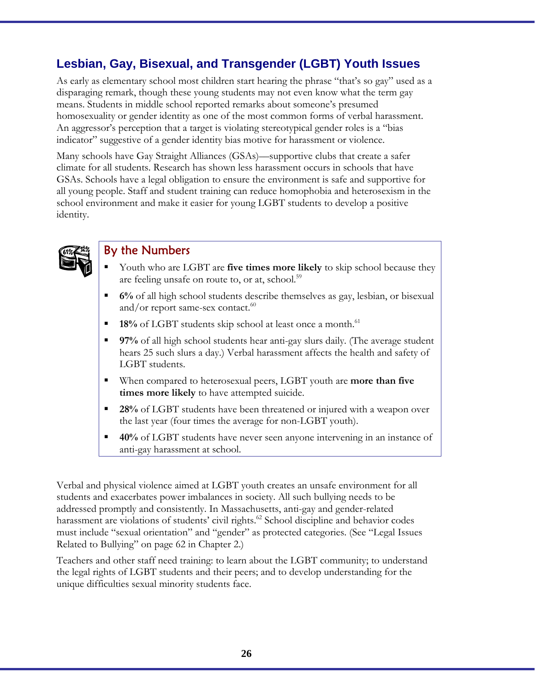### **Lesbian, Gay, Bisexual, and Transgender (LGBT) Youth Issues**

As early as elementary school most children start hearing the phrase "that's so gay" used as a disparaging remark, though these young students may not even know what the term gay means. Students in middle school reported remarks about someone's presumed homosexuality or gender identity as one of the most common forms of verbal harassment. An aggressor's perception that a target is violating stereotypical gender roles is a "bias indicator" suggestive of a gender identity bias motive for harassment or violence.

Many schools have Gay Straight Alliances (GSAs)––supportive clubs that create a safer climate for all students. Research has shown less harassment occurs in schools that have GSAs. Schools have a legal obligation to ensure the environment is safe and supportive for all young people. Staff and student training can reduce homophobia and heterosexism in the school environment and make it easier for young LGBT students to develop a positive identity.



#### By the Numbers

- Youth who are LGBT are **five times more likely** to skip school because they are feeling unsafe on route to, or at, school.<sup>59</sup>
- **6%** of all high school students describe themselves as gay, lesbian, or bisexual and/or report same-sex contact. $60$
- **18%** of LGBT students skip school at least once a month.<sup>61</sup>
- **97%** of all high school students hear anti-gay slurs daily. (The average student hears 25 such slurs a day.) Verbal harassment affects the health and safety of LGBT students.
- When compared to heterosexual peers, LGBT youth are **more than five times more likely** to have attempted suicide.
- **28%** of LGBT students have been threatened or injured with a weapon over the last year (four times the average for non-LGBT youth).
- **40%** of LGBT students have never seen anyone intervening in an instance of anti-gay harassment at school.

Verbal and physical violence aimed at LGBT youth creates an unsafe environment for all students and exacerbates power imbalances in society. All such bullying needs to be addressed promptly and consistently. In Massachusetts, anti-gay and gender-related harassment are violations of students' civil rights.<sup>62</sup> School discipline and behavior codes must include "sexual orientation" and "gender" as protected categories. (See "Legal Issues Related to Bullying" on page 62 in Chapter 2.)

Teachers and other staff need training: to learn about the LGBT community; to understand the legal rights of LGBT students and their peers; and to develop understanding for the unique difficulties sexual minority students face.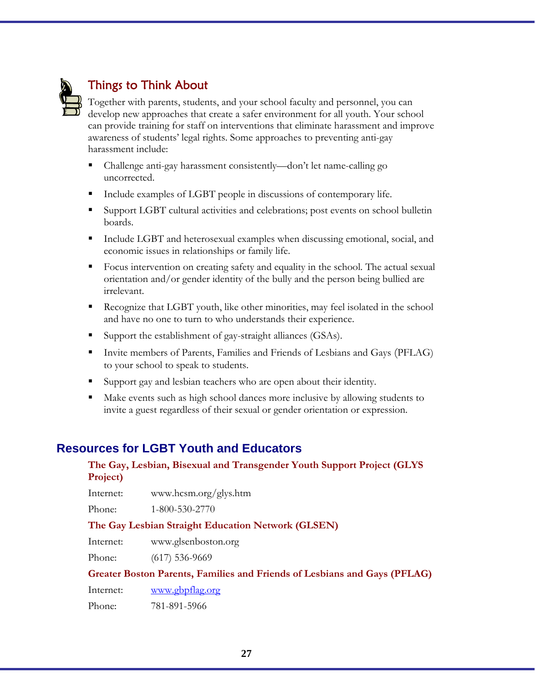

### Things to Think About

Together with parents, students, and your school faculty and personnel, you can develop new approaches that create a safer environment for all youth. Your school can provide training for staff on interventions that eliminate harassment and improve awareness of students' legal rights. Some approaches to preventing anti-gay harassment include:

- Challenge anti-gay harassment consistently—don't let name-calling go uncorrected.
- Include examples of LGBT people in discussions of contemporary life.
- Support LGBT cultural activities and celebrations; post events on school bulletin boards.
- Include LGBT and heterosexual examples when discussing emotional, social, and economic issues in relationships or family life.
- Focus intervention on creating safety and equality in the school. The actual sexual orientation and/or gender identity of the bully and the person being bullied are irrelevant.
- Recognize that LGBT youth, like other minorities, may feel isolated in the school and have no one to turn to who understands their experience.
- Support the establishment of gay-straight alliances (GSAs).
- Invite members of Parents, Families and Friends of Lesbians and Gays (PFLAG) to your school to speak to students.
- Support gay and lesbian teachers who are open about their identity.
- Make events such as high school dances more inclusive by allowing students to invite a guest regardless of their sexual or gender orientation or expression.

### **Resources for LGBT Youth and Educators**

#### **The Gay, Lesbian, Bisexual and Transgender Youth Support Project (GLYS Project)**

Internet: www.hcsm.org/glys.htm

Phone: 1-800-530-2770

#### **The Gay Lesbian Straight Education Network (GLSEN)**

Internet: www.glsenboston.org

Phone: (617) 536-9669

#### **Greater Boston Parents, Families and Friends of Lesbians and Gays (PFLAG)**

Internet: www.gbpflag.org

Phone: 781-891-5966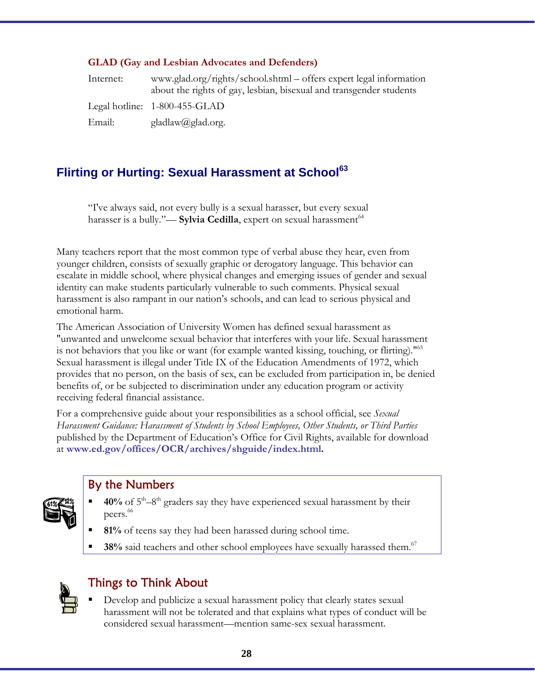#### **GLAD (Gay and Lesbian Advocates and Defenders)**

| Internet: | www.glad.org/rights/school.shtml – offers expert legal information<br>about the rights of gay, lesbian, bisexual and transgender students |
|-----------|-------------------------------------------------------------------------------------------------------------------------------------------|
|           | Legal hotline: $1-800-455-GLAD$                                                                                                           |
| Email:    | gladlaw@glad.org.                                                                                                                         |

### **Flirting or Hurting: Sexual Harassment at School<sup>63</sup>**

"I've always said, not every bully is a sexual harasser, but every sexual harasser is a bully."— **Sylvia Cedilla**, expert on sexual harassment<sup>64</sup>

Many teachers report that the most common type of verbal abuse they hear, even from younger children, consists of sexually graphic or derogatory language. This behavior can escalate in middle school, where physical changes and emerging issues of gender and sexual identity can make students particularly vulnerable to such comments. Physical sexual harassment is also rampant in our nation's schools, and can lead to serious physical and emotional harm.

The American Association of University Women has defined sexual harassment as "unwanted and unwelcome sexual behavior that interferes with your life. Sexual harassment is not behaviors that you like or want (for example wanted kissing, touching, or flirting)."<sup>65</sup> Sexual harassment is illegal under Title IX of the Education Amendments of 1972, which provides that no person, on the basis of sex, can be excluded from participation in, be denied benefits of, or be subjected to discrimination under any education program or activity receiving federal financial assistance.

For a comprehensive guide about your responsibilities as a school official, see *Sexual Harassment Guidance: Harassment of Students by School Employees, Other Students, or Third Parties* published by the Department of Education's Office for Civil Rights, available for download at **www.ed.gov/offices/OCR/archives/shguide/index.html.** 



### By the Numbers

- **40%** of  $5<sup>th</sup> 8<sup>th</sup>$  graders say they have experienced sexual harassment by their peers.<sup>66</sup>
	- **81%** of teens say they had been harassed during school time.
- **38%** said teachers and other school employees have sexually harassed them.<sup>67</sup>



### Things to Think About

 Develop and publicize a sexual harassment policy that clearly states sexual harassment will not be tolerated and that explains what types of conduct will be considered sexual harassment––mention same-sex sexual harassment.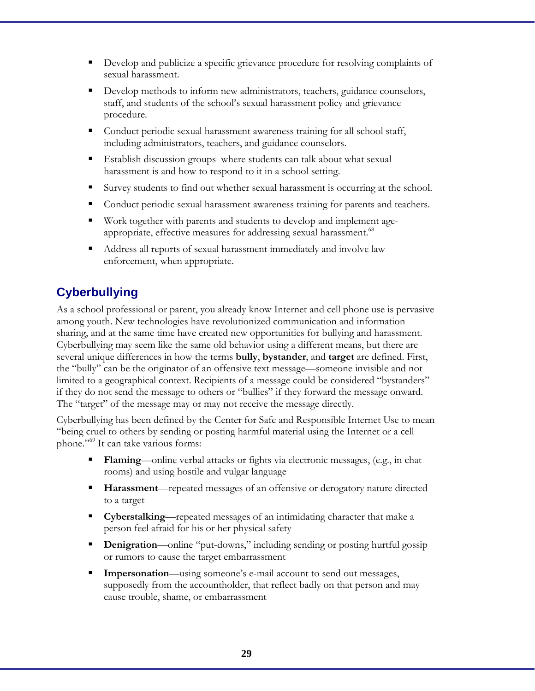- Develop and publicize a specific grievance procedure for resolving complaints of sexual harassment.
- Develop methods to inform new administrators, teachers, guidance counselors, staff, and students of the school's sexual harassment policy and grievance procedure.
- Conduct periodic sexual harassment awareness training for all school staff, including administrators, teachers, and guidance counselors.
- Establish discussion groups where students can talk about what sexual harassment is and how to respond to it in a school setting.
- Survey students to find out whether sexual harassment is occurring at the school.
- Conduct periodic sexual harassment awareness training for parents and teachers.
- Work together with parents and students to develop and implement ageappropriate, effective measures for addressing sexual harassment.<sup>68</sup>
- Address all reports of sexual harassment immediately and involve law enforcement, when appropriate.

### **Cyberbullying**

As a school professional or parent, you already know Internet and cell phone use is pervasive among youth. New technologies have revolutionized communication and information sharing, and at the same time have created new opportunities for bullying and harassment. Cyberbullying may seem like the same old behavior using a different means, but there are several unique differences in how the terms **bully**, **bystander**, and **target** are defined. First, the "bully" can be the originator of an offensive text message––someone invisible and not limited to a geographical context. Recipients of a message could be considered "bystanders" if they do not send the message to others or "bullies" if they forward the message onward. The "target" of the message may or may not receive the message directly.

Cyberbullying has been defined by the Center for Safe and Responsible Internet Use to mean "being cruel to others by sending or posting harmful material using the Internet or a cell phone."69 It can take various forms:

- **Flaming**—online verbal attacks or fights via electronic messages, (e.g., in chat rooms) and using hostile and vulgar language
- **Harassment**—repeated messages of an offensive or derogatory nature directed to a target
- **Cyberstalking**—repeated messages of an intimidating character that make a person feel afraid for his or her physical safety
- **Denigration—online** "put-downs," including sending or posting hurtful gossip or rumors to cause the target embarrassment
- **Impersonation**—using someone's e-mail account to send out messages, supposedly from the accountholder, that reflect badly on that person and may cause trouble, shame, or embarrassment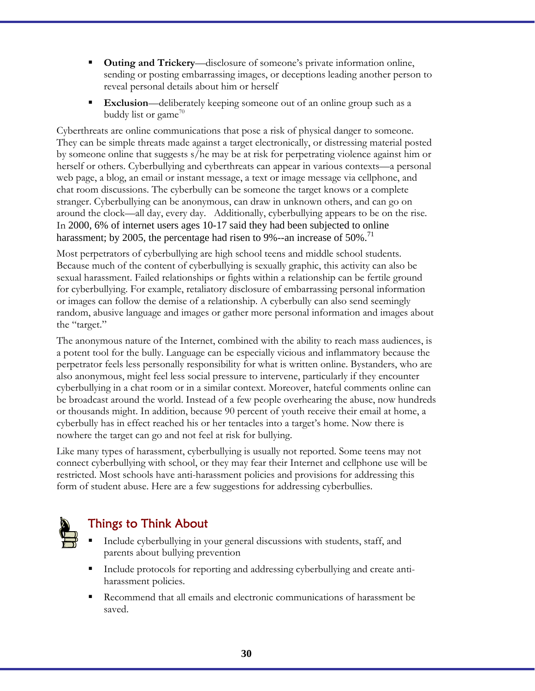- **Outing and Trickery**—disclosure of someone's private information online, sending or posting embarrassing images, or deceptions leading another person to reveal personal details about him or herself
- **Exclusion**—deliberately keeping someone out of an online group such as a buddy list or game<sup>70</sup>

Cyberthreats are online communications that pose a risk of physical danger to someone. They can be simple threats made against a target electronically, or distressing material posted by someone online that suggests s/he may be at risk for perpetrating violence against him or herself or others. Cyberbullying and cyberthreats can appear in various contexts—a personal web page, a blog, an email or instant message, a text or image message via cellphone, and chat room discussions. The cyberbully can be someone the target knows or a complete stranger. Cyberbullying can be anonymous, can draw in unknown others, and can go on around the clock––all day, every day. Additionally, cyberbullying appears to be on the rise. In 2000, 6% of internet users ages 10-17 said they had been subjected to online harassment; by 2005, the percentage had risen to 9%--an increase of  $50\%$ .<sup>11</sup>

Most perpetrators of cyberbullying are high school teens and middle school students. Because much of the content of cyberbullying is sexually graphic, this activity can also be sexual harassment. Failed relationships or fights within a relationship can be fertile ground for cyberbullying. For example, retaliatory disclosure of embarrassing personal information or images can follow the demise of a relationship. A cyberbully can also send seemingly random, abusive language and images or gather more personal information and images about the "target."

The anonymous nature of the Internet, combined with the ability to reach mass audiences, is a potent tool for the bully. Language can be especially vicious and inflammatory because the perpetrator feels less personally responsibility for what is written online. Bystanders, who are also anonymous, might feel less social pressure to intervene, particularly if they encounter cyberbullying in a chat room or in a similar context. Moreover, hateful comments online can be broadcast around the world. Instead of a few people overhearing the abuse, now hundreds or thousands might. In addition, because 90 percent of youth receive their email at home, a cyberbully has in effect reached his or her tentacles into a target's home. Now there is nowhere the target can go and not feel at risk for bullying.

Like many types of harassment, cyberbullying is usually not reported. Some teens may not connect cyberbullying with school, or they may fear their Internet and cellphone use will be restricted. Most schools have anti-harassment policies and provisions for addressing this form of student abuse. Here are a few suggestions for addressing cyberbullies.



### Things to Think About

- Include cyberbullying in your general discussions with students, staff, and parents about bullying prevention
- Include protocols for reporting and addressing cyberbullying and create antiharassment policies.
- Recommend that all emails and electronic communications of harassment be saved.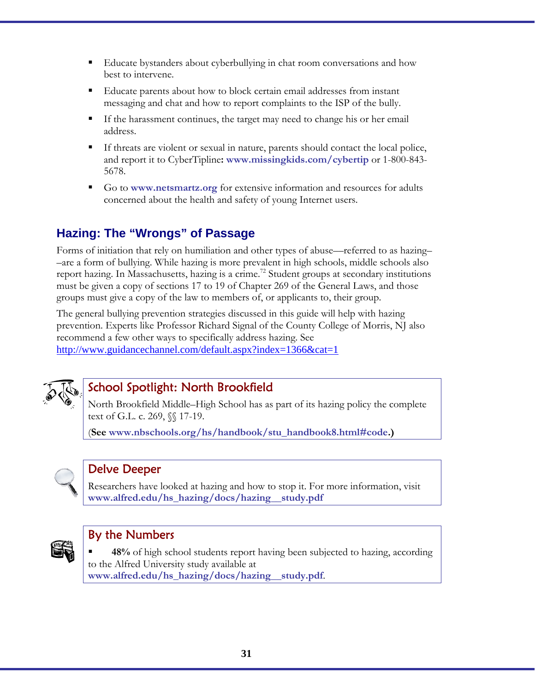- Educate bystanders about cyberbullying in chat room conversations and how best to intervene.
- Educate parents about how to block certain email addresses from instant messaging and chat and how to report complaints to the ISP of the bully.
- If the harassment continues, the target may need to change his or her email address.
- If threats are violent or sexual in nature, parents should contact the local police, and report it to CyberTipline**: www.missingkids.com/cybertip** or 1-800-843- 5678.
- Go to **www.netsmartz.org** for extensive information and resources for adults concerned about the health and safety of young Internet users.

### **Hazing: The "Wrongs" of Passage**

Forms of initiation that rely on humiliation and other types of abuse––referred to as hazing– –are a form of bullying. While hazing is more prevalent in high schools, middle schools also report hazing. In Massachusetts, hazing is a crime.<sup>72</sup> Student groups at secondary institutions must be given a copy of sections 17 to 19 of Chapter 269 of the General Laws, and those groups must give a copy of the law to members of, or applicants to, their group.

The general bullying prevention strategies discussed in this guide will help with hazing prevention. Experts like Professor Richard Signal of the County College of Morris, NJ also recommend a few other ways to specifically address hazing. See http://www.guidancechannel.com/default.aspx?index=1366&cat=1



### School Spotlight: North Brookfield

North Brookfield Middle–High School has as part of its hazing policy the complete text of G.L. c. 269, *§*§ 17-19.

(**See www.nbschools.org/hs/handbook/stu\_handbook8.html#code.)** 



### Delve Deeper

Researchers have looked at hazing and how to stop it. For more information, visit **www.alfred.edu/hs\_hazing/docs/hazing\_\_study.pdf** 



### By the Numbers

 **48%** of high school students report having been subjected to hazing, according to the Alfred University study available at **www.alfred.edu/hs\_hazing/docs/hazing\_\_study.pdf**.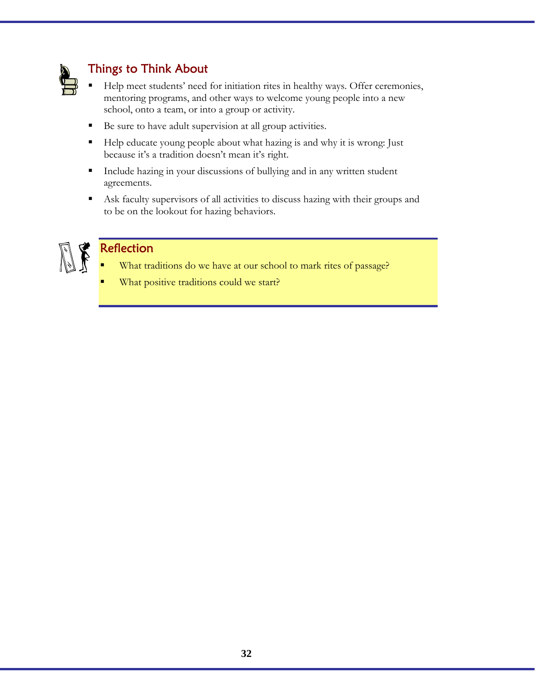

### Things to Think About

- Help meet students' need for initiation rites in healthy ways. Offer ceremonies, mentoring programs, and other ways to welcome young people into a new school, onto a team, or into a group or activity.
- Be sure to have adult supervision at all group activities.
- Help educate young people about what hazing is and why it is wrong: Just because it's a tradition doesn't mean it's right.
- Include hazing in your discussions of bullying and in any written student agreements.
- Ask faculty supervisors of all activities to discuss hazing with their groups and to be on the lookout for hazing behaviors.



### **Reflection**

- What traditions do we have at our school to mark rites of passage?
- What positive traditions could we start?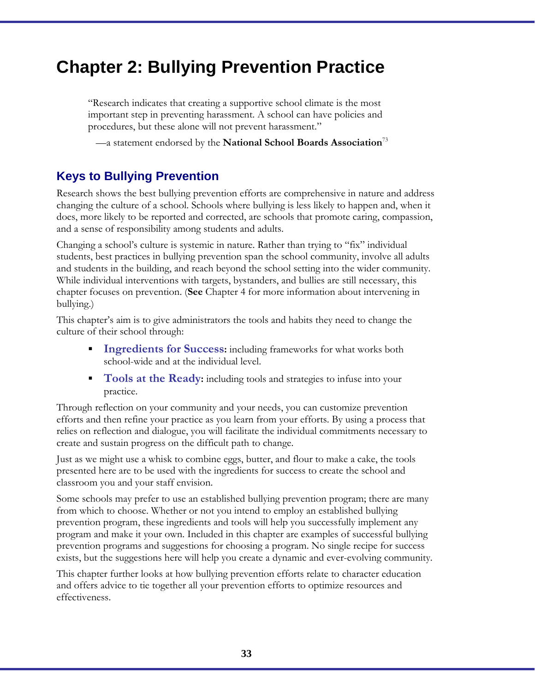## **Chapter 2: Bullying Prevention Practice**

"Research indicates that creating a supportive school climate is the most important step in preventing harassment. A school can have policies and procedures, but these alone will not prevent harassment."

—a statement endorsed by the **National School Boards Association**<sup>73</sup>

### **Keys to Bullying Prevention**

Research shows the best bullying prevention efforts are comprehensive in nature and address changing the culture of a school. Schools where bullying is less likely to happen and, when it does, more likely to be reported and corrected, are schools that promote caring, compassion, and a sense of responsibility among students and adults.

Changing a school's culture is systemic in nature. Rather than trying to "fix" individual students, best practices in bullying prevention span the school community, involve all adults and students in the building, and reach beyond the school setting into the wider community. While individual interventions with targets, bystanders, and bullies are still necessary, this chapter focuses on prevention. (**See** Chapter 4 for more information about intervening in bullying.)

This chapter's aim is to give administrators the tools and habits they need to change the culture of their school through:

- **Ingredients for Success:** including frameworks for what works both school-wide and at the individual level.
- **Tools at the Ready:** including tools and strategies to infuse into your practice.

Through reflection on your community and your needs, you can customize prevention efforts and then refine your practice as you learn from your efforts. By using a process that relies on reflection and dialogue, you will facilitate the individual commitments necessary to create and sustain progress on the difficult path to change.

Just as we might use a whisk to combine eggs, butter, and flour to make a cake, the tools presented here are to be used with the ingredients for success to create the school and classroom you and your staff envision.

Some schools may prefer to use an established bullying prevention program; there are many from which to choose. Whether or not you intend to employ an established bullying prevention program, these ingredients and tools will help you successfully implement any program and make it your own. Included in this chapter are examples of successful bullying prevention programs and suggestions for choosing a program. No single recipe for success exists, but the suggestions here will help you create a dynamic and ever-evolving community.

This chapter further looks at how bullying prevention efforts relate to character education and offers advice to tie together all your prevention efforts to optimize resources and effectiveness.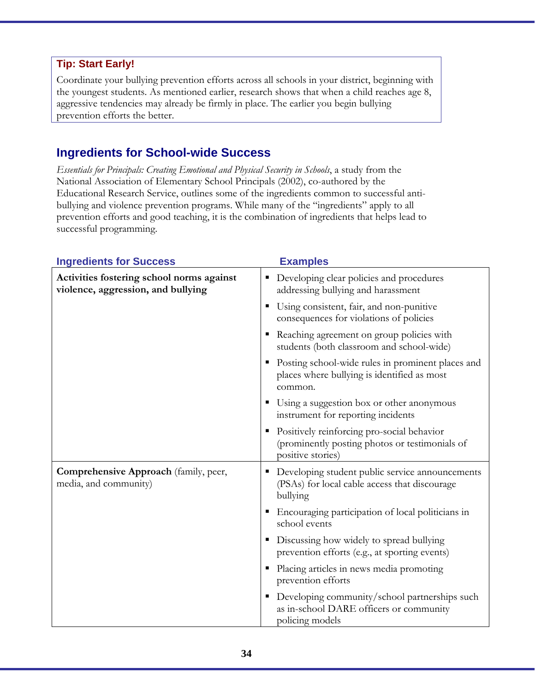#### **Tip: Start Early!**

Coordinate your bullying prevention efforts across all schools in your district, beginning with the youngest students. As mentioned earlier, research shows that when a child reaches age 8, aggressive tendencies may already be firmly in place. The earlier you begin bullying prevention efforts the better.

### **Ingredients for School-wide Success**

*Essentials for Principals: Creating Emotional and Physical Security in Schools*, a study from the National Association of Elementary School Principals (2002), co-authored by the Educational Research Service, outlines some of the ingredients common to successful antibullying and violence prevention programs. While many of the "ingredients" apply to all prevention efforts and good teaching, it is the combination of ingredients that helps lead to successful programming.

| <b>Ingredients for Success</b>                                                  | <b>Examples</b>                                                                                                   |
|---------------------------------------------------------------------------------|-------------------------------------------------------------------------------------------------------------------|
| Activities fostering school norms against<br>violence, aggression, and bullying | Developing clear policies and procedures<br>addressing bullying and harassment                                    |
|                                                                                 | Using consistent, fair, and non-punitive<br>consequences for violations of policies                               |
|                                                                                 | Reaching agreement on group policies with<br>students (both classroom and school-wide)                            |
|                                                                                 | Posting school-wide rules in prominent places and<br>places where bullying is identified as most<br>common.       |
|                                                                                 | Using a suggestion box or other anonymous<br>instrument for reporting incidents                                   |
|                                                                                 | Positively reinforcing pro-social behavior<br>(prominently posting photos or testimonials of<br>positive stories) |
| Comprehensive Approach (family, peer,<br>media, and community)                  | Developing student public service announcements<br>(PSAs) for local cable access that discourage<br>bullying      |
|                                                                                 | Encouraging participation of local politicians in<br>school events                                                |
|                                                                                 | Discussing how widely to spread bullying<br>prevention efforts (e.g., at sporting events)                         |
|                                                                                 | Placing articles in news media promoting<br>prevention efforts                                                    |
|                                                                                 | Developing community/school partnerships such<br>as in-school DARE officers or community<br>policing models       |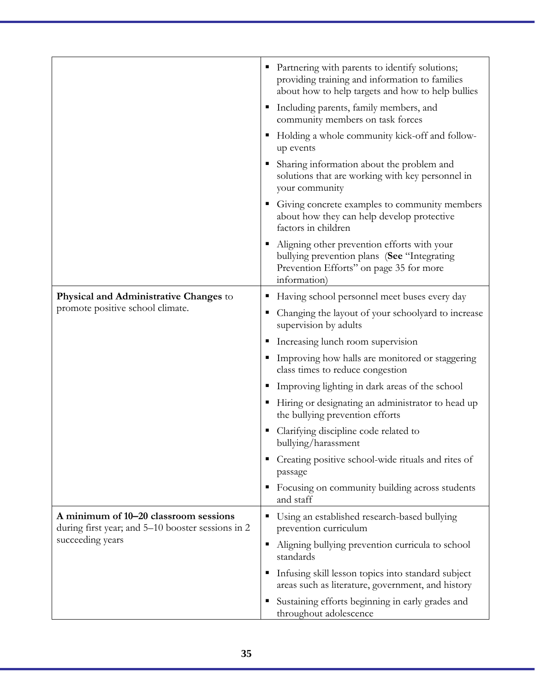|                                                                                                                |    | • Partnering with parents to identify solutions;<br>providing training and information to families<br>about how to help targets and how to help bullies |
|----------------------------------------------------------------------------------------------------------------|----|---------------------------------------------------------------------------------------------------------------------------------------------------------|
|                                                                                                                |    | • Including parents, family members, and<br>community members on task forces                                                                            |
|                                                                                                                |    | Holding a whole community kick-off and follow-<br>up events                                                                                             |
|                                                                                                                |    | Sharing information about the problem and<br>solutions that are working with key personnel in<br>your community                                         |
|                                                                                                                |    | Giving concrete examples to community members<br>about how they can help develop protective<br>factors in children                                      |
|                                                                                                                |    | Aligning other prevention efforts with your<br>bullying prevention plans (See "Integrating<br>Prevention Efforts" on page 35 for more<br>information)   |
| <b>Physical and Administrative Changes to</b>                                                                  |    | Having school personnel meet buses every day                                                                                                            |
| promote positive school climate.                                                                               | ш  | Changing the layout of your schoolyard to increase<br>supervision by adults                                                                             |
|                                                                                                                |    | Increasing lunch room supervision                                                                                                                       |
|                                                                                                                |    | Improving how halls are monitored or staggering<br>class times to reduce congestion                                                                     |
|                                                                                                                |    | Improving lighting in dark areas of the school                                                                                                          |
|                                                                                                                | д. | Hiring or designating an administrator to head up<br>the bullying prevention efforts                                                                    |
|                                                                                                                |    | Clarifying discipline code related to<br>bullying/harassment                                                                                            |
|                                                                                                                |    | Creating positive school-wide rituals and rites of<br>passage                                                                                           |
|                                                                                                                |    | Focusing on community building across students<br>and staff                                                                                             |
| A minimum of 10-20 classroom sessions<br>during first year; and 5–10 booster sessions in 2<br>succeeding years |    | Using an established research-based bullying<br>prevention curriculum                                                                                   |
|                                                                                                                | п  | Aligning bullying prevention curricula to school<br>standards                                                                                           |
|                                                                                                                |    | Infusing skill lesson topics into standard subject<br>areas such as literature, government, and history                                                 |
|                                                                                                                |    | Sustaining efforts beginning in early grades and<br>throughout adolescence                                                                              |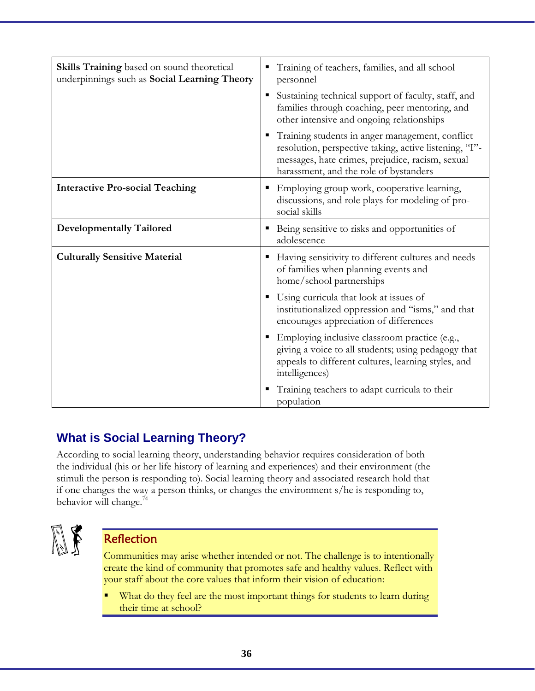| <b>Skills Training</b> based on sound theoretical<br>underpinnings such as Social Learning Theory | Training of teachers, families, and all school<br>personnel                                                                                                                                             |
|---------------------------------------------------------------------------------------------------|---------------------------------------------------------------------------------------------------------------------------------------------------------------------------------------------------------|
|                                                                                                   | Sustaining technical support of faculty, staff, and<br>п<br>families through coaching, peer mentoring, and<br>other intensive and ongoing relationships                                                 |
|                                                                                                   | Training students in anger management, conflict<br>resolution, perspective taking, active listening, "I"-<br>messages, hate crimes, prejudice, racism, sexual<br>harassment, and the role of bystanders |
| <b>Interactive Pro-social Teaching</b>                                                            | Employing group work, cooperative learning,<br>discussions, and role plays for modeling of pro-<br>social skills                                                                                        |
| <b>Developmentally Tailored</b>                                                                   | Being sensitive to risks and opportunities of<br>٠<br>adolescence                                                                                                                                       |
| <b>Culturally Sensitive Material</b>                                                              | Having sensitivity to different cultures and needs<br>of families when planning events and<br>home/school partnerships                                                                                  |
|                                                                                                   | Using curricula that look at issues of<br>institutionalized oppression and "isms," and that<br>encourages appreciation of differences                                                                   |
|                                                                                                   | Employing inclusive classroom practice (e.g.,<br>giving a voice to all students; using pedagogy that<br>appeals to different cultures, learning styles, and<br>intelligences)                           |
|                                                                                                   | Training teachers to adapt curricula to their<br>population                                                                                                                                             |

### **What is Social Learning Theory?**

According to social learning theory, understanding behavior requires consideration of both the individual (his or her life history of learning and experiences) and their environment (the stimuli the person is responding to). Social learning theory and associated research hold that if one changes the way a person thinks, or changes the environment s/he is responding to, behavior will change. $74$ 



### Reflection

Communities may arise whether intended or not. The challenge is to intentionally create the kind of community that promotes safe and healthy values. Reflect with your staff about the core values that inform their vision of education:

 What do they feel are the most important things for students to learn during their time at school?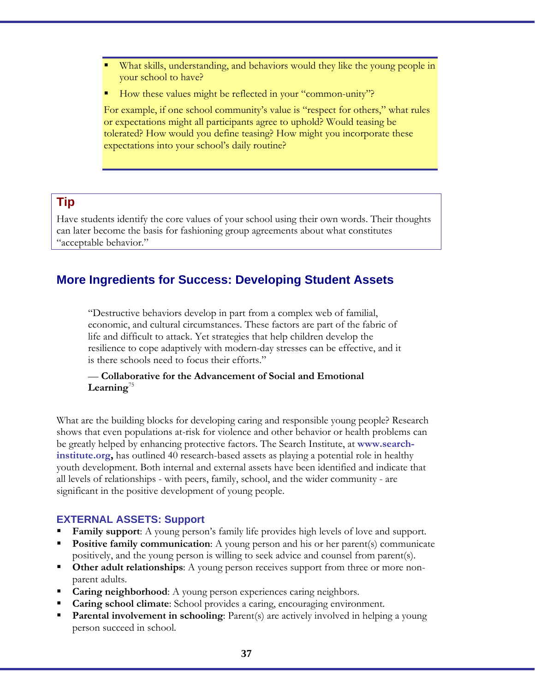- What skills, understanding, and behaviors would they like the young people in your school to have?
- How these values might be reflected in your "common-unity"?

For example, if one school community's value is "respect for others," what rules or expectations might all participants agree to uphold? Would teasing be tolerated? How would you define teasing? How might you incorporate these expectations into your school's daily routine?

### **Tip**

Have students identify the core values of your school using their own words. Their thoughts can later become the basis for fashioning group agreements about what constitutes "acceptable behavior."

# **More Ingredients for Success: Developing Student Assets**

"Destructive behaviors develop in part from a complex web of familial, economic, and cultural circumstances. These factors are part of the fabric of life and difficult to attack. Yet strategies that help children develop the resilience to cope adaptively with modern-day stresses can be effective, and it is there schools need to focus their efforts."

#### — **Collaborative for the Advancement of Social and Emotional Learning**<sup>75</sup>

What are the building blocks for developing caring and responsible young people? Research shows that even populations at-risk for violence and other behavior or health problems can be greatly helped by enhancing protective factors. The Search Institute, at **www.searchinstitute.org,** has outlined 40 research-based assets as playing a potential role in healthy youth development. Both internal and external assets have been identified and indicate that all levels of relationships - with peers, family, school, and the wider community - are significant in the positive development of young people.

#### **EXTERNAL ASSETS: Support**

- **Family support**: A young person's family life provides high levels of love and support.
- **Positive family communication**: A young person and his or her parent(s) communicate positively, and the young person is willing to seek advice and counsel from parent(s).
- **Other adult relationships:** A young person receives support from three or more nonparent adults.
- **Caring neighborhood:** A young person experiences caring neighbors.
- **Caring school climate**: School provides a caring, encouraging environment.
- **Parental involvement in schooling**: Parent(s) are actively involved in helping a young person succeed in school.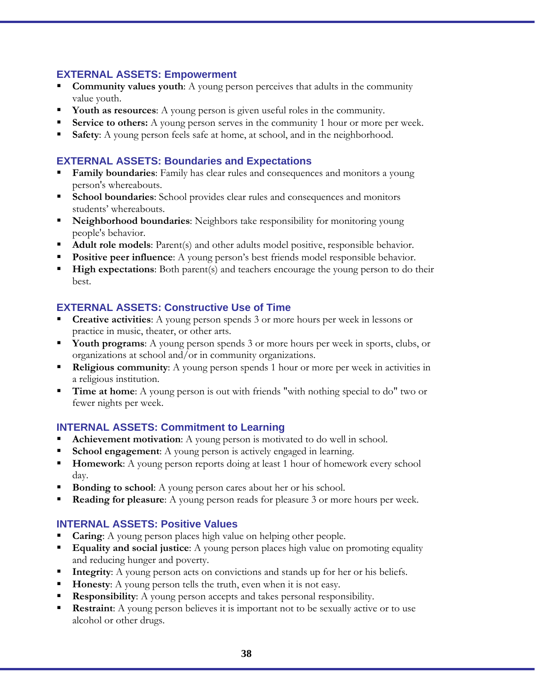#### **EXTERNAL ASSETS: Empowerment**

- **Community values youth:** A young person perceives that adults in the community value youth.
- **Youth as resources**: A young person is given useful roles in the community.
- **Service to others:** A young person serves in the community 1 hour or more per week.
- **Safety**: A young person feels safe at home, at school, and in the neighborhood.

### **EXTERNAL ASSETS: Boundaries and Expectations**

- **Family boundaries**: Family has clear rules and consequences and monitors a young person's whereabouts.
- **School boundaries**: School provides clear rules and consequences and monitors students' whereabouts.
- **Neighborhood boundaries**: Neighbors take responsibility for monitoring young people's behavior.
- **Adult role models:** Parent(s) and other adults model positive, responsible behavior.
- **Positive peer influence**: A young person's best friends model responsible behavior.
- **High expectations**: Both parent(s) and teachers encourage the young person to do their best.

### **EXTERNAL ASSETS: Constructive Use of Time**

- **Creative activities**: A young person spends 3 or more hours per week in lessons or practice in music, theater, or other arts.
- **Youth programs:** A young person spends 3 or more hours per week in sports, clubs, or organizations at school and/or in community organizations.
- **Religious community:** A young person spends 1 hour or more per week in activities in a religious institution.
- **Time at home:** A young person is out with friends "with nothing special to do" two or fewer nights per week.

### **INTERNAL ASSETS: Commitment to Learning**

- **Achievement motivation:** A young person is motivated to do well in school.
- **School engagement:** A young person is actively engaged in learning.
- **Homework:** A young person reports doing at least 1 hour of homework every school day.
- **Bonding to school:** A young person cares about her or his school.
- **Reading for pleasure**: A young person reads for pleasure 3 or more hours per week.

### **INTERNAL ASSETS: Positive Values**

- **Caring:** A young person places high value on helping other people.
- **Equality and social justice**: A young person places high value on promoting equality and reducing hunger and poverty.
- **Integrity**: A young person acts on convictions and stands up for her or his beliefs.
- **Honesty**: A young person tells the truth, even when it is not easy.
- **Responsibility:** A young person accepts and takes personal responsibility.
- **Restraint:** A young person believes it is important not to be sexually active or to use alcohol or other drugs.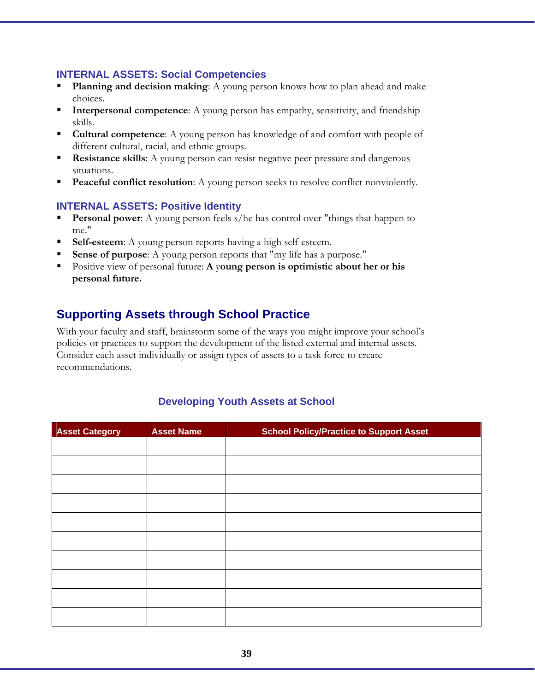#### **INTERNAL ASSETS: Social Competencies**

- **Planning and decision making**: A young person knows how to plan ahead and make choices.
- **Interpersonal competence**: A young person has empathy, sensitivity, and friendship skills.
- **Cultural competence:** A young person has knowledge of and comfort with people of different cultural, racial, and ethnic groups.
- **Resistance skills**: A young person can resist negative peer pressure and dangerous situations.
- **Peaceful conflict resolution**: A young person seeks to resolve conflict nonviolently.

#### **INTERNAL ASSETS: Positive Identity**

- **Personal power:** A young person feels s/he has control over "things that happen to me."
- **Self-esteem**: A young person reports having a high self-esteem.
- **Sense of purpose**: A young person reports that "my life has a purpose."
- Positive view of personal future: **A** y**oung person is optimistic about her or his personal future.**

# **Supporting Assets through School Practice**

With your faculty and staff, brainstorm some of the ways you might improve your school's policies or practices to support the development of the listed external and internal assets. Consider each asset individually or assign types of assets to a task force to create recommendations.

#### **Developing Youth Assets at School**

| <b>Asset Category</b> | <b>Asset Name</b> | <b>School Policy/Practice to Support Asset</b> |
|-----------------------|-------------------|------------------------------------------------|
|                       |                   |                                                |
|                       |                   |                                                |
|                       |                   |                                                |
|                       |                   |                                                |
|                       |                   |                                                |
|                       |                   |                                                |
|                       |                   |                                                |
|                       |                   |                                                |
|                       |                   |                                                |
|                       |                   |                                                |
|                       |                   |                                                |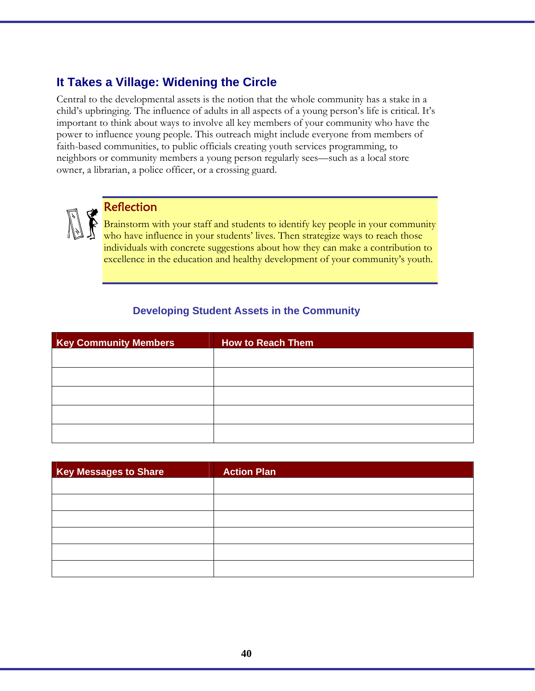# **It Takes a Village: Widening the Circle**

Central to the developmental assets is the notion that the whole community has a stake in a child's upbringing. The influence of adults in all aspects of a young person's life is critical. It's important to think about ways to involve all key members of your community who have the power to influence young people. This outreach might include everyone from members of faith-based communities, to public officials creating youth services programming, to neighbors or community members a young person regularly sees––such as a local store owner, a librarian, a police officer, or a crossing guard.



### **Reflection**

Brainstorm with your staff and students to identify key people in your community who have influence in your students' lives. Then strategize ways to reach those individuals with concrete suggestions about how they can make a contribution to excellence in the education and healthy development of your community's youth.

### **Developing Student Assets in the Community**

| <b>Key Community Members</b> | <b>How to Reach Them</b> |
|------------------------------|--------------------------|
|                              |                          |
|                              |                          |
|                              |                          |
|                              |                          |
|                              |                          |

| <b>Key Messages to Share</b> | <b>Action Plan</b> |
|------------------------------|--------------------|
|                              |                    |
|                              |                    |
|                              |                    |
|                              |                    |
|                              |                    |
|                              |                    |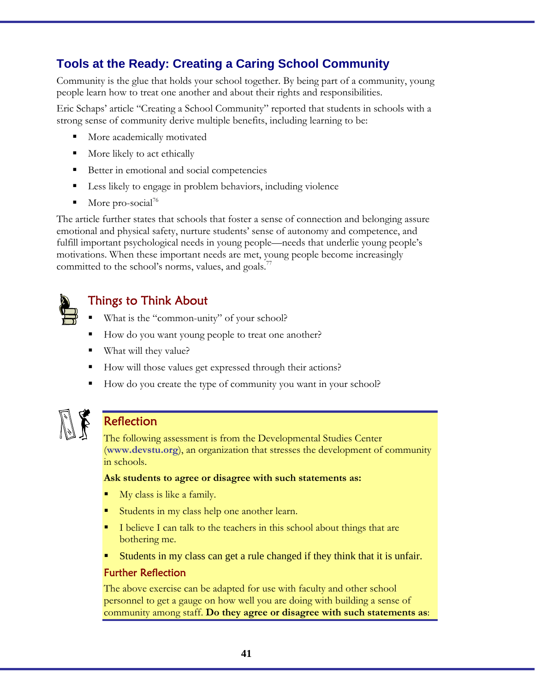# **Tools at the Ready: Creating a Caring School Community**

Community is the glue that holds your school together. By being part of a community, young people learn how to treat one another and about their rights and responsibilities.

Eric Schaps' article "Creating a School Community" reported that students in schools with a strong sense of community derive multiple benefits, including learning to be:

- **More academically motivated**
- **More likely to act ethically**
- Better in emotional and social competencies
- Less likely to engage in problem behaviors, including violence
- $\blacksquare$  More pro-social<sup>76</sup>

The article further states that schools that foster a sense of connection and belonging assure emotional and physical safety, nurture students' sense of autonomy and competence, and fulfill important psychological needs in young people—needs that underlie young people's motivations. When these important needs are met, young people become increasingly committed to the school's norms, values, and goals.<sup>7</sup>



# Things to Think About

- What is the "common-unity" of your school?
- How do you want young people to treat one another?
- What will they value?
- How will those values get expressed through their actions?
- How do you create the type of community you want in your school?



### **Reflection**

The following assessment is from the Developmental Studies Center (**www.devstu.org**), an organization that stresses the development of community in schools.

#### **Ask students to agree or disagree with such statements as:**

- My class is like a family.
- Students in my class help one another learn.
- I believe I can talk to the teachers in this school about things that are bothering me.
- Students in my class can get a rule changed if they think that it is unfair.

#### Further Reflection

The above exercise can be adapted for use with faculty and other school personnel to get a gauge on how well you are doing with building a sense of community among staff. **Do they agree or disagree with such statements as**: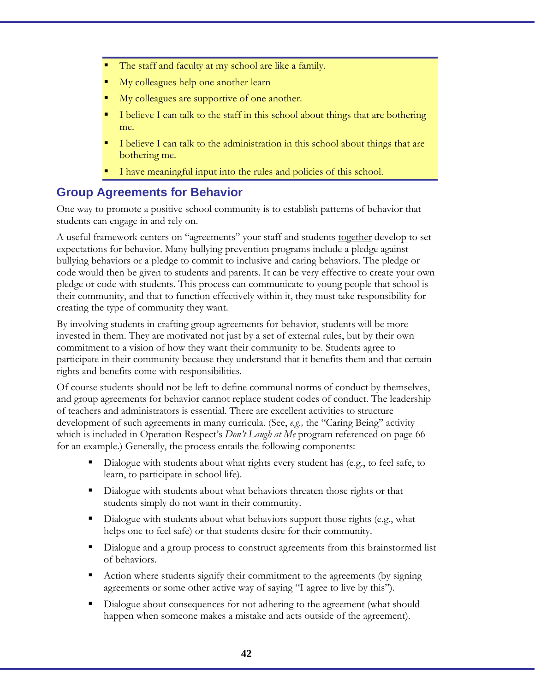- The staff and faculty at my school are like a family.
- My colleagues help one another learn
- My colleagues are supportive of one another.
- I believe I can talk to the staff in this school about things that are bothering me.
- I believe I can talk to the administration in this school about things that are bothering me.
- I have meaningful input into the rules and policies of this school.

### **Group Agreements for Behavior**

One way to promote a positive school community is to establish patterns of behavior that students can engage in and rely on.

A useful framework centers on "agreements" your staff and students together develop to set expectations for behavior. Many bullying prevention programs include a pledge against bullying behaviors or a pledge to commit to inclusive and caring behaviors. The pledge or code would then be given to students and parents. It can be very effective to create your own pledge or code with students. This process can communicate to young people that school is their community, and that to function effectively within it, they must take responsibility for creating the type of community they want.

By involving students in crafting group agreements for behavior, students will be more invested in them. They are motivated not just by a set of external rules, but by their own commitment to a vision of how they want their community to be. Students agree to participate in their community because they understand that it benefits them and that certain rights and benefits come with responsibilities.

Of course students should not be left to define communal norms of conduct by themselves, and group agreements for behavior cannot replace student codes of conduct. The leadership of teachers and administrators is essential. There are excellent activities to structure development of such agreements in many curricula. (See, *e.g.,* the "Caring Being" activity which is included in Operation Respect's *Don't Laugh at Me* program referenced on page 66 for an example.) Generally, the process entails the following components:

- Dialogue with students about what rights every student has (e.g., to feel safe, to learn, to participate in school life).
- Dialogue with students about what behaviors threaten those rights or that students simply do not want in their community.
- Dialogue with students about what behaviors support those rights (e.g., what helps one to feel safe) or that students desire for their community.
- Dialogue and a group process to construct agreements from this brainstormed list of behaviors.
- Action where students signify their commitment to the agreements (by signing agreements or some other active way of saying "I agree to live by this").
- Dialogue about consequences for not adhering to the agreement (what should happen when someone makes a mistake and acts outside of the agreement).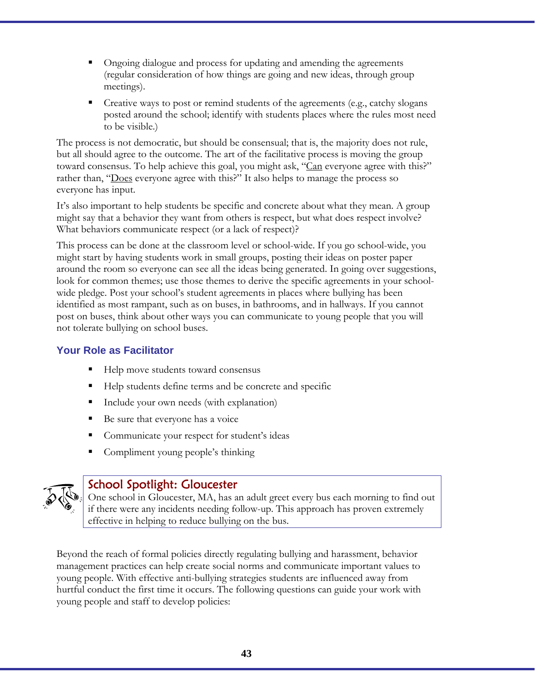- Ongoing dialogue and process for updating and amending the agreements (regular consideration of how things are going and new ideas, through group meetings).
- Creative ways to post or remind students of the agreements (e.g., catchy slogans posted around the school; identify with students places where the rules most need to be visible.)

The process is not democratic, but should be consensual; that is, the majority does not rule, but all should agree to the outcome. The art of the facilitative process is moving the group toward consensus. To help achieve this goal, you might ask, "Can everyone agree with this?" rather than, "Does everyone agree with this?" It also helps to manage the process so everyone has input.

It's also important to help students be specific and concrete about what they mean. A group might say that a behavior they want from others is respect, but what does respect involve? What behaviors communicate respect (or a lack of respect)?

This process can be done at the classroom level or school-wide. If you go school-wide, you might start by having students work in small groups, posting their ideas on poster paper around the room so everyone can see all the ideas being generated. In going over suggestions, look for common themes; use those themes to derive the specific agreements in your schoolwide pledge. Post your school's student agreements in places where bullying has been identified as most rampant, such as on buses, in bathrooms, and in hallways. If you cannot post on buses, think about other ways you can communicate to young people that you will not tolerate bullying on school buses.

### **Your Role as Facilitator**

- Help move students toward consensus
- Help students define terms and be concrete and specific
- Include your own needs (with explanation)
- Be sure that everyone has a voice
- Communicate your respect for student's ideas
- Compliment young people's thinking



### School Spotlight: Gloucester

One school in Gloucester, MA, has an adult greet every bus each morning to find out if there were any incidents needing follow-up. This approach has proven extremely effective in helping to reduce bullying on the bus.

Beyond the reach of formal policies directly regulating bullying and harassment, behavior management practices can help create social norms and communicate important values to young people. With effective anti-bullying strategies students are influenced away from hurtful conduct the first time it occurs. The following questions can guide your work with young people and staff to develop policies: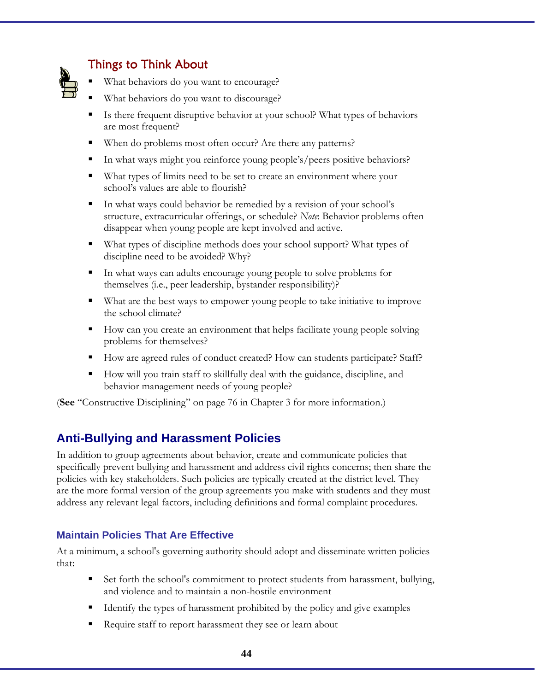

# Things to Think About

- What behaviors do you want to encourage?
- What behaviors do you want to discourage?
- Is there frequent disruptive behavior at your school? What types of behaviors are most frequent?
- When do problems most often occur? Are there any patterns?
- In what ways might you reinforce young people's/peers positive behaviors?
- What types of limits need to be set to create an environment where your school's values are able to flourish?
- In what ways could behavior be remedied by a revision of your school's structure, extracurricular offerings, or schedule? *Note*: Behavior problems often disappear when young people are kept involved and active.
- What types of discipline methods does your school support? What types of discipline need to be avoided? Why?
- In what ways can adults encourage young people to solve problems for themselves (i.e., peer leadership, bystander responsibility)?
- What are the best ways to empower young people to take initiative to improve the school climate?
- How can you create an environment that helps facilitate young people solving problems for themselves?
- How are agreed rules of conduct created? How can students participate? Staff?
- How will you train staff to skillfully deal with the guidance, discipline, and behavior management needs of young people?

(**See** "Constructive Disciplining" on page 76 in Chapter 3 for more information.)

# **Anti-Bullying and Harassment Policies**

In addition to group agreements about behavior, create and communicate policies that specifically prevent bullying and harassment and address civil rights concerns; then share the policies with key stakeholders. Such policies are typically created at the district level. They are the more formal version of the group agreements you make with students and they must address any relevant legal factors, including definitions and formal complaint procedures.

### **Maintain Policies That Are Effective**

At a minimum, a school's governing authority should adopt and disseminate written policies that:

- Set forth the school's commitment to protect students from harassment, bullying, and violence and to maintain a non-hostile environment
- Identify the types of harassment prohibited by the policy and give examples
- Require staff to report harassment they see or learn about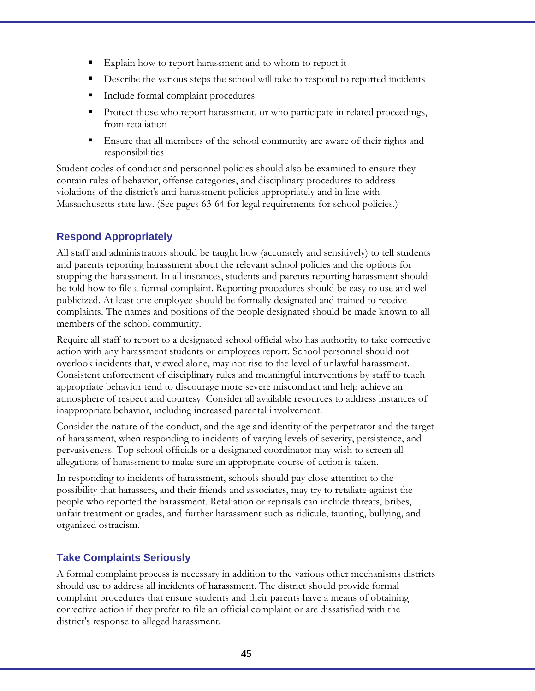- Explain how to report harassment and to whom to report it
- Describe the various steps the school will take to respond to reported incidents
- **Include formal complaint procedures**
- Protect those who report harassment, or who participate in related proceedings, from retaliation
- Ensure that all members of the school community are aware of their rights and responsibilities

Student codes of conduct and personnel policies should also be examined to ensure they contain rules of behavior, offense categories, and disciplinary procedures to address violations of the district's anti-harassment policies appropriately and in line with Massachusetts state law. (See pages 63-64 for legal requirements for school policies.)

### **Respond Appropriately**

All staff and administrators should be taught how (accurately and sensitively) to tell students and parents reporting harassment about the relevant school policies and the options for stopping the harassment. In all instances, students and parents reporting harassment should be told how to file a formal complaint. Reporting procedures should be easy to use and well publicized. At least one employee should be formally designated and trained to receive complaints. The names and positions of the people designated should be made known to all members of the school community.

Require all staff to report to a designated school official who has authority to take corrective action with any harassment students or employees report. School personnel should not overlook incidents that, viewed alone, may not rise to the level of unlawful harassment. Consistent enforcement of disciplinary rules and meaningful interventions by staff to teach appropriate behavior tend to discourage more severe misconduct and help achieve an atmosphere of respect and courtesy. Consider all available resources to address instances of inappropriate behavior, including increased parental involvement.

Consider the nature of the conduct, and the age and identity of the perpetrator and the target of harassment, when responding to incidents of varying levels of severity, persistence, and pervasiveness. Top school officials or a designated coordinator may wish to screen all allegations of harassment to make sure an appropriate course of action is taken.

In responding to incidents of harassment, schools should pay close attention to the possibility that harassers, and their friends and associates, may try to retaliate against the people who reported the harassment. Retaliation or reprisals can include threats, bribes, unfair treatment or grades, and further harassment such as ridicule, taunting, bullying, and organized ostracism.

### **Take Complaints Seriously**

A formal complaint process is necessary in addition to the various other mechanisms districts should use to address all incidents of harassment. The district should provide formal complaint procedures that ensure students and their parents have a means of obtaining corrective action if they prefer to file an official complaint or are dissatisfied with the district's response to alleged harassment.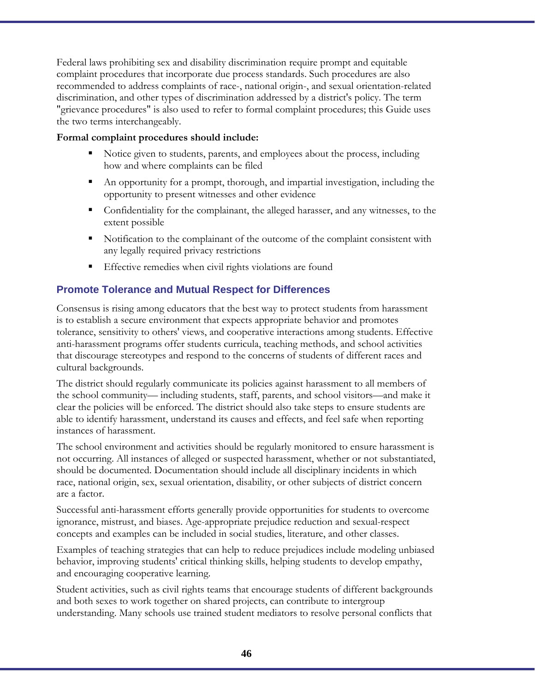Federal laws prohibiting sex and disability discrimination require prompt and equitable complaint procedures that incorporate due process standards. Such procedures are also recommended to address complaints of race-, national origin-, and sexual orientation-related discrimination, and other types of discrimination addressed by a district's policy. The term "grievance procedures" is also used to refer to formal complaint procedures; this Guide uses the two terms interchangeably.

#### **Formal complaint procedures should include:**

- Notice given to students, parents, and employees about the process, including how and where complaints can be filed
- An opportunity for a prompt, thorough, and impartial investigation, including the opportunity to present witnesses and other evidence
- Confidentiality for the complainant, the alleged harasser, and any witnesses, to the extent possible
- Notification to the complainant of the outcome of the complaint consistent with any legally required privacy restrictions
- Effective remedies when civil rights violations are found

### **Promote Tolerance and Mutual Respect for Differences**

Consensus is rising among educators that the best way to protect students from harassment is to establish a secure environment that expects appropriate behavior and promotes tolerance, sensitivity to others' views, and cooperative interactions among students. Effective anti-harassment programs offer students curricula, teaching methods, and school activities that discourage stereotypes and respond to the concerns of students of different races and cultural backgrounds.

The district should regularly communicate its policies against harassment to all members of the school community–– including students, staff, parents, and school visitors––and make it clear the policies will be enforced. The district should also take steps to ensure students are able to identify harassment, understand its causes and effects, and feel safe when reporting instances of harassment.

The school environment and activities should be regularly monitored to ensure harassment is not occurring. All instances of alleged or suspected harassment, whether or not substantiated, should be documented. Documentation should include all disciplinary incidents in which race, national origin, sex, sexual orientation, disability, or other subjects of district concern are a factor.

Successful anti-harassment efforts generally provide opportunities for students to overcome ignorance, mistrust, and biases. Age-appropriate prejudice reduction and sexual-respect concepts and examples can be included in social studies, literature, and other classes.

Examples of teaching strategies that can help to reduce prejudices include modeling unbiased behavior, improving students' critical thinking skills, helping students to develop empathy, and encouraging cooperative learning.

Student activities, such as civil rights teams that encourage students of different backgrounds and both sexes to work together on shared projects, can contribute to intergroup understanding. Many schools use trained student mediators to resolve personal conflicts that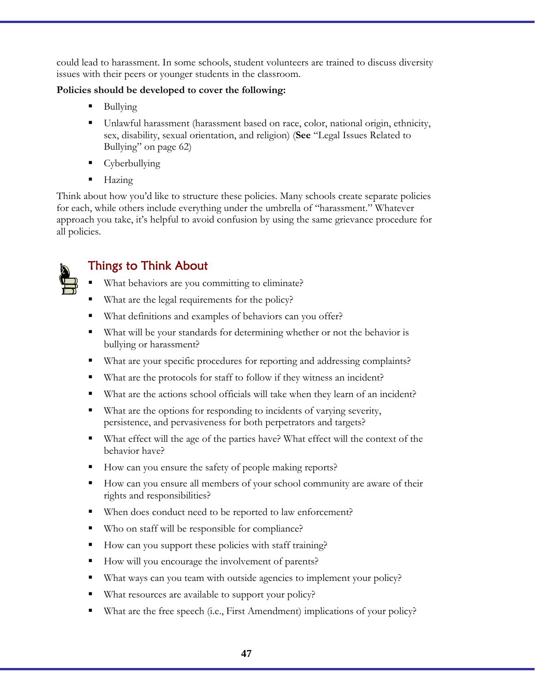could lead to harassment. In some schools, student volunteers are trained to discuss diversity issues with their peers or younger students in the classroom.

#### **Policies should be developed to cover the following:**

- Bullying
- Unlawful harassment (harassment based on race, color, national origin, ethnicity, sex, disability, sexual orientation, and religion) (**See** "Legal Issues Related to Bullying" on page 62)
- Cyberbullying
- $Hazing$

Think about how you'd like to structure these policies. Many schools create separate policies for each, while others include everything under the umbrella of "harassment." Whatever approach you take, it's helpful to avoid confusion by using the same grievance procedure for all policies.



# Things to Think About

- What behaviors are you committing to eliminate?
- What are the legal requirements for the policy?
- What definitions and examples of behaviors can you offer?
- What will be your standards for determining whether or not the behavior is bullying or harassment?
- What are your specific procedures for reporting and addressing complaints?
- What are the protocols for staff to follow if they witness an incident?
- What are the actions school officials will take when they learn of an incident?
- What are the options for responding to incidents of varying severity, persistence, and pervasiveness for both perpetrators and targets?
- What effect will the age of the parties have? What effect will the context of the behavior have?
- How can you ensure the safety of people making reports?
- How can you ensure all members of your school community are aware of their rights and responsibilities?
- When does conduct need to be reported to law enforcement?
- Who on staff will be responsible for compliance?
- How can you support these policies with staff training?
- How will you encourage the involvement of parents?
- What ways can you team with outside agencies to implement your policy?
- What resources are available to support your policy?
- What are the free speech (i.e., First Amendment) implications of your policy?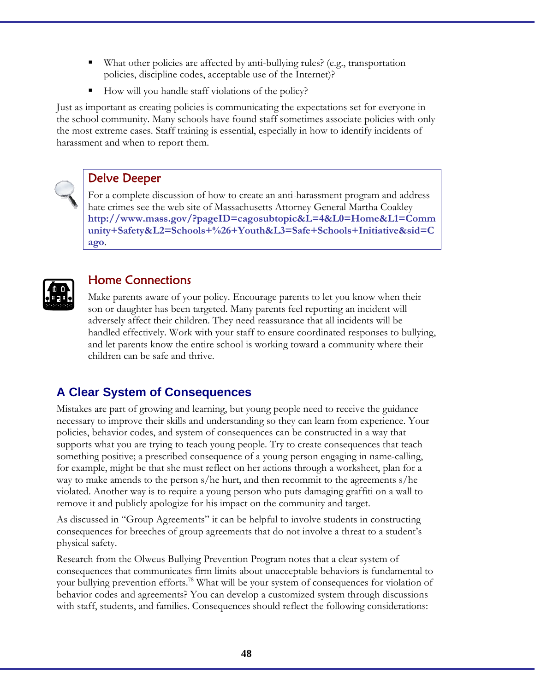- What other policies are affected by anti-bullying rules? (e.g., transportation policies, discipline codes, acceptable use of the Internet)?
- How will you handle staff violations of the policy?

Just as important as creating policies is communicating the expectations set for everyone in the school community. Many schools have found staff sometimes associate policies with only the most extreme cases. Staff training is essential, especially in how to identify incidents of harassment and when to report them.



### Delve Deeper

For a complete discussion of how to create an anti-harassment program and address hate crimes see the web site of Massachusetts Attorney General Martha Coakley **http://www.mass.gov/?pageID=cagosubtopic&L=4&L0=Home&L1=Comm unity+Safety&L2=Schools+%26+Youth&L3=Safe+Schools+Initiative&sid=C ago**.



# Home Connections

Make parents aware of your policy. Encourage parents to let you know when their son or daughter has been targeted. Many parents feel reporting an incident will adversely affect their children. They need reassurance that all incidents will be handled effectively. Work with your staff to ensure coordinated responses to bullying, and let parents know the entire school is working toward a community where their children can be safe and thrive.

# **A Clear System of Consequences**

Mistakes are part of growing and learning, but young people need to receive the guidance necessary to improve their skills and understanding so they can learn from experience. Your policies, behavior codes, and system of consequences can be constructed in a way that supports what you are trying to teach young people. Try to create consequences that teach something positive; a prescribed consequence of a young person engaging in name-calling, for example, might be that she must reflect on her actions through a worksheet, plan for a way to make amends to the person s/he hurt, and then recommit to the agreements s/he violated. Another way is to require a young person who puts damaging graffiti on a wall to remove it and publicly apologize for his impact on the community and target.

As discussed in "Group Agreements" it can be helpful to involve students in constructing consequences for breeches of group agreements that do not involve a threat to a student's physical safety.

Research from the Olweus Bullying Prevention Program notes that a clear system of consequences that communicates firm limits about unacceptable behaviors is fundamental to your bullying prevention efforts.<sup>78</sup> What will be your system of consequences for violation of behavior codes and agreements? You can develop a customized system through discussions with staff, students, and families. Consequences should reflect the following considerations: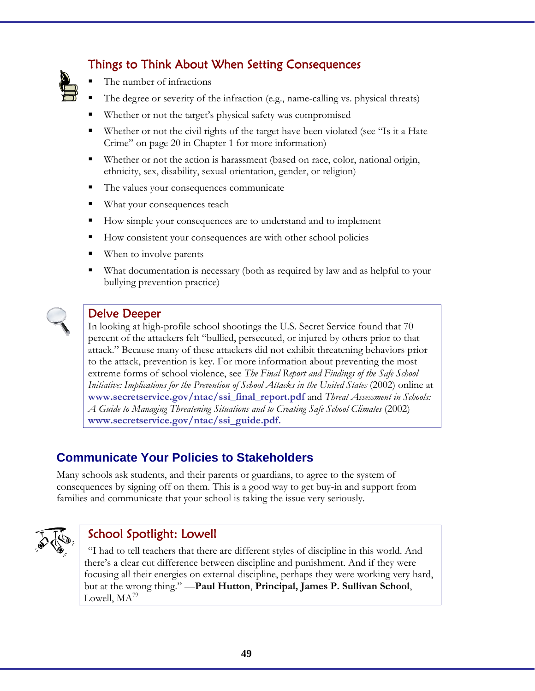- Things to Think About When Setting Consequences
- The number of infractions
- The degree or severity of the infraction (e.g., name-calling vs. physical threats)
- Whether or not the target's physical safety was compromised
- Whether or not the civil rights of the target have been violated (see "Is it a Hate Crime" on page 20 in Chapter 1 for more information)
- Whether or not the action is harassment (based on race, color, national origin, ethnicity, sex, disability, sexual orientation, gender, or religion)
- The values your consequences communicate
- **What your consequences teach**
- How simple your consequences are to understand and to implement
- How consistent your consequences are with other school policies
- When to involve parents
- What documentation is necessary (both as required by law and as helpful to your bullying prevention practice)



# Delve Deeper

In looking at high-profile school shootings the U.S. Secret Service found that 70 percent of the attackers felt "bullied, persecuted, or injured by others prior to that attack." Because many of these attackers did not exhibit threatening behaviors prior to the attack, prevention is key. For more information about preventing the most extreme forms of school violence, see *The Final Report and Findings of the Safe School Initiative: Implications for the Prevention of School Attacks in the United States* (2002) online at **www.secretservice.gov/ntac/ssi\_final\_report.pdf** and *Threat Assessment in Schools: A Guide to Managing Threatening Situations and to Creating Safe School Climates* (2002) **www.secretservice.gov/ntac/ssi\_guide.pdf.**

# **Communicate Your Policies to Stakeholders**

Many schools ask students, and their parents or guardians, to agree to the system of consequences by signing off on them. This is a good way to get buy-in and support from families and communicate that your school is taking the issue very seriously.



# School Spotlight: Lowell

"I had to tell teachers that there are different styles of discipline in this world. And there's a clear cut difference between discipline and punishment. And if they were focusing all their energies on external discipline, perhaps they were working very hard, but at the wrong thing." —**Paul Hutton**, **Principal, James P. Sullivan School**, Lowell,  $MA^{79}$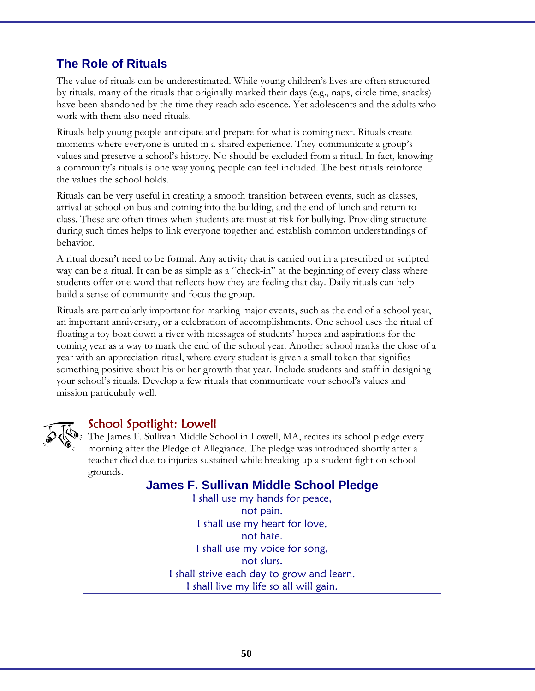# **The Role of Rituals**

The value of rituals can be underestimated. While young children's lives are often structured by rituals, many of the rituals that originally marked their days (e.g., naps, circle time, snacks) have been abandoned by the time they reach adolescence. Yet adolescents and the adults who work with them also need rituals.

Rituals help young people anticipate and prepare for what is coming next. Rituals create moments where everyone is united in a shared experience. They communicate a group's values and preserve a school's history. No should be excluded from a ritual. In fact, knowing a community's rituals is one way young people can feel included. The best rituals reinforce the values the school holds.

Rituals can be very useful in creating a smooth transition between events, such as classes, arrival at school on bus and coming into the building, and the end of lunch and return to class. These are often times when students are most at risk for bullying. Providing structure during such times helps to link everyone together and establish common understandings of behavior.

A ritual doesn't need to be formal. Any activity that is carried out in a prescribed or scripted way can be a ritual. It can be as simple as a "check-in" at the beginning of every class where students offer one word that reflects how they are feeling that day. Daily rituals can help build a sense of community and focus the group.

Rituals are particularly important for marking major events, such as the end of a school year, an important anniversary, or a celebration of accomplishments. One school uses the ritual of floating a toy boat down a river with messages of students' hopes and aspirations for the coming year as a way to mark the end of the school year. Another school marks the close of a year with an appreciation ritual, where every student is given a small token that signifies something positive about his or her growth that year. Include students and staff in designing your school's rituals. Develop a few rituals that communicate your school's values and mission particularly well.



### School Spotlight: Lowell

The James F. Sullivan Middle School in Lowell, MA, recites its school pledge every morning after the Pledge of Allegiance. The pledge was introduced shortly after a teacher died due to injuries sustained while breaking up a student fight on school grounds.

### **James F. Sullivan Middle School Pledge**

I shall use my hands for peace, not pain. I shall use my heart for love, not hate. I shall use my voice for song, not slurs. I shall strive each day to grow and learn. I shall live my life so all will gain.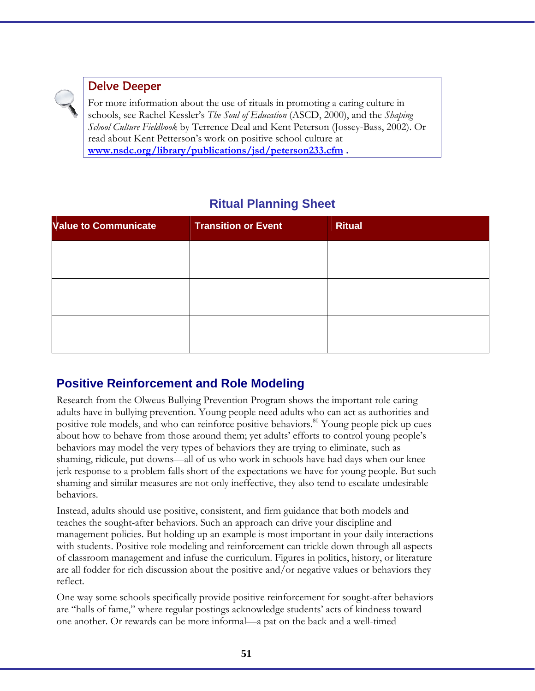

# Delve Deeper

For more information about the use of rituals in promoting a caring culture in schools, see Rachel Kessler's *The Soul of Education* (ASCD, 2000), and the *Shaping School Culture Fieldbook* by Terrence Deal and Kent Peterson (Jossey-Bass, 2002). Or read about Kent Petterson's work on positive school culture at **www.nsdc.org/library/publications/jsd/peterson233.cfm .** 

# **Ritual Planning Sheet**

| <b>Value to Communicate</b> | <b>Transition or Event</b> | <b>Ritual</b> |
|-----------------------------|----------------------------|---------------|
|                             |                            |               |
|                             |                            |               |
|                             |                            |               |
|                             |                            |               |
|                             |                            |               |
|                             |                            |               |

# **Positive Reinforcement and Role Modeling**

Research from the Olweus Bullying Prevention Program shows the important role caring adults have in bullying prevention. Young people need adults who can act as authorities and positive role models, and who can reinforce positive behaviors.<sup>80</sup> Young people pick up cues about how to behave from those around them; yet adults' efforts to control young people's behaviors may model the very types of behaviors they are trying to eliminate, such as shaming, ridicule, put-downs—all of us who work in schools have had days when our knee jerk response to a problem falls short of the expectations we have for young people. But such shaming and similar measures are not only ineffective, they also tend to escalate undesirable behaviors.

Instead, adults should use positive, consistent, and firm guidance that both models and teaches the sought-after behaviors. Such an approach can drive your discipline and management policies. But holding up an example is most important in your daily interactions with students. Positive role modeling and reinforcement can trickle down through all aspects of classroom management and infuse the curriculum. Figures in politics, history, or literature are all fodder for rich discussion about the positive and/or negative values or behaviors they reflect.

One way some schools specifically provide positive reinforcement for sought-after behaviors are "halls of fame," where regular postings acknowledge students' acts of kindness toward one another. Or rewards can be more informal—a pat on the back and a well-timed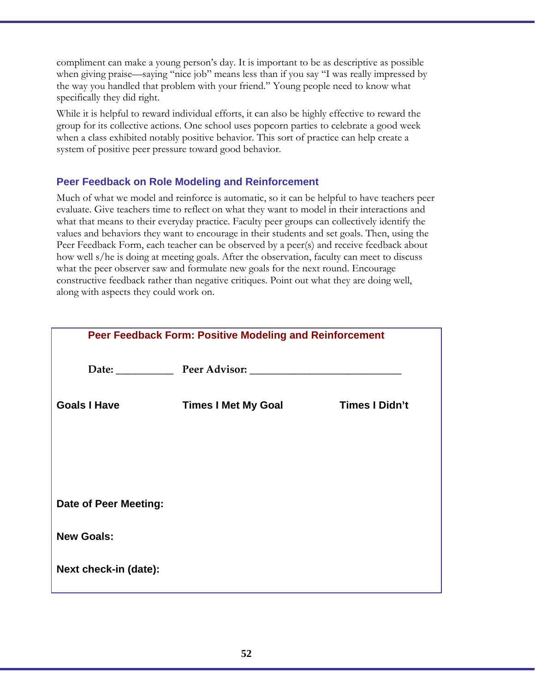compliment can make a young person's day. It is important to be as descriptive as possible when giving praise—saying "nice job" means less than if you say "I was really impressed by the way you handled that problem with your friend." Young people need to know what specifically they did right.

While it is helpful to reward individual efforts, it can also be highly effective to reward the group for its collective actions. One school uses popcorn parties to celebrate a good week when a class exhibited notably positive behavior. This sort of practice can help create a system of positive peer pressure toward good behavior.

### **Peer Feedback on Role Modeling and Reinforcement**

Much of what we model and reinforce is automatic, so it can be helpful to have teachers peer evaluate. Give teachers time to reflect on what they want to model in their interactions and what that means to their everyday practice. Faculty peer groups can collectively identify the values and behaviors they want to encourage in their students and set goals. Then, using the Peer Feedback Form, each teacher can be observed by a peer(s) and receive feedback about how well s/he is doing at meeting goals. After the observation, faculty can meet to discuss what the peer observer saw and formulate new goals for the next round. Encourage constructive feedback rather than negative critiques. Point out what they are doing well, along with aspects they could work on.

| Peer Feedback Form: Positive Modeling and Reinforcement |                                   |                       |
|---------------------------------------------------------|-----------------------------------|-----------------------|
|                                                         | Date: Peer Advisor: Peer Advisor: |                       |
| <b>Goals I Have</b>                                     | <b>Times I Met My Goal</b>        | <b>Times I Didn't</b> |
|                                                         |                                   |                       |
|                                                         |                                   |                       |
| <b>Date of Peer Meeting:</b>                            |                                   |                       |
| <b>New Goals:</b>                                       |                                   |                       |
| Next check-in (date):                                   |                                   |                       |
|                                                         |                                   |                       |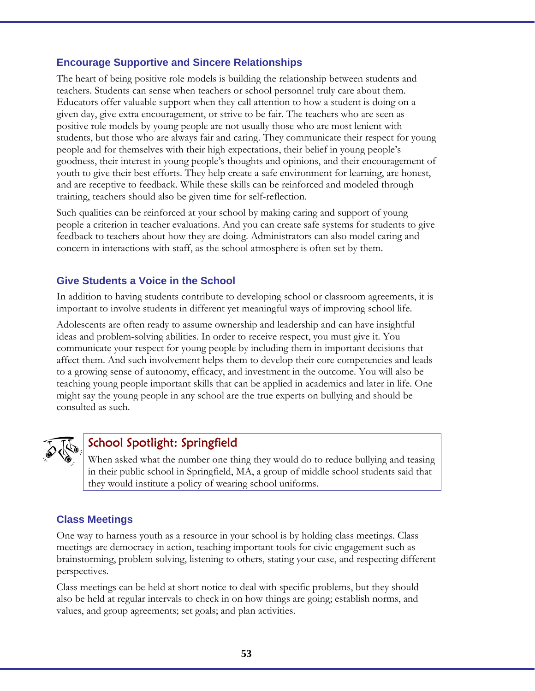#### **Encourage Supportive and Sincere Relationships**

The heart of being positive role models is building the relationship between students and teachers. Students can sense when teachers or school personnel truly care about them. Educators offer valuable support when they call attention to how a student is doing on a given day, give extra encouragement, or strive to be fair. The teachers who are seen as positive role models by young people are not usually those who are most lenient with students, but those who are always fair and caring. They communicate their respect for young people and for themselves with their high expectations, their belief in young people's goodness, their interest in young people's thoughts and opinions, and their encouragement of youth to give their best efforts. They help create a safe environment for learning, are honest, and are receptive to feedback. While these skills can be reinforced and modeled through training, teachers should also be given time for self-reflection.

Such qualities can be reinforced at your school by making caring and support of young people a criterion in teacher evaluations. And you can create safe systems for students to give feedback to teachers about how they are doing. Administrators can also model caring and concern in interactions with staff, as the school atmosphere is often set by them.

### **Give Students a Voice in the School**

In addition to having students contribute to developing school or classroom agreements, it is important to involve students in different yet meaningful ways of improving school life.

Adolescents are often ready to assume ownership and leadership and can have insightful ideas and problem-solving abilities. In order to receive respect, you must give it. You communicate your respect for young people by including them in important decisions that affect them. And such involvement helps them to develop their core competencies and leads to a growing sense of autonomy, efficacy, and investment in the outcome. You will also be teaching young people important skills that can be applied in academics and later in life. One might say the young people in any school are the true experts on bullying and should be consulted as such.



# School Spotlight: Springfield

When asked what the number one thing they would do to reduce bullying and teasing in their public school in Springfield, MA, a group of middle school students said that they would institute a policy of wearing school uniforms.

#### **Class Meetings**

One way to harness youth as a resource in your school is by holding class meetings. Class meetings are democracy in action, teaching important tools for civic engagement such as brainstorming, problem solving, listening to others, stating your case, and respecting different perspectives.

Class meetings can be held at short notice to deal with specific problems, but they should also be held at regular intervals to check in on how things are going; establish norms, and values, and group agreements; set goals; and plan activities.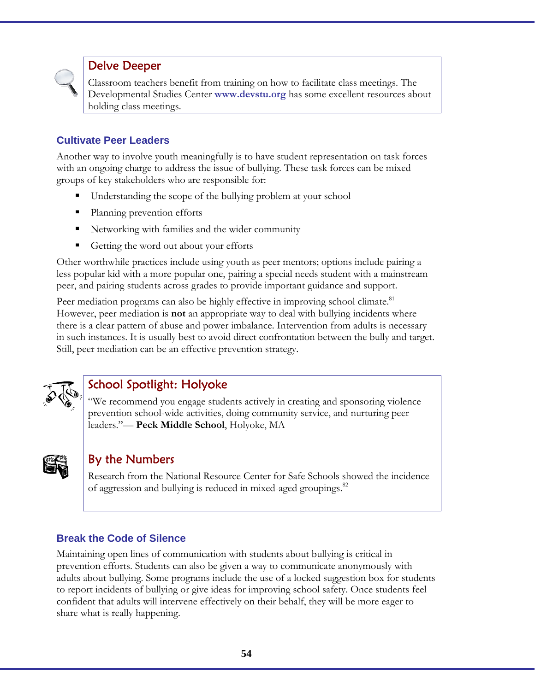

### Delve Deeper

Classroom teachers benefit from training on how to facilitate class meetings. The Developmental Studies Center **www.devstu.org** has some excellent resources about holding class meetings.

### **Cultivate Peer Leaders**

Another way to involve youth meaningfully is to have student representation on task forces with an ongoing charge to address the issue of bullying. These task forces can be mixed groups of key stakeholders who are responsible for:

- Understanding the scope of the bullying problem at your school
- Planning prevention efforts
- Networking with families and the wider community
- Getting the word out about your efforts

Other worthwhile practices include using youth as peer mentors; options include pairing a less popular kid with a more popular one, pairing a special needs student with a mainstream peer, and pairing students across grades to provide important guidance and support.

Peer mediation programs can also be highly effective in improving school climate.<sup>81</sup> However, peer mediation is **not** an appropriate way to deal with bullying incidents where there is a clear pattern of abuse and power imbalance. Intervention from adults is necessary in such instances. It is usually best to avoid direct confrontation between the bully and target. Still, peer mediation can be an effective prevention strategy.



# School Spotlight: Holyoke

"We recommend you engage students actively in creating and sponsoring violence prevention school-wide activities, doing community service, and nurturing peer leaders."— **Peck Middle School**, Holyoke, MA



### By the Numbers

Research from the National Resource Center for Safe Schools showed the incidence of aggression and bullying is reduced in mixed-aged groupings.<sup>82</sup>

### **Break the Code of Silence**

Maintaining open lines of communication with students about bullying is critical in prevention efforts. Students can also be given a way to communicate anonymously with adults about bullying. Some programs include the use of a locked suggestion box for students to report incidents of bullying or give ideas for improving school safety. Once students feel confident that adults will intervene effectively on their behalf, they will be more eager to share what is really happening.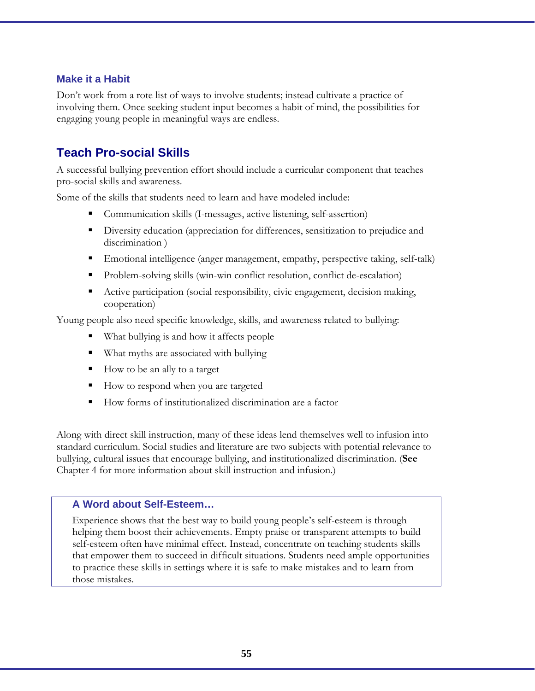#### **Make it a Habit**

Don't work from a rote list of ways to involve students; instead cultivate a practice of involving them. Once seeking student input becomes a habit of mind, the possibilities for engaging young people in meaningful ways are endless.

# **Teach Pro-social Skills**

A successful bullying prevention effort should include a curricular component that teaches pro-social skills and awareness.

Some of the skills that students need to learn and have modeled include:

- Communication skills (I-messages, active listening, self-assertion)
- Diversity education (appreciation for differences, sensitization to prejudice and discrimination )
- Emotional intelligence (anger management, empathy, perspective taking, self-talk)
- Problem-solving skills (win-win conflict resolution, conflict de-escalation)
- Active participation (social responsibility, civic engagement, decision making, cooperation)

Young people also need specific knowledge, skills, and awareness related to bullying:

- What bullying is and how it affects people
- What myths are associated with bullying
- How to be an ally to a target
- How to respond when you are targeted
- How forms of institutionalized discrimination are a factor

Along with direct skill instruction, many of these ideas lend themselves well to infusion into standard curriculum. Social studies and literature are two subjects with potential relevance to bullying, cultural issues that encourage bullying, and institutionalized discrimination. (**See** Chapter 4 for more information about skill instruction and infusion.)

#### **A Word about Self-Esteem…**

Experience shows that the best way to build young people's self-esteem is through helping them boost their achievements. Empty praise or transparent attempts to build self-esteem often have minimal effect. Instead, concentrate on teaching students skills that empower them to succeed in difficult situations. Students need ample opportunities to practice these skills in settings where it is safe to make mistakes and to learn from those mistakes.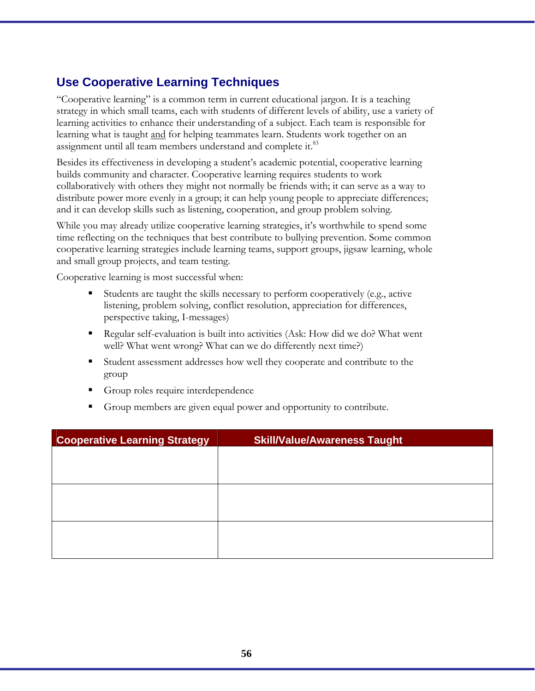# **Use Cooperative Learning Techniques**

"Cooperative learning" is a common term in current educational jargon. It is a teaching strategy in which small teams, each with students of different levels of ability, use a variety of learning activities to enhance their understanding of a subject. Each team is responsible for learning what is taught and for helping teammates learn. Students work together on an assignment until all team members understand and complete it.<sup>83</sup>

Besides its effectiveness in developing a student's academic potential, cooperative learning builds community and character. Cooperative learning requires students to work collaboratively with others they might not normally be friends with; it can serve as a way to distribute power more evenly in a group; it can help young people to appreciate differences; and it can develop skills such as listening, cooperation, and group problem solving.

While you may already utilize cooperative learning strategies, it's worthwhile to spend some time reflecting on the techniques that best contribute to bullying prevention. Some common cooperative learning strategies include learning teams, support groups, jigsaw learning, whole and small group projects, and team testing.

Cooperative learning is most successful when:

- Students are taught the skills necessary to perform cooperatively (e.g., active listening, problem solving, conflict resolution, appreciation for differences, perspective taking, I-messages)
- Regular self-evaluation is built into activities (Ask: How did we do? What went well? What went wrong? What can we do differently next time?)
- Student assessment addresses how well they cooperate and contribute to the group
- Group roles require interdependence
- Group members are given equal power and opportunity to contribute.

| <b>Cooperative Learning Strategy</b> | <b>Skill/Value/Awareness Taught</b> |
|--------------------------------------|-------------------------------------|
|                                      |                                     |
|                                      |                                     |
|                                      |                                     |
|                                      |                                     |
|                                      |                                     |
|                                      |                                     |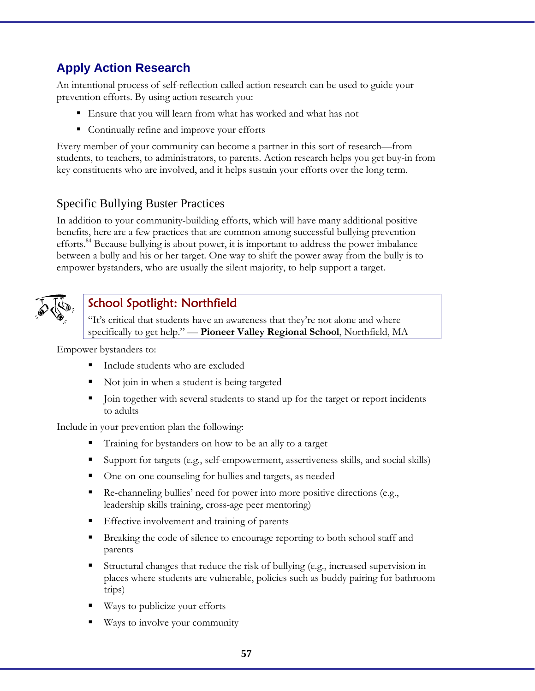# **Apply Action Research**

An intentional process of self-reflection called action research can be used to guide your prevention efforts. By using action research you:

- Ensure that you will learn from what has worked and what has not
- Continually refine and improve your efforts

Every member of your community can become a partner in this sort of research—from students, to teachers, to administrators, to parents. Action research helps you get buy-in from key constituents who are involved, and it helps sustain your efforts over the long term.

### Specific Bullying Buster Practices

In addition to your community-building efforts, which will have many additional positive benefits, here are a few practices that are common among successful bullying prevention efforts.<sup>84</sup> Because bullying is about power, it is important to address the power imbalance between a bully and his or her target. One way to shift the power away from the bully is to empower bystanders, who are usually the silent majority, to help support a target.



# School Spotlight: Northfield

"It's critical that students have an awareness that they're not alone and where specifically to get help." — **Pioneer Valley Regional School**, Northfield, MA

Empower bystanders to:

- Include students who are excluded
- Not join in when a student is being targeted
- Join together with several students to stand up for the target or report incidents to adults

Include in your prevention plan the following:

- Training for bystanders on how to be an ally to a target
- Support for targets (e.g., self-empowerment, assertiveness skills, and social skills)
- One-on-one counseling for bullies and targets, as needed
- Re-channeling bullies' need for power into more positive directions (e.g., leadership skills training, cross-age peer mentoring)
- Effective involvement and training of parents
- Breaking the code of silence to encourage reporting to both school staff and parents
- Structural changes that reduce the risk of bullying (e.g., increased supervision in places where students are vulnerable, policies such as buddy pairing for bathroom trips)
- Ways to publicize your efforts
- Ways to involve your community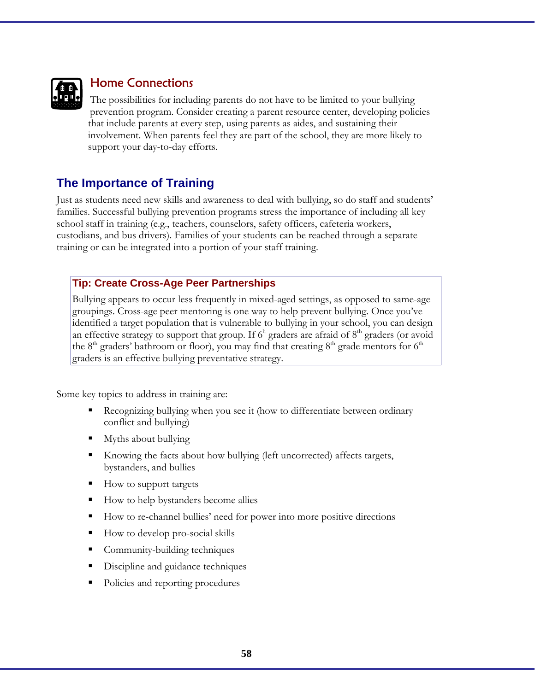

# Home Connections

The possibilities for including parents do not have to be limited to your bullying prevention program. Consider creating a parent resource center, developing policies that include parents at every step, using parents as aides, and sustaining their involvement. When parents feel they are part of the school, they are more likely to support your day-to-day efforts.

# **The Importance of Training**

Just as students need new skills and awareness to deal with bullying, so do staff and students' families. Successful bullying prevention programs stress the importance of including all key school staff in training (e.g., teachers, counselors, safety officers, cafeteria workers, custodians, and bus drivers). Families of your students can be reached through a separate training or can be integrated into a portion of your staff training.

### **Tip: Create Cross-Age Peer Partnerships**

Bullying appears to occur less frequently in mixed-aged settings, as opposed to same-age groupings. Cross-age peer mentoring is one way to help prevent bullying. Once you've identified a target population that is vulnerable to bullying in your school, you can design an effective strategy to support that group. If  $6<sup>h</sup>$  graders are afraid of  $8<sup>th</sup>$  graders (or avoid the 8<sup>th</sup> graders' bathroom or floor), you may find that creating 8<sup>th</sup> grade mentors for 6<sup>th</sup> graders is an effective bullying preventative strategy.

Some key topics to address in training are:

- Recognizing bullying when you see it (how to differentiate between ordinary conflict and bullying)
- Myths about bullying
- Knowing the facts about how bullying (left uncorrected) affects targets, bystanders, and bullies
- How to support targets
- How to help bystanders become allies
- How to re-channel bullies' need for power into more positive directions
- How to develop pro-social skills
- Community-building techniques
- Discipline and guidance techniques
- Policies and reporting procedures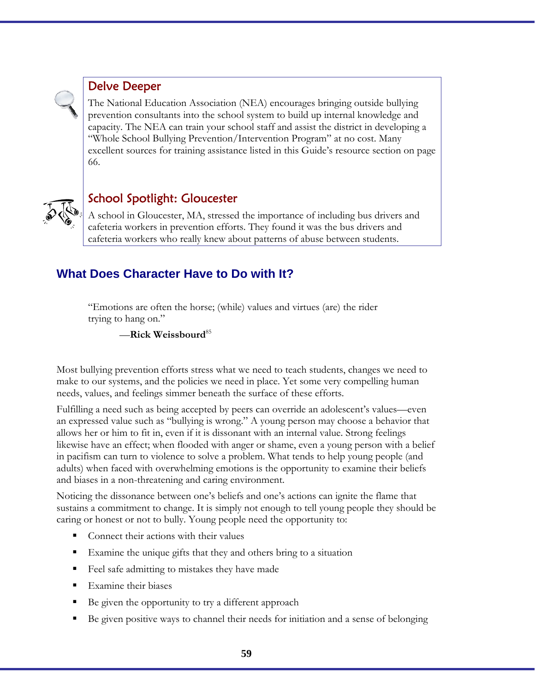

# Delve Deeper

The National Education Association (NEA) encourages bringing outside bullying prevention consultants into the school system to build up internal knowledge and capacity. The NEA can train your school staff and assist the district in developing a "Whole School Bullying Prevention/Intervention Program" at no cost. Many excellent sources for training assistance listed in this Guide's resource section on page 66.



# School Spotlight: Gloucester

A school in Gloucester, MA, stressed the importance of including bus drivers and cafeteria workers in prevention efforts. They found it was the bus drivers and cafeteria workers who really knew about patterns of abuse between students.

# **What Does Character Have to Do with It?**

"Emotions are often the horse; (while) values and virtues (are) the rider trying to hang on."

—**Rick Weissbourd**<sup>85</sup>

Most bullying prevention efforts stress what we need to teach students, changes we need to make to our systems, and the policies we need in place. Yet some very compelling human needs, values, and feelings simmer beneath the surface of these efforts.

Fulfilling a need such as being accepted by peers can override an adolescent's values—even an expressed value such as "bullying is wrong." A young person may choose a behavior that allows her or him to fit in, even if it is dissonant with an internal value. Strong feelings likewise have an effect; when flooded with anger or shame, even a young person with a belief in pacifism can turn to violence to solve a problem. What tends to help young people (and adults) when faced with overwhelming emotions is the opportunity to examine their beliefs and biases in a non-threatening and caring environment.

Noticing the dissonance between one's beliefs and one's actions can ignite the flame that sustains a commitment to change. It is simply not enough to tell young people they should be caring or honest or not to bully. Young people need the opportunity to:

- Connect their actions with their values
- Examine the unique gifts that they and others bring to a situation
- Feel safe admitting to mistakes they have made
- Examine their biases
- Be given the opportunity to try a different approach
- Be given positive ways to channel their needs for initiation and a sense of belonging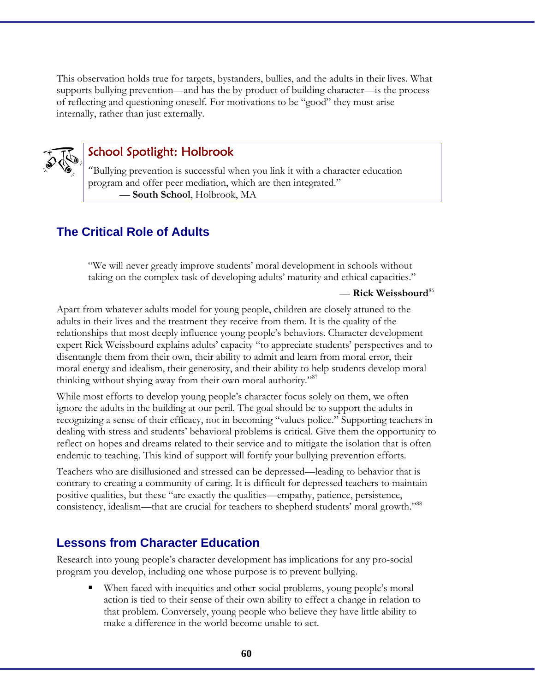This observation holds true for targets, bystanders, bullies, and the adults in their lives. What supports bullying prevention—and has the by-product of building character—is the process of reflecting and questioning oneself. For motivations to be "good" they must arise internally, rather than just externally.



### School Spotlight: Holbrook

"Bullying prevention is successful when you link it with a character education program and offer peer mediation, which are then integrated." — **South School**, Holbrook, MA

# **The Critical Role of Adults**

"We will never greatly improve students' moral development in schools without taking on the complex task of developing adults' maturity and ethical capacities."

— **Rick Weissbourd**<sup>86</sup>

Apart from whatever adults model for young people, children are closely attuned to the adults in their lives and the treatment they receive from them. It is the quality of the relationships that most deeply influence young people's behaviors. Character development expert Rick Weissbourd explains adults' capacity "to appreciate students' perspectives and to disentangle them from their own, their ability to admit and learn from moral error, their moral energy and idealism, their generosity, and their ability to help students develop moral thinking without shying away from their own moral authority."

While most efforts to develop young people's character focus solely on them, we often ignore the adults in the building at our peril. The goal should be to support the adults in recognizing a sense of their efficacy, not in becoming "values police." Supporting teachers in dealing with stress and students' behavioral problems is critical. Give them the opportunity to reflect on hopes and dreams related to their service and to mitigate the isolation that is often endemic to teaching. This kind of support will fortify your bullying prevention efforts.

Teachers who are disillusioned and stressed can be depressed—leading to behavior that is contrary to creating a community of caring. It is difficult for depressed teachers to maintain positive qualities, but these "are exactly the qualities—empathy, patience, persistence, consistency, idealism—that are crucial for teachers to shepherd students' moral growth."88

### **Lessons from Character Education**

Research into young people's character development has implications for any pro-social program you develop, including one whose purpose is to prevent bullying.

 When faced with inequities and other social problems, young people's moral action is tied to their sense of their own ability to effect a change in relation to that problem. Conversely, young people who believe they have little ability to make a difference in the world become unable to act.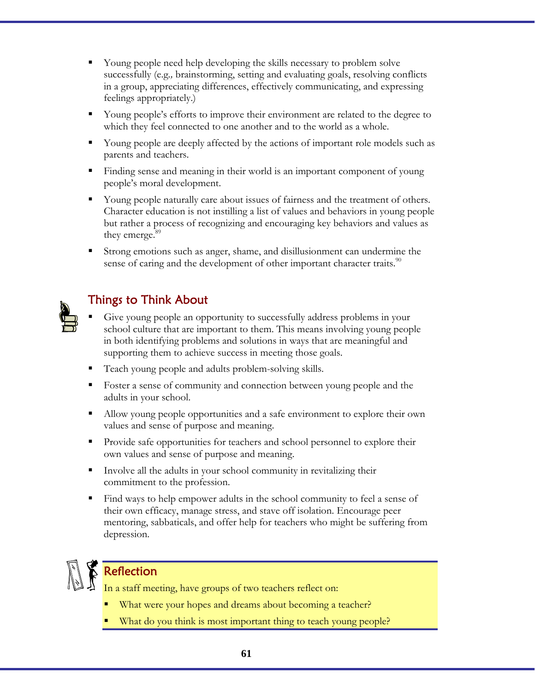- Young people need help developing the skills necessary to problem solve successfully (e.g*.,* brainstorming, setting and evaluating goals, resolving conflicts in a group, appreciating differences, effectively communicating, and expressing feelings appropriately.)
- Young people's efforts to improve their environment are related to the degree to which they feel connected to one another and to the world as a whole.
- Young people are deeply affected by the actions of important role models such as parents and teachers.
- Finding sense and meaning in their world is an important component of young people's moral development.
- Young people naturally care about issues of fairness and the treatment of others. Character education is not instilling a list of values and behaviors in young people but rather a process of recognizing and encouraging key behaviors and values as they emerge.<sup>89</sup>
- Strong emotions such as anger, shame, and disillusionment can undermine the sense of caring and the development of other important character traits.<sup>90</sup>

# Things to Think About

- Give young people an opportunity to successfully address problems in your school culture that are important to them. This means involving young people in both identifying problems and solutions in ways that are meaningful and supporting them to achieve success in meeting those goals.
- Teach young people and adults problem-solving skills.
- Foster a sense of community and connection between young people and the adults in your school.
- Allow young people opportunities and a safe environment to explore their own values and sense of purpose and meaning.
- Provide safe opportunities for teachers and school personnel to explore their own values and sense of purpose and meaning.
- Involve all the adults in your school community in revitalizing their commitment to the profession.
- Find ways to help empower adults in the school community to feel a sense of their own efficacy, manage stress, and stave off isolation. Encourage peer mentoring, sabbaticals, and offer help for teachers who might be suffering from depression.



# Reflection

In a staff meeting, have groups of two teachers reflect on:

- What were your hopes and dreams about becoming a teacher?
- What do you think is most important thing to teach young people?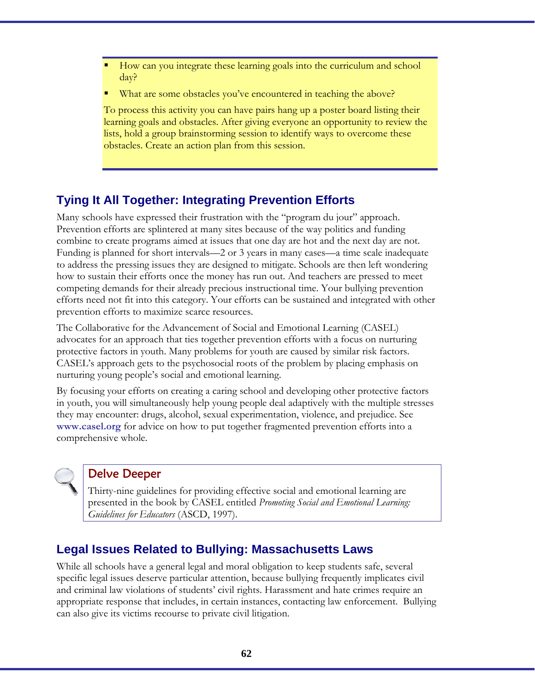- How can you integrate these learning goals into the curriculum and school day?
- What are some obstacles you've encountered in teaching the above?

To process this activity you can have pairs hang up a poster board listing their learning goals and obstacles. After giving everyone an opportunity to review the lists, hold a group brainstorming session to identify ways to overcome these obstacles. Create an action plan from this session.

# **Tying It All Together: Integrating Prevention Efforts**

Many schools have expressed their frustration with the "program du jour" approach. Prevention efforts are splintered at many sites because of the way politics and funding combine to create programs aimed at issues that one day are hot and the next day are not. Funding is planned for short intervals—2 or 3 years in many cases—a time scale inadequate to address the pressing issues they are designed to mitigate. Schools are then left wondering how to sustain their efforts once the money has run out. And teachers are pressed to meet competing demands for their already precious instructional time. Your bullying prevention efforts need not fit into this category. Your efforts can be sustained and integrated with other prevention efforts to maximize scarce resources.

The Collaborative for the Advancement of Social and Emotional Learning (CASEL) advocates for an approach that ties together prevention efforts with a focus on nurturing protective factors in youth. Many problems for youth are caused by similar risk factors. CASEL's approach gets to the psychosocial roots of the problem by placing emphasis on nurturing young people's social and emotional learning.

By focusing your efforts on creating a caring school and developing other protective factors in youth, you will simultaneously help young people deal adaptively with the multiple stresses they may encounter: drugs, alcohol, sexual experimentation, violence, and prejudice. See **www.casel.org** for advice on how to put together fragmented prevention efforts into a comprehensive whole.



### Delve Deeper

Thirty-nine guidelines for providing effective social and emotional learning are presented in the book by CASEL entitled *Promoting Social and Emotional Learning: Guidelines for Educators* (ASCD, 1997).

# **Legal Issues Related to Bullying: Massachusetts Laws**

While all schools have a general legal and moral obligation to keep students safe, several specific legal issues deserve particular attention, because bullying frequently implicates civil and criminal law violations of students' civil rights. Harassment and hate crimes require an appropriate response that includes, in certain instances, contacting law enforcement. Bullying can also give its victims recourse to private civil litigation.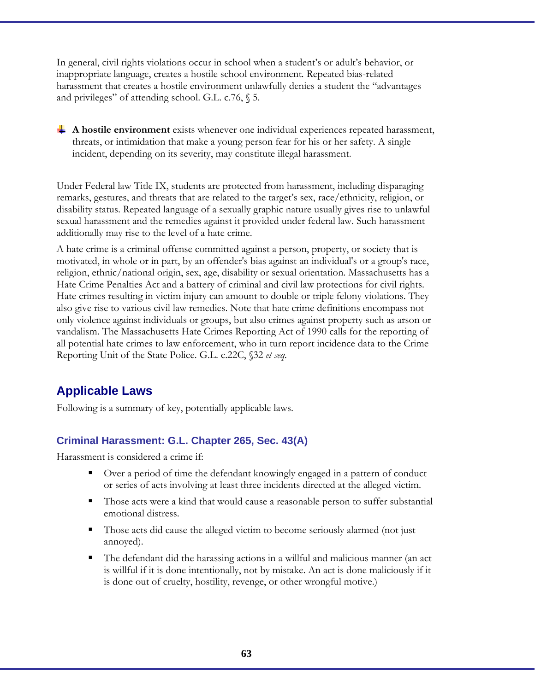In general, civil rights violations occur in school when a student's or adult's behavior, or inappropriate language, creates a hostile school environment*.* Repeated bias-related harassment that creates a hostile environment unlawfully denies a student the "advantages and privileges" of attending school. G.L. c.76, § 5.

A hostile environment exists whenever one individual experiences repeated harassment, threats, or intimidation that make a young person fear for his or her safety. A single incident, depending on its severity, may constitute illegal harassment.

Under Federal law Title IX, students are protected from harassment, including disparaging remarks, gestures, and threats that are related to the target's sex, race/ethnicity, religion, or disability status. Repeated language of a sexually graphic nature usually gives rise to unlawful sexual harassment and the remedies against it provided under federal law. Such harassment additionally may rise to the level of a hate crime.

A hate crime is a criminal offense committed against a person, property, or society that is motivated, in whole or in part, by an offender's bias against an individual's or a group's race, religion, ethnic/national origin, sex, age, disability or sexual orientation. Massachusetts has a Hate Crime Penalties Act and a battery of criminal and civil law protections for civil rights. Hate crimes resulting in victim injury can amount to double or triple felony violations. They also give rise to various civil law remedies. Note that hate crime definitions encompass not only violence against individuals or groups, but also crimes against property such as arson or vandalism. The Massachusetts Hate Crimes Reporting Act of 1990 calls for the reporting of all potential hate crimes to law enforcement, who in turn report incidence data to the Crime Reporting Unit of the State Police. G.L. c.22C, §32 *et seq.* 

# **Applicable Laws**

Following is a summary of key, potentially applicable laws.

### **Criminal Harassment: G.L. Chapter 265, Sec. 43(A)**

Harassment is considered a crime if:

- Over a period of time the defendant knowingly engaged in a pattern of conduct or series of acts involving at least three incidents directed at the alleged victim.
- Those acts were a kind that would cause a reasonable person to suffer substantial emotional distress.
- Those acts did cause the alleged victim to become seriously alarmed (not just annoyed).
- The defendant did the harassing actions in a willful and malicious manner (an act is willful if it is done intentionally, not by mistake. An act is done maliciously if it is done out of cruelty, hostility, revenge, or other wrongful motive.)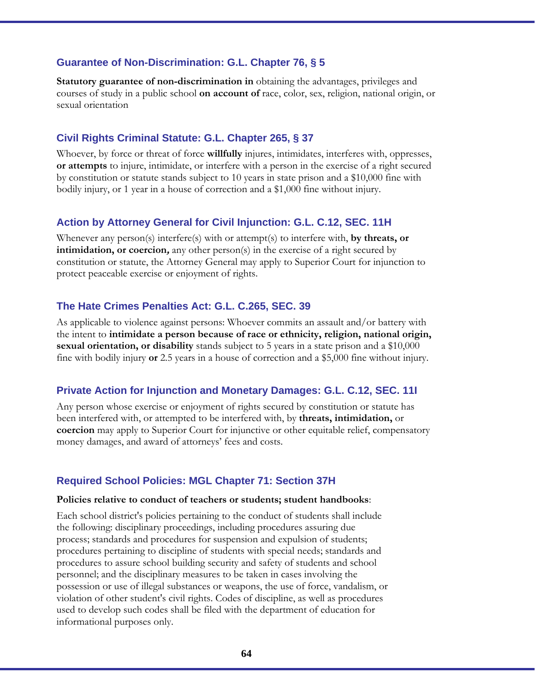#### **Guarantee of Non-Discrimination: G.L. Chapter 76, § 5**

**Statutory guarantee of non-discrimination in** obtaining the advantages, privileges and courses of study in a public school **on account of** race, color, sex, religion, national origin, or sexual orientation

#### **Civil Rights Criminal Statute: G.L. Chapter 265, § 37**

Whoever, by force or threat of force **willfully** injures, intimidates, interferes with, oppresses, **or attempts** to injure, intimidate, or interfere with a person in the exercise of a right secured by constitution or statute stands subject to 10 years in state prison and a \$10,000 fine with bodily injury, or 1 year in a house of correction and a \$1,000 fine without injury.

#### **Action by Attorney General for Civil Injunction: G.L. C.12, SEC. 11H**

Whenever any person(s) interfere(s) with or attempt(s) to interfere with, **by threats, or intimidation, or coercion,** any other person(s) in the exercise of a right secured by constitution or statute, the Attorney General may apply to Superior Court for injunction to protect peaceable exercise or enjoyment of rights.

#### **The Hate Crimes Penalties Act: G.L. C.265, SEC. 39**

As applicable to violence against persons: Whoever commits an assault and/or battery with the intent to **intimidate a person because of race or ethnicity, religion, national origin, sexual orientation, or disability** stands subject to 5 years in a state prison and a \$10,000 fine with bodily injury **or** 2.5 years in a house of correction and a \$5,000 fine without injury.

#### **Private Action for Injunction and Monetary Damages: G.L. C.12, SEC. 11I**

Any person whose exercise or enjoyment of rights secured by constitution or statute has been interfered with, or attempted to be interfered with, by **threats, intimidation,** or **coercion** may apply to Superior Court for injunctive or other equitable relief, compensatory money damages, and award of attorneys' fees and costs.

#### **Required School Policies: MGL Chapter 71: Section 37H**

#### **Policies relative to conduct of teachers or students; student handbooks**:

Each school district's policies pertaining to the conduct of students shall include the following: disciplinary proceedings, including procedures assuring due process; standards and procedures for suspension and expulsion of students; procedures pertaining to discipline of students with special needs; standards and procedures to assure school building security and safety of students and school personnel; and the disciplinary measures to be taken in cases involving the possession or use of illegal substances or weapons, the use of force, vandalism, or violation of other student's civil rights. Codes of discipline, as well as procedures used to develop such codes shall be filed with the department of education for informational purposes only.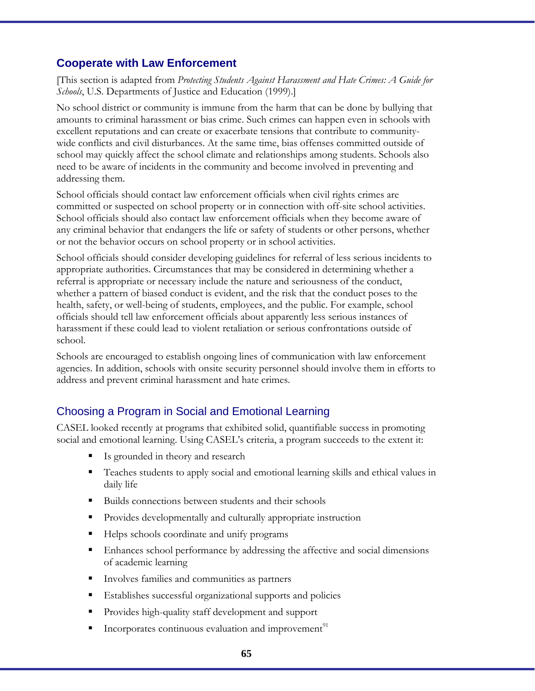### **Cooperate with Law Enforcement**

[This section is adapted from *Protecting Students Against Harassment and Hate Crimes: A Guide for Schools*, U.S. Departments of Justice and Education (1999).]

No school district or community is immune from the harm that can be done by bullying that amounts to criminal harassment or bias crime. Such crimes can happen even in schools with excellent reputations and can create or exacerbate tensions that contribute to communitywide conflicts and civil disturbances. At the same time, bias offenses committed outside of school may quickly affect the school climate and relationships among students. Schools also need to be aware of incidents in the community and become involved in preventing and addressing them.

School officials should contact law enforcement officials when civil rights crimes are committed or suspected on school property or in connection with off-site school activities. School officials should also contact law enforcement officials when they become aware of any criminal behavior that endangers the life or safety of students or other persons, whether or not the behavior occurs on school property or in school activities.

School officials should consider developing guidelines for referral of less serious incidents to appropriate authorities. Circumstances that may be considered in determining whether a referral is appropriate or necessary include the nature and seriousness of the conduct, whether a pattern of biased conduct is evident, and the risk that the conduct poses to the health, safety, or well-being of students, employees, and the public. For example, school officials should tell law enforcement officials about apparently less serious instances of harassment if these could lead to violent retaliation or serious confrontations outside of school.

Schools are encouraged to establish ongoing lines of communication with law enforcement agencies. In addition, schools with onsite security personnel should involve them in efforts to address and prevent criminal harassment and hate crimes.

# Choosing a Program in Social and Emotional Learning

CASEL looked recently at programs that exhibited solid, quantifiable success in promoting social and emotional learning. Using CASEL's criteria, a program succeeds to the extent it:

- Is grounded in theory and research
- Teaches students to apply social and emotional learning skills and ethical values in daily life
- Builds connections between students and their schools
- Provides developmentally and culturally appropriate instruction
- Helps schools coordinate and unify programs
- Enhances school performance by addressing the affective and social dimensions of academic learning
- Involves families and communities as partners
- Establishes successful organizational supports and policies
- Provides high-quality staff development and support
- Incorporates continuous evaluation and improvement $91$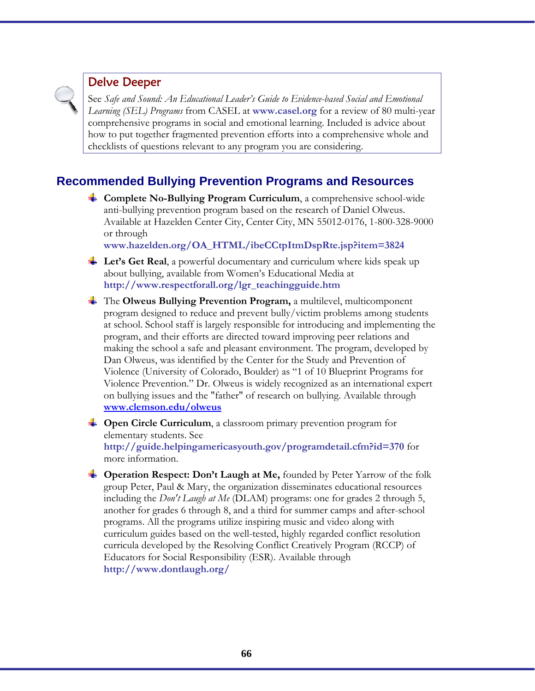### Delve Deeper

See *Safe and Sound: An Educational Leader's Guide to Evidence-based Social and Emotional Learning (SEL) Programs* from CASEL at **www.casel.org** for a review of 80 multi-year comprehensive programs in social and emotional learning. Included is advice about how to put together fragmented prevention efforts into a comprehensive whole and checklists of questions relevant to any program you are considering.

# **Recommended Bullying Prevention Programs and Resources**

**Complete No-Bullying Program Curriculum**, a comprehensive school-wide anti-bullying prevention program based on the research of Daniel Olweus. Available at Hazelden Center City, Center City, MN 55012-0176, 1-800-328-9000 or through

**www.hazelden.org/OA\_HTML/ibeCCtpItmDspRte.jsp?item=3824**

- **Let's Get Real**, a powerful documentary and curriculum where kids speak up about bullying, available from Women's Educational Media at **http://www.respectforall.org/lgr\_teachingguide.htm**
- The **Olweus Bullying Prevention Program,** a multilevel, multicomponent program designed to reduce and prevent bully/victim problems among students at school. School staff is largely responsible for introducing and implementing the program, and their efforts are directed toward improving peer relations and making the school a safe and pleasant environment. The program, developed by Dan Olweus, was identified by the Center for the Study and Prevention of Violence (University of Colorado, Boulder) as "1 of 10 Blueprint Programs for Violence Prevention." Dr. Olweus is widely recognized as an international expert on bullying issues and the "father" of research on bullying. Available through **www.clemson.edu/olweus**
- **Circle Curriculum**, a classroom primary prevention program for elementary students. See **http://guide.helpingamericasyouth.gov/programdetail.cfm?id=370** for more information.
- **Conduct Don't Laugh at Me, founded by Peter Yarrow of the folk** group Peter, Paul & Mary, the organization disseminates educational resources including the *Don't Laugh at Me* (DLAM) programs: one for grades 2 through 5, another for grades 6 through 8, and a third for summer camps and after-school programs. All the programs utilize inspiring music and video along with curriculum guides based on the well-tested, highly regarded conflict resolution curricula developed by the Resolving Conflict Creatively Program (RCCP) of Educators for Social Responsibility (ESR). Available through **http://www.dontlaugh.org/**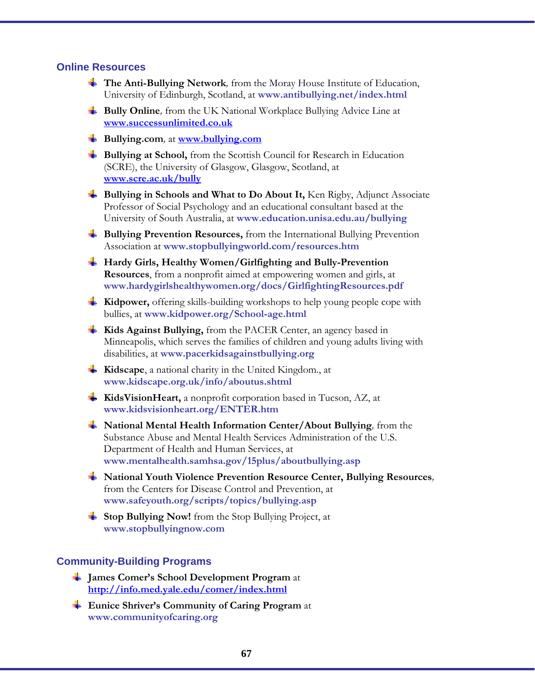#### **Online Resources**

- **The Anti-Bullying Network***,* from the Moray House Institute of Education, University of Edinburgh, Scotland, at **www.antibullying.net/index.html**
- **Bully Online***,* from the UK National Workplace Bullying Advice Line at **www.successunlimited.co.uk**
- **Bullying.com***,* at **www.bullying.com**
- **Bullying at School,** from the Scottish Council for Research in Education (SCRE), the University of Glasgow, Glasgow, Scotland, at **www.scre.ac.uk/bully**
- **Bullying in Schools and What to Do About It,** Ken Rigby, Adjunct Associate Professor of Social Psychology and an educational consultant based at the University of South Australia, at **www.education.unisa.edu.au/bullying**
- **Bullying Prevention Resources,** from the International Bullying Prevention Association at **www.stopbullyingworld.com/resources.htm**
- **Hardy Girls, Healthy Women/Girlfighting and Bully-Prevention Resources**, from a nonprofit aimed at empowering women and girls, at **www.hardygirlshealthywomen.org/docs/GirlfightingResources.pdf**
- **Kidpower,** offering skills-building workshops to help young people cope with bullies, at **www.kidpower.org/School-age.html**
- **Kids Against Bullying,** from the PACER Center, an agency based in Minneapolis, which serves the families of children and young adults living with disabilities, at **www.pacerkidsagainstbullying.org**
- **Kidscape**, a national charity in the United Kingdom., at **www.kidscape.org.uk/info/aboutus.shtml**
- **KidsVisionHeart,** a nonprofit corporation based in Tucson, AZ, at **www.kidsvisionheart.org/ENTER.htm**
- **National Mental Health Information Center/About Bullying***,* from the Substance Abuse and Mental Health Services Administration of the U.S. Department of Health and Human Services, at **www.mentalhealth.samhsa.gov/15plus/aboutbullying.asp**
- **National Youth Violence Prevention Resource Center, Bullying Resources***,*  from the Centers for Disease Control and Prevention, at **www.safeyouth.org/scripts/topics/bullying.asp**
- **Stop Bullying Now!** from the Stop Bullying Project, at **www.stopbullyingnow.com**

#### **Community-Building Programs**

- **James Comer's School Development Program** at **http://info.med.yale.edu/comer/index.html**
- **Eunice Shriver's Community of Caring Program** at **www.communityofcaring.org**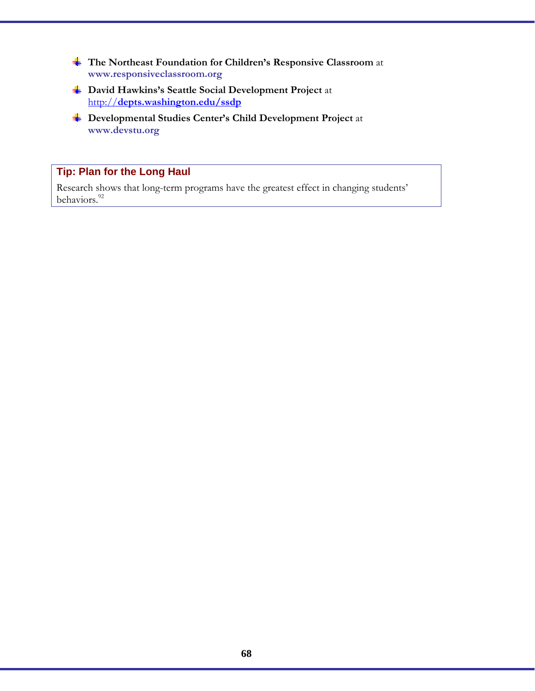- **The Northeast Foundation for Children's Responsive Classroom** at **www.responsiveclassroom.org**
- **David Hawkins's Seattle Social Development Project** at http://**depts.washington.edu/ssdp**
- **Developmental Studies Center's Child Development Project** at **www.devstu.org**

### **Tip: Plan for the Long Haul**

Research shows that long-term programs have the greatest effect in changing students' behaviors.<sup>92</sup>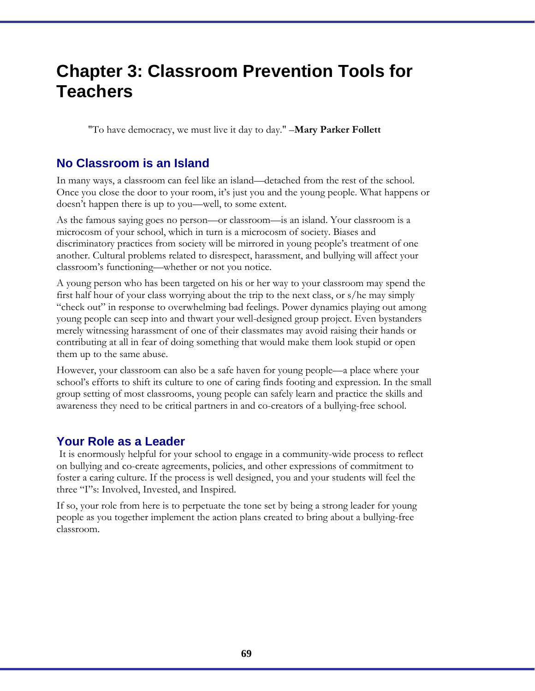# **Chapter 3: Classroom Prevention Tools for Teachers**

"To have democracy, we must live it day to day." –**Mary Parker Follett**

### **No Classroom is an Island**

In many ways, a classroom can feel like an island––detached from the rest of the school. Once you close the door to your room, it's just you and the young people. What happens or doesn't happen there is up to you––well, to some extent.

As the famous saying goes no person—or classroom—is an island. Your classroom is a microcosm of your school, which in turn is a microcosm of society. Biases and discriminatory practices from society will be mirrored in young people's treatment of one another. Cultural problems related to disrespect, harassment, and bullying will affect your classroom's functioning—whether or not you notice.

A young person who has been targeted on his or her way to your classroom may spend the first half hour of your class worrying about the trip to the next class, or s/he may simply "check out" in response to overwhelming bad feelings. Power dynamics playing out among young people can seep into and thwart your well-designed group project. Even bystanders merely witnessing harassment of one of their classmates may avoid raising their hands or contributing at all in fear of doing something that would make them look stupid or open them up to the same abuse.

However, your classroom can also be a safe haven for young people—a place where your school's efforts to shift its culture to one of caring finds footing and expression. In the small group setting of most classrooms, young people can safely learn and practice the skills and awareness they need to be critical partners in and co-creators of a bullying-free school.

### **Your Role as a Leader**

It is enormously helpful for your school to engage in a community-wide process to reflect on bullying and co-create agreements, policies, and other expressions of commitment to foster a caring culture. If the process is well designed, you and your students will feel the three "I"s: Involved, Invested, and Inspired.

If so, your role from here is to perpetuate the tone set by being a strong leader for young people as you together implement the action plans created to bring about a bullying-free classroom.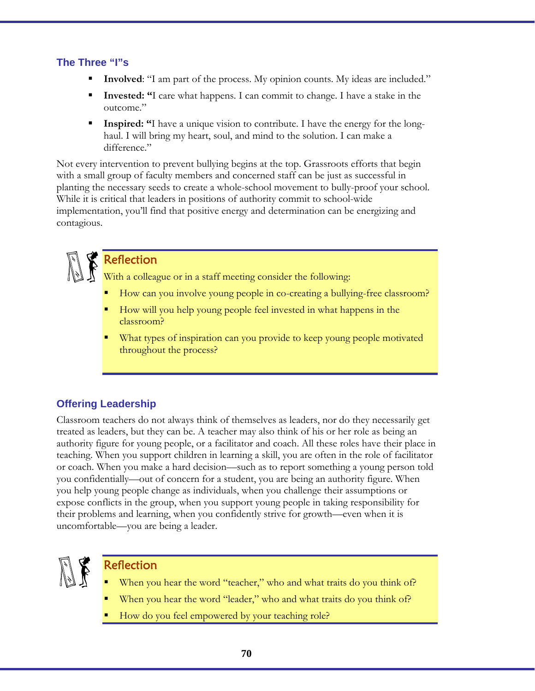### **The Three "I"s**

- **Involved**: "I am part of the process. My opinion counts. My ideas are included."
- **Invested: "**I care what happens. I can commit to change. I have a stake in the outcome."
- **Inspired: "**I have a unique vision to contribute. I have the energy for the longhaul. I will bring my heart, soul, and mind to the solution. I can make a difference."

Not every intervention to prevent bullying begins at the top. Grassroots efforts that begin with a small group of faculty members and concerned staff can be just as successful in planting the necessary seeds to create a whole-school movement to bully-proof your school. While it is critical that leaders in positions of authority commit to school-wide implementation, you'll find that positive energy and determination can be energizing and contagious.

# Reflection

With a colleague or in a staff meeting consider the following:

- How can you involve young people in co-creating a bullying-free classroom?
- How will you help young people feel invested in what happens in the classroom?
- What types of inspiration can you provide to keep young people motivated throughout the process?

# **Offering Leadership**

Classroom teachers do not always think of themselves as leaders, nor do they necessarily get treated as leaders, but they can be. A teacher may also think of his or her role as being an authority figure for young people, or a facilitator and coach. All these roles have their place in teaching. When you support children in learning a skill, you are often in the role of facilitator or coach. When you make a hard decision––such as to report something a young person told you confidentially––out of concern for a student, you are being an authority figure. When you help young people change as individuals, when you challenge their assumptions or expose conflicts in the group, when you support young people in taking responsibility for their problems and learning, when you confidently strive for growth—even when it is uncomfortable—you are being a leader.



# Reflection

- When you hear the word "teacher," who and what traits do you think of?
- When you hear the word "leader," who and what traits do you think of?
- How do you feel empowered by your teaching role?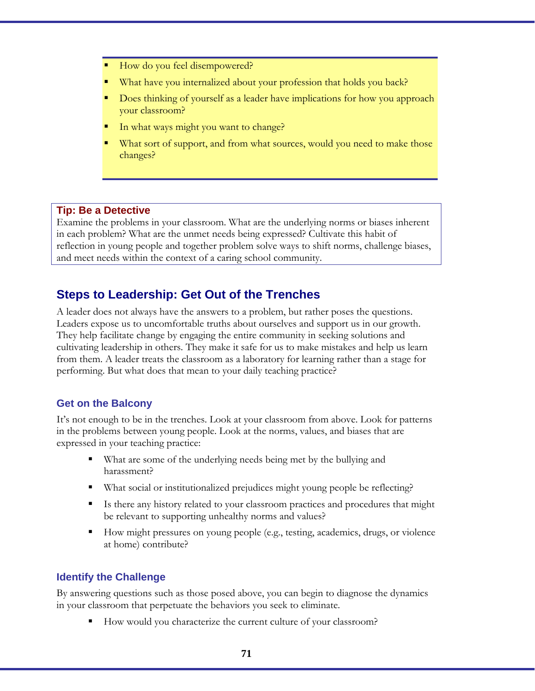- How do you feel disempowered?
- What have you internalized about your profession that holds you back?
- Does thinking of yourself as a leader have implications for how you approach your classroom?
- In what ways might you want to change?
- What sort of support, and from what sources, would you need to make those changes?

#### **Tip: Be a Detective**

Examine the problems in your classroom. What are the underlying norms or biases inherent in each problem? What are the unmet needs being expressed? Cultivate this habit of reflection in young people and together problem solve ways to shift norms, challenge biases, and meet needs within the context of a caring school community.

# **Steps to Leadership: Get Out of the Trenches**

A leader does not always have the answers to a problem, but rather poses the questions. Leaders expose us to uncomfortable truths about ourselves and support us in our growth. They help facilitate change by engaging the entire community in seeking solutions and cultivating leadership in others. They make it safe for us to make mistakes and help us learn from them. A leader treats the classroom as a laboratory for learning rather than a stage for performing. But what does that mean to your daily teaching practice?

#### **Get on the Balcony**

It's not enough to be in the trenches. Look at your classroom from above. Look for patterns in the problems between young people. Look at the norms, values, and biases that are expressed in your teaching practice:

- What are some of the underlying needs being met by the bullying and harassment?
- What social or institutionalized prejudices might young people be reflecting?
- Is there any history related to your classroom practices and procedures that might be relevant to supporting unhealthy norms and values?
- How might pressures on young people (e.g., testing, academics, drugs, or violence at home) contribute?

#### **Identify the Challenge**

By answering questions such as those posed above, you can begin to diagnose the dynamics in your classroom that perpetuate the behaviors you seek to eliminate.

How would you characterize the current culture of your classroom?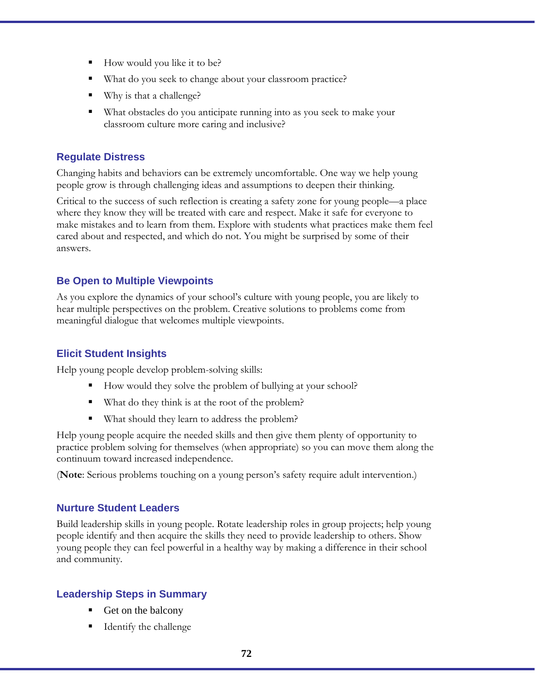- How would you like it to be?
- What do you seek to change about your classroom practice?
- Why is that a challenge?
- What obstacles do you anticipate running into as you seek to make your classroom culture more caring and inclusive?

#### **Regulate Distress**

Changing habits and behaviors can be extremely uncomfortable. One way we help young people grow is through challenging ideas and assumptions to deepen their thinking.

Critical to the success of such reflection is creating a safety zone for young people—a place where they know they will be treated with care and respect. Make it safe for everyone to make mistakes and to learn from them. Explore with students what practices make them feel cared about and respected, and which do not. You might be surprised by some of their answers.

### **Be Open to Multiple Viewpoints**

As you explore the dynamics of your school's culture with young people, you are likely to hear multiple perspectives on the problem. Creative solutions to problems come from meaningful dialogue that welcomes multiple viewpoints.

#### **Elicit Student Insights**

Help young people develop problem-solving skills:

- How would they solve the problem of bullying at your school?
- What do they think is at the root of the problem?
- What should they learn to address the problem?

Help young people acquire the needed skills and then give them plenty of opportunity to practice problem solving for themselves (when appropriate) so you can move them along the continuum toward increased independence.

(**Note**: Serious problems touching on a young person's safety require adult intervention.)

#### **Nurture Student Leaders**

Build leadership skills in young people. Rotate leadership roles in group projects; help young people identify and then acquire the skills they need to provide leadership to others. Show young people they can feel powerful in a healthy way by making a difference in their school and community.

### **Leadership Steps in Summary**

- Get on the balcony
- Identify the challenge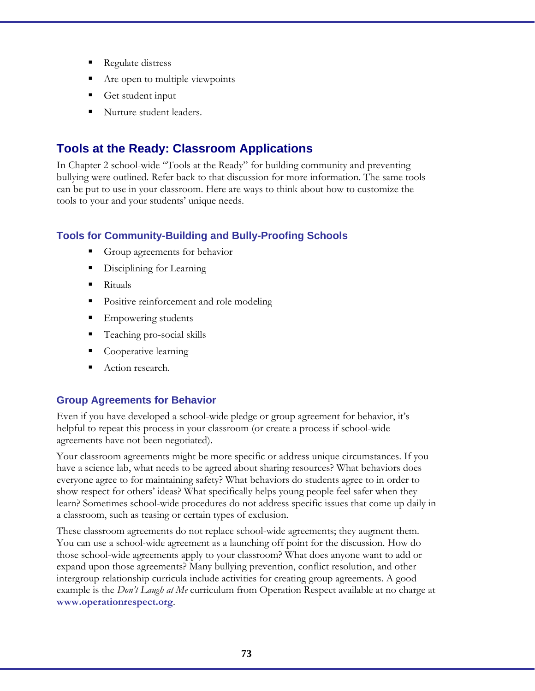- Regulate distress
- Are open to multiple viewpoints
- Get student input
- Nurture student leaders.

# **Tools at the Ready: Classroom Applications**

In Chapter 2 school-wide "Tools at the Ready" for building community and preventing bullying were outlined. Refer back to that discussion for more information. The same tools can be put to use in your classroom. Here are ways to think about how to customize the tools to your and your students' unique needs.

### **Tools for Community-Building and Bully-Proofing Schools**

- Group agreements for behavior
- Disciplining for Learning
- Rituals
- Positive reinforcement and role modeling
- Empowering students
- Teaching pro-social skills
- Cooperative learning
- Action research.

### **Group Agreements for Behavior**

Even if you have developed a school-wide pledge or group agreement for behavior, it's helpful to repeat this process in your classroom (or create a process if school-wide agreements have not been negotiated).

Your classroom agreements might be more specific or address unique circumstances. If you have a science lab, what needs to be agreed about sharing resources? What behaviors does everyone agree to for maintaining safety? What behaviors do students agree to in order to show respect for others' ideas? What specifically helps young people feel safer when they learn? Sometimes school-wide procedures do not address specific issues that come up daily in a classroom, such as teasing or certain types of exclusion.

These classroom agreements do not replace school-wide agreements; they augment them. You can use a school-wide agreement as a launching off point for the discussion. How do those school-wide agreements apply to your classroom? What does anyone want to add or expand upon those agreements? Many bullying prevention, conflict resolution, and other intergroup relationship curricula include activities for creating group agreements. A good example is the *Don't Laugh at Me* curriculum from Operation Respect available at no charge at **www.operationrespect.org**.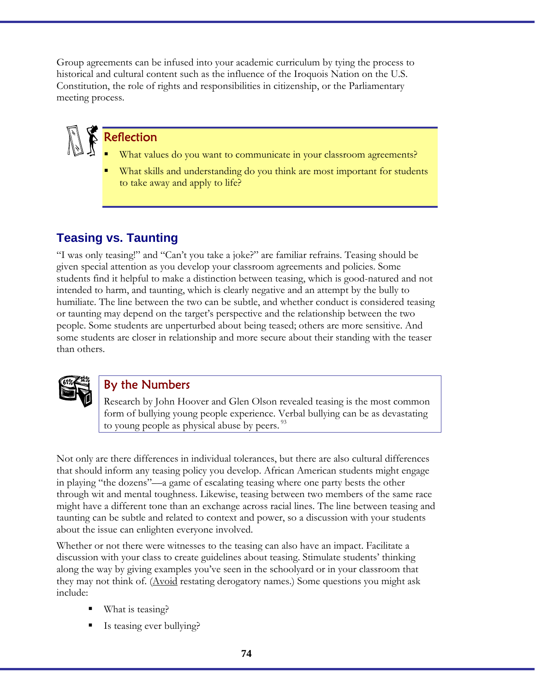Group agreements can be infused into your academic curriculum by tying the process to historical and cultural content such as the influence of the Iroquois Nation on the U.S. Constitution, the role of rights and responsibilities in citizenship, or the Parliamentary meeting process.

# Reflection

- What values do you want to communicate in your classroom agreements?
- What skills and understanding do you think are most important for students to take away and apply to life?

# **Teasing vs. Taunting**

"I was only teasing!" and "Can't you take a joke?" are familiar refrains. Teasing should be given special attention as you develop your classroom agreements and policies. Some students find it helpful to make a distinction between teasing, which is good-natured and not intended to harm, and taunting, which is clearly negative and an attempt by the bully to humiliate. The line between the two can be subtle, and whether conduct is considered teasing or taunting may depend on the target's perspective and the relationship between the two people. Some students are unperturbed about being teased; others are more sensitive. And some students are closer in relationship and more secure about their standing with the teaser than others.



### By the Numbers

Research by John Hoover and Glen Olson revealed teasing is the most common form of bullying young people experience. Verbal bullying can be as devastating to young people as physical abuse by peers.<sup>93</sup>

Not only are there differences in individual tolerances, but there are also cultural differences that should inform any teasing policy you develop. African American students might engage in playing "the dozens"––a game of escalating teasing where one party bests the other through wit and mental toughness. Likewise, teasing between two members of the same race might have a different tone than an exchange across racial lines. The line between teasing and taunting can be subtle and related to context and power, so a discussion with your students about the issue can enlighten everyone involved.

Whether or not there were witnesses to the teasing can also have an impact. Facilitate a discussion with your class to create guidelines about teasing. Stimulate students' thinking along the way by giving examples you've seen in the schoolyard or in your classroom that they may not think of. (Avoid restating derogatory names.) Some questions you might ask include:

- What is teasing?
- Is teasing ever bullying?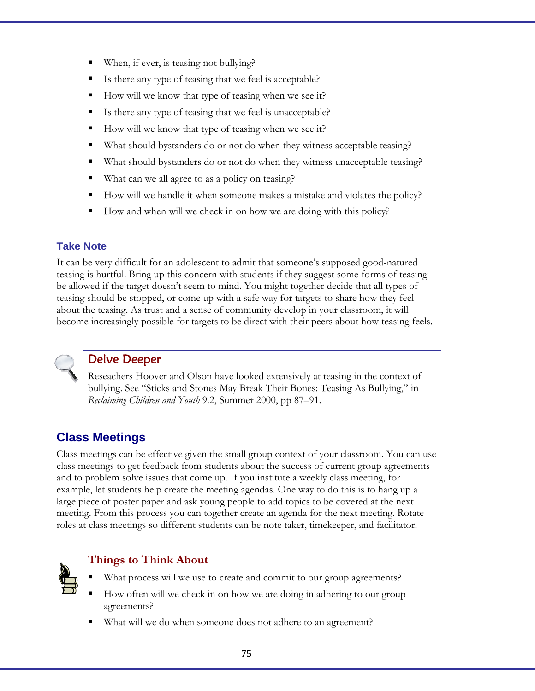- When, if ever, is teasing not bullying?
- Is there any type of teasing that we feel is acceptable?
- How will we know that type of teasing when we see it?
- Is there any type of teasing that we feel is unacceptable?
- How will we know that type of teasing when we see it?
- What should bystanders do or not do when they witness acceptable teasing?
- What should bystanders do or not do when they witness unacceptable teasing?
- What can we all agree to as a policy on teasing?
- How will we handle it when someone makes a mistake and violates the policy?
- How and when will we check in on how we are doing with this policy?

### **Take Note**

It can be very difficult for an adolescent to admit that someone's supposed good-natured teasing is hurtful. Bring up this concern with students if they suggest some forms of teasing be allowed if the target doesn't seem to mind. You might together decide that all types of teasing should be stopped, or come up with a safe way for targets to share how they feel about the teasing. As trust and a sense of community develop in your classroom, it will become increasingly possible for targets to be direct with their peers about how teasing feels.



### Delve Deeper

Reseachers Hoover and Olson have looked extensively at teasing in the context of bullying. See "Sticks and Stones May Break Their Bones: Teasing As Bullying," in *Reclaiming Children and Youth* 9.2, Summer 2000, pp 87–91.

# **Class Meetings**

Class meetings can be effective given the small group context of your classroom. You can use class meetings to get feedback from students about the success of current group agreements and to problem solve issues that come up. If you institute a weekly class meeting, for example, let students help create the meeting agendas. One way to do this is to hang up a large piece of poster paper and ask young people to add topics to be covered at the next meeting. From this process you can together create an agenda for the next meeting. Rotate roles at class meetings so different students can be note taker, timekeeper, and facilitator.



### **Things to Think About**

- What process will we use to create and commit to our group agreements?
- How often will we check in on how we are doing in adhering to our group agreements?
- What will we do when someone does not adhere to an agreement?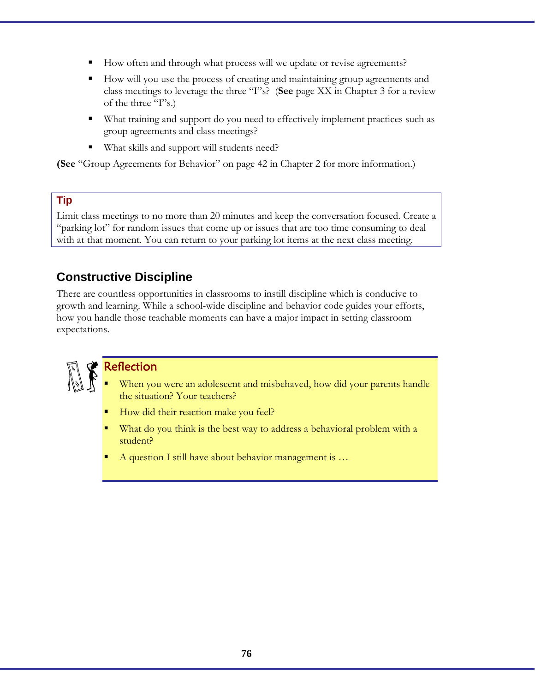- How often and through what process will we update or revise agreements?
- How will you use the process of creating and maintaining group agreements and class meetings to leverage the three "I"s? (**See** page XX in Chapter 3 for a review of the three "I"s.)
- What training and support do you need to effectively implement practices such as group agreements and class meetings?
- What skills and support will students need?

**(See** "Group Agreements for Behavior" on page 42 in Chapter 2 for more information.)

#### **Tip**

Limit class meetings to no more than 20 minutes and keep the conversation focused. Create a "parking lot" for random issues that come up or issues that are too time consuming to deal with at that moment. You can return to your parking lot items at the next class meeting.

### **Constructive Discipline**

There are countless opportunities in classrooms to instill discipline which is conducive to growth and learning. While a school-wide discipline and behavior code guides your efforts, how you handle those teachable moments can have a major impact in setting classroom expectations.



### Reflection

- When you were an adolescent and misbehaved, how did your parents handle the situation? Your teachers?
- How did their reaction make you feel?
- What do you think is the best way to address a behavioral problem with a student?
- A question I still have about behavior management is …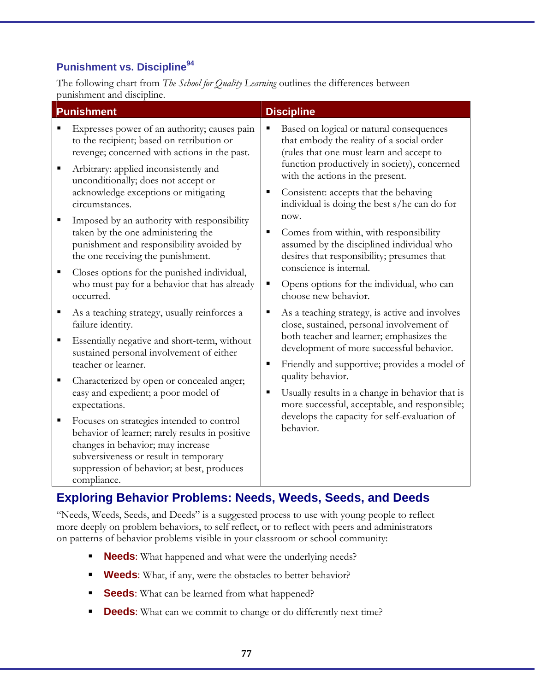### **Punishment vs. Discipline**<sup>94</sup>

The following chart from *The School for Quality Learning* outlines the differences between punishment and discipline.

| <b>Punishment</b>                                                                                                                                                                                                                                                                                                                                                                                                                                                                                                                                                                                                                                                                                                                                                                                               | <b>Discipline</b>                                                                                                                                                                                                                                                                                                                                                                                                                                                                                                                                                                                                                                                                                                                                                                                                                                     |
|-----------------------------------------------------------------------------------------------------------------------------------------------------------------------------------------------------------------------------------------------------------------------------------------------------------------------------------------------------------------------------------------------------------------------------------------------------------------------------------------------------------------------------------------------------------------------------------------------------------------------------------------------------------------------------------------------------------------------------------------------------------------------------------------------------------------|-------------------------------------------------------------------------------------------------------------------------------------------------------------------------------------------------------------------------------------------------------------------------------------------------------------------------------------------------------------------------------------------------------------------------------------------------------------------------------------------------------------------------------------------------------------------------------------------------------------------------------------------------------------------------------------------------------------------------------------------------------------------------------------------------------------------------------------------------------|
| Expresses power of an authority; causes pain<br>to the recipient; based on retribution or<br>revenge; concerned with actions in the past.<br>Arbitrary: applied inconsistently and<br>unconditionally; does not accept or<br>acknowledge exceptions or mitigating<br>circumstances.<br>Imposed by an authority with responsibility<br>taken by the one administering the<br>punishment and responsibility avoided by<br>the one receiving the punishment.<br>Closes options for the punished individual,<br>who must pay for a behavior that has already<br>occurred.<br>As a teaching strategy, usually reinforces a<br>failure identity.<br>Essentially negative and short-term, without<br>п<br>sustained personal involvement of either<br>teacher or learner.<br>Characterized by open or concealed anger; | Based on logical or natural consequences<br>п<br>that embody the reality of a social order<br>(rules that one must learn and accept to<br>function productively in society), concerned<br>with the actions in the present.<br>Consistent: accepts that the behaving<br>п<br>individual is doing the best s/he can do for<br>now.<br>Comes from within, with responsibility<br>٠<br>assumed by the disciplined individual who<br>desires that responsibility; presumes that<br>conscience is internal.<br>Opens options for the individual, who can<br>п<br>choose new behavior.<br>As a teaching strategy, is active and involves<br>п<br>close, sustained, personal involvement of<br>both teacher and learner; emphasizes the<br>development of more successful behavior.<br>Friendly and supportive; provides a model of<br>п<br>quality behavior. |
| easy and expedient; a poor model of<br>expectations.                                                                                                                                                                                                                                                                                                                                                                                                                                                                                                                                                                                                                                                                                                                                                            | Usually results in a change in behavior that is<br>٠<br>more successful, acceptable, and responsible;                                                                                                                                                                                                                                                                                                                                                                                                                                                                                                                                                                                                                                                                                                                                                 |
| Focuses on strategies intended to control<br>behavior of learner; rarely results in positive<br>changes in behavior; may increase<br>subversiveness or result in temporary<br>suppression of behavior; at best, produces<br>compliance.                                                                                                                                                                                                                                                                                                                                                                                                                                                                                                                                                                         | develops the capacity for self-evaluation of<br>behavior.                                                                                                                                                                                                                                                                                                                                                                                                                                                                                                                                                                                                                                                                                                                                                                                             |

### **Exploring Behavior Problems: Needs, Weeds, Seeds, and Deeds**

"Needs, Weeds, Seeds, and Deeds" is a suggested process to use with young people to reflect more deeply on problem behaviors, to self reflect, or to reflect with peers and administrators on patterns of behavior problems visible in your classroom or school community:

- **Needs:** What happened and what were the underlying needs?
- **Weeds**: What, if any, were the obstacles to better behavior?
- **Seeds:** What can be learned from what happened?
- **Deeds:** What can we commit to change or do differently next time?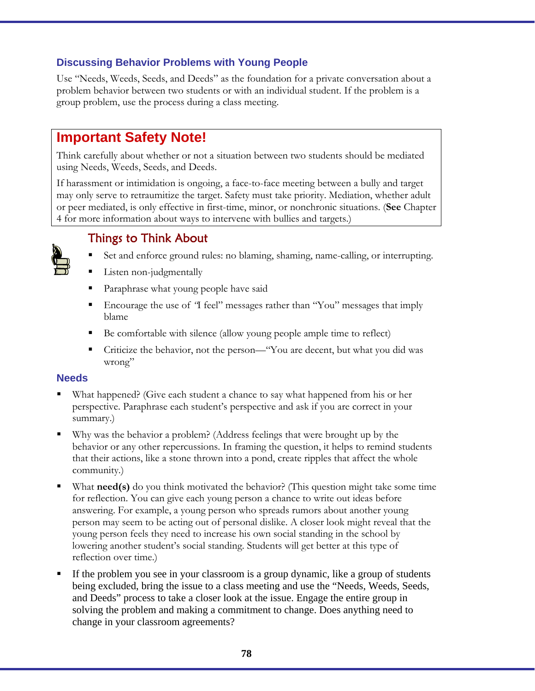### **Discussing Behavior Problems with Young People**

Use "Needs, Weeds, Seeds, and Deeds" as the foundation for a private conversation about a problem behavior between two students or with an individual student. If the problem is a group problem, use the process during a class meeting.

# **Important Safety Note!**

Think carefully about whether or not a situation between two students should be mediated using Needs, Weeds, Seeds, and Deeds.

If harassment or intimidation is ongoing, a face-to-face meeting between a bully and target may only serve to retraumitize the target. Safety must take priority. Mediation, whether adult or peer mediated, is only effective in first-time, minor, or nonchronic situations. (**See** Chapter 4 for more information about ways to intervene with bullies and targets.)

### Things to Think About



- Set and enforce ground rules: no blaming, shaming, name-calling, or interrupting.
- Listen non-judgmentally
- Paraphrase what young people have said
- Encourage the use of *"*I feel" messages rather than "You" messages that imply blame
- Be comfortable with silence (allow young people ample time to reflect)
- Criticize the behavior, not the person—"You are decent, but what you did was wrong"

#### **Needs**

- What happened? (Give each student a chance to say what happened from his or her perspective. Paraphrase each student's perspective and ask if you are correct in your summary.)
- Why was the behavior a problem? (Address feelings that were brought up by the behavior or any other repercussions. In framing the question, it helps to remind students that their actions, like a stone thrown into a pond, create ripples that affect the whole community.)
- What **need(s)** do you think motivated the behavior? (This question might take some time for reflection. You can give each young person a chance to write out ideas before answering. For example, a young person who spreads rumors about another young person may seem to be acting out of personal dislike. A closer look might reveal that the young person feels they need to increase his own social standing in the school by lowering another student's social standing. Students will get better at this type of reflection over time.)
- If the problem you see in your classroom is a group dynamic, like a group of students being excluded, bring the issue to a class meeting and use the "Needs, Weeds, Seeds, and Deeds" process to take a closer look at the issue. Engage the entire group in solving the problem and making a commitment to change. Does anything need to change in your classroom agreements?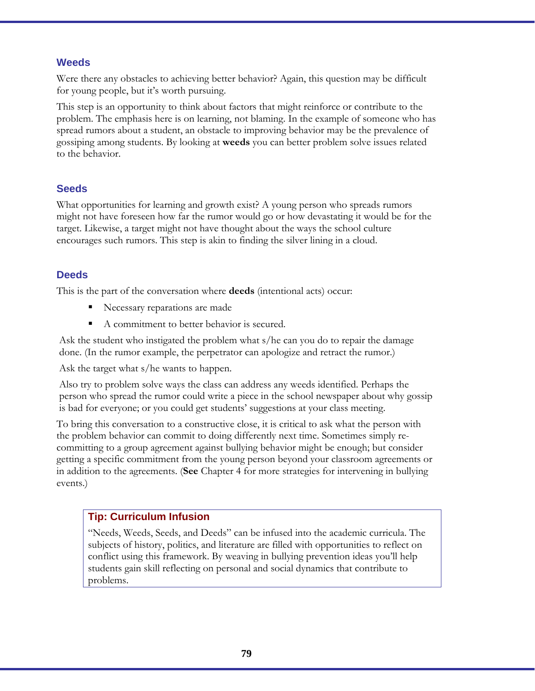#### **Weeds**

Were there any obstacles to achieving better behavior? Again, this question may be difficult for young people, but it's worth pursuing.

This step is an opportunity to think about factors that might reinforce or contribute to the problem. The emphasis here is on learning, not blaming. In the example of someone who has spread rumors about a student, an obstacle to improving behavior may be the prevalence of gossiping among students. By looking at **weeds** you can better problem solve issues related to the behavior.

#### **Seeds**

What opportunities for learning and growth exist? A young person who spreads rumors might not have foreseen how far the rumor would go or how devastating it would be for the target. Likewise, a target might not have thought about the ways the school culture encourages such rumors. This step is akin to finding the silver lining in a cloud.

### **Deeds**

This is the part of the conversation where **deeds** (intentional acts) occur:

- Necessary reparations are made
- A commitment to better behavior is secured.

Ask the student who instigated the problem what s/he can you do to repair the damage done. (In the rumor example, the perpetrator can apologize and retract the rumor.)

Ask the target what s/he wants to happen.

Also try to problem solve ways the class can address any weeds identified. Perhaps the person who spread the rumor could write a piece in the school newspaper about why gossip is bad for everyone; or you could get students' suggestions at your class meeting.

To bring this conversation to a constructive close, it is critical to ask what the person with the problem behavior can commit to doing differently next time. Sometimes simply recommitting to a group agreement against bullying behavior might be enough; but consider getting a specific commitment from the young person beyond your classroom agreements or in addition to the agreements. (**See** Chapter 4 for more strategies for intervening in bullying events.)

### **Tip: Curriculum Infusion**

"Needs, Weeds, Seeds, and Deeds" can be infused into the academic curricula. The subjects of history, politics, and literature are filled with opportunities to reflect on conflict using this framework. By weaving in bullying prevention ideas you'll help students gain skill reflecting on personal and social dynamics that contribute to problems.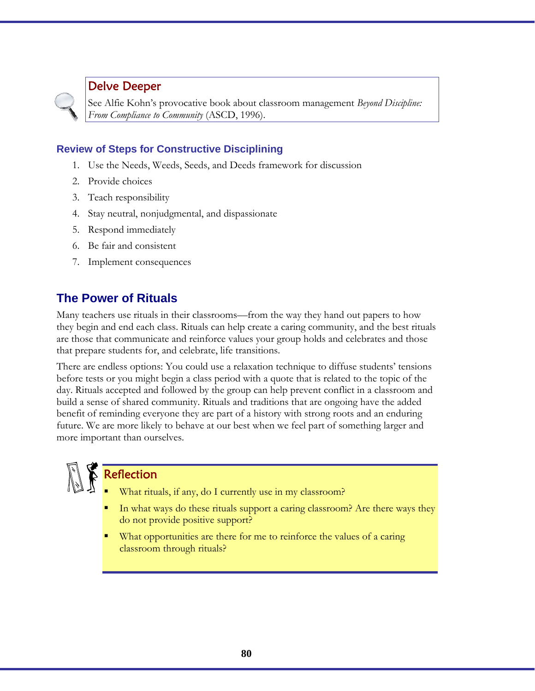### Delve Deeper

See Alfie Kohn's provocative book about classroom management *Beyond Discipline: From Compliance to Community* (ASCD, 1996).

### **Review of Steps for Constructive Disciplining**

- 1. Use the Needs, Weeds, Seeds, and Deeds framework for discussion
- 2. Provide choices
- 3. Teach responsibility
- 4. Stay neutral, nonjudgmental, and dispassionate
- 5. Respond immediately
- 6. Be fair and consistent
- 7. Implement consequences

### **The Power of Rituals**

Many teachers use rituals in their classrooms––from the way they hand out papers to how they begin and end each class. Rituals can help create a caring community, and the best rituals are those that communicate and reinforce values your group holds and celebrates and those that prepare students for, and celebrate, life transitions.

There are endless options: You could use a relaxation technique to diffuse students' tensions before tests or you might begin a class period with a quote that is related to the topic of the day. Rituals accepted and followed by the group can help prevent conflict in a classroom and build a sense of shared community. Rituals and traditions that are ongoing have the added benefit of reminding everyone they are part of a history with strong roots and an enduring future. We are more likely to behave at our best when we feel part of something larger and more important than ourselves.

# Reflection

- What rituals, if any, do I currently use in my classroom?
- In what ways do these rituals support a caring classroom? Are there ways they do not provide positive support?
- What opportunities are there for me to reinforce the values of a caring classroom through rituals?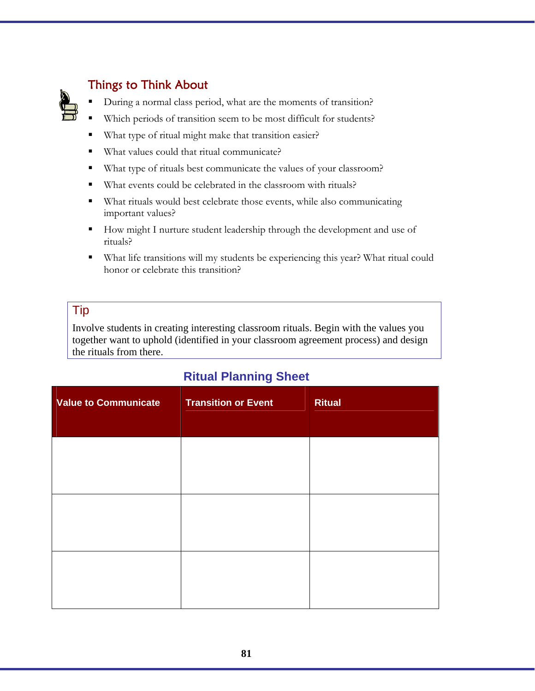

# Things to Think About

During a normal class period, what are the moments of transition?

- Which periods of transition seem to be most difficult for students?
- What type of ritual might make that transition easier?
- What values could that ritual communicate?
- What type of rituals best communicate the values of your classroom?
- What events could be celebrated in the classroom with rituals?
- What rituals would best celebrate those events, while also communicating important values?
- How might I nurture student leadership through the development and use of rituals?
- What life transitions will my students be experiencing this year? What ritual could honor or celebrate this transition?

### Tip

Involve students in creating interesting classroom rituals. Begin with the values you together want to uphold (identified in your classroom agreement process) and design the rituals from there.

# **Ritual Planning Sheet**

| <b>Value to Communicate</b> | <b>Transition or Event</b> | <b>Ritual</b> |
|-----------------------------|----------------------------|---------------|
|                             |                            |               |
|                             |                            |               |
|                             |                            |               |
|                             |                            |               |
|                             |                            |               |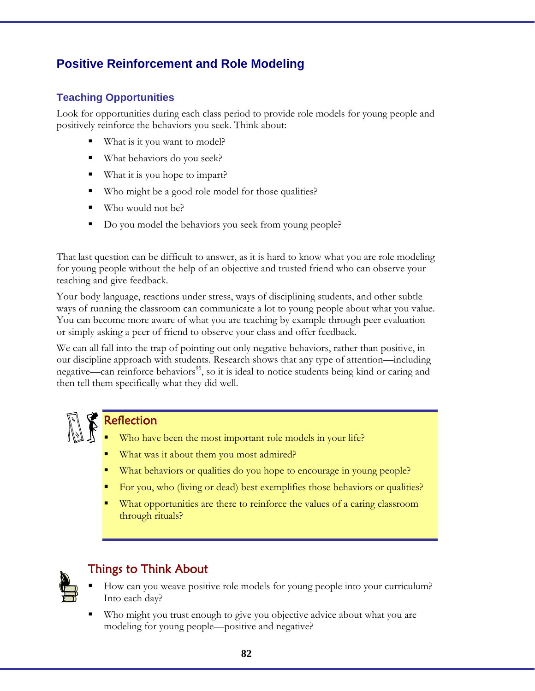# **Positive Reinforcement and Role Modeling**

### **Teaching Opportunities**

Look for opportunities during each class period to provide role models for young people and positively reinforce the behaviors you seek. Think about:

- What is it you want to model?
- What behaviors do you seek?
- What it is you hope to impart?
- Who might be a good role model for those qualities?
- Who would not be?
- Do you model the behaviors you seek from young people?

That last question can be difficult to answer, as it is hard to know what you are role modeling for young people without the help of an objective and trusted friend who can observe your teaching and give feedback.

Your body language, reactions under stress, ways of disciplining students, and other subtle ways of running the classroom can communicate a lot to young people about what you value. You can become more aware of what you are teaching by example through peer evaluation or simply asking a peer of friend to observe your class and offer feedback.

We can all fall into the trap of pointing out only negative behaviors, rather than positive, in our discipline approach with students. Research shows that any type of attention—including negative—can reinforce behaviors<sup>95</sup>, so it is ideal to notice students being kind or caring and then tell them specifically what they did well.



### Reflection

- Who have been the most important role models in your life?
- What was it about them you most admired?
- What behaviors or qualities do you hope to encourage in young people?
- For you, who (living or dead) best exemplifies those behaviors or qualities?
- What opportunities are there to reinforce the values of a caring classroom through rituals?



# Things to Think About

- How can you weave positive role models for young people into your curriculum? Into each day?
- Who might you trust enough to give you objective advice about what you are modeling for young people––positive and negative?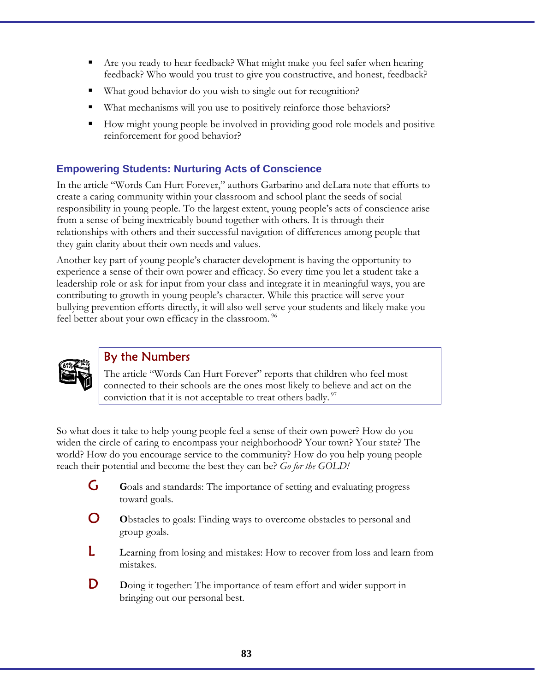- Are you ready to hear feedback? What might make you feel safer when hearing feedback? Who would you trust to give you constructive, and honest, feedback?
- What good behavior do you wish to single out for recognition?
- What mechanisms will you use to positively reinforce those behaviors?
- How might young people be involved in providing good role models and positive reinforcement for good behavior?

### **Empowering Students: Nurturing Acts of Conscience**

In the article "Words Can Hurt Forever," authors Garbarino and deLara note that efforts to create a caring community within your classroom and school plant the seeds of social responsibility in young people. To the largest extent, young people's acts of conscience arise from a sense of being inextricably bound together with others. It is through their relationships with others and their successful navigation of differences among people that they gain clarity about their own needs and values.

Another key part of young people's character development is having the opportunity to experience a sense of their own power and efficacy. So every time you let a student take a leadership role or ask for input from your class and integrate it in meaningful ways, you are contributing to growth in young people's character. While this practice will serve your bullying prevention efforts directly, it will also well serve your students and likely make you feel better about your own efficacy in the classroom.<sup>96</sup>



### By the Numbers

The article "Words Can Hurt Forever" reports that children who feel most connected to their schools are the ones most likely to believe and act on the conviction that it is not acceptable to treat others badly.  $\frac{97}{2}$ 

So what does it take to help young people feel a sense of their own power? How do you widen the circle of caring to encompass your neighborhood? Your town? Your state? The world? How do you encourage service to the community? How do you help young people reach their potential and become the best they can be? *Go for the GOLD!* 

- G **G**oals and standards: The importance of setting and evaluating progress toward goals.
- **O** Obstacles to goals: Finding ways to overcome obstacles to personal and group goals.
- L **L**earning from losing and mistakes: How to recover from loss and learn from mistakes.
- **D** Doing it together: The importance of team effort and wider support in bringing out our personal best.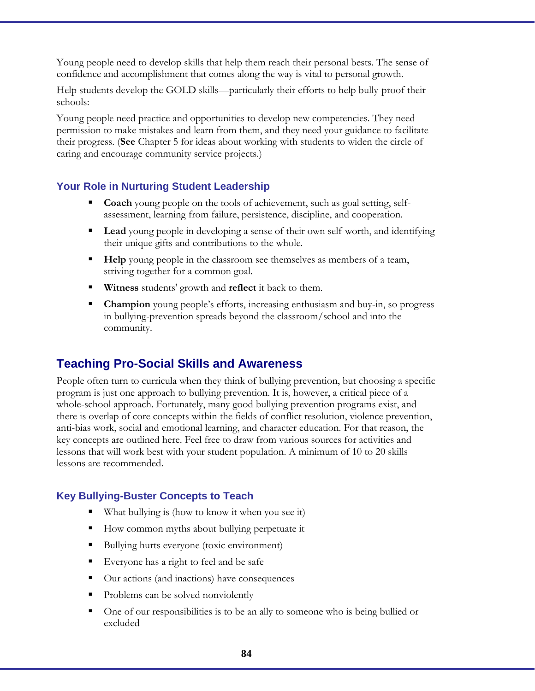Young people need to develop skills that help them reach their personal bests. The sense of confidence and accomplishment that comes along the way is vital to personal growth.

Help students develop the GOLD skills—particularly their efforts to help bully-proof their schools:

Young people need practice and opportunities to develop new competencies. They need permission to make mistakes and learn from them, and they need your guidance to facilitate their progress. (**See** Chapter 5 for ideas about working with students to widen the circle of caring and encourage community service projects.)

### **Your Role in Nurturing Student Leadership**

- **Coach** young people on the tools of achievement, such as goal setting, selfassessment, learning from failure, persistence, discipline, and cooperation.
- **Lead** young people in developing a sense of their own self-worth, and identifying their unique gifts and contributions to the whole.
- **Help** young people in the classroom see themselves as members of a team, striving together for a common goal.
- **Witness** students' growth and **reflect** it back to them.
- **Champion** young people's efforts, increasing enthusiasm and buy-in, so progress in bullying-prevention spreads beyond the classroom/school and into the community.

### **Teaching Pro-Social Skills and Awareness**

People often turn to curricula when they think of bullying prevention, but choosing a specific program is just one approach to bullying prevention. It is, however, a critical piece of a whole-school approach. Fortunately, many good bullying prevention programs exist, and there is overlap of core concepts within the fields of conflict resolution, violence prevention, anti-bias work, social and emotional learning, and character education. For that reason, the key concepts are outlined here. Feel free to draw from various sources for activities and lessons that will work best with your student population. A minimum of 10 to 20 skills lessons are recommended.

#### **Key Bullying-Buster Concepts to Teach**

- What bullying is (how to know it when you see it)
- How common myths about bullying perpetuate it
- Bullying hurts everyone (toxic environment)
- Everyone has a right to feel and be safe
- Our actions (and inactions) have consequences
- Problems can be solved nonviolently
- One of our responsibilities is to be an ally to someone who is being bullied or excluded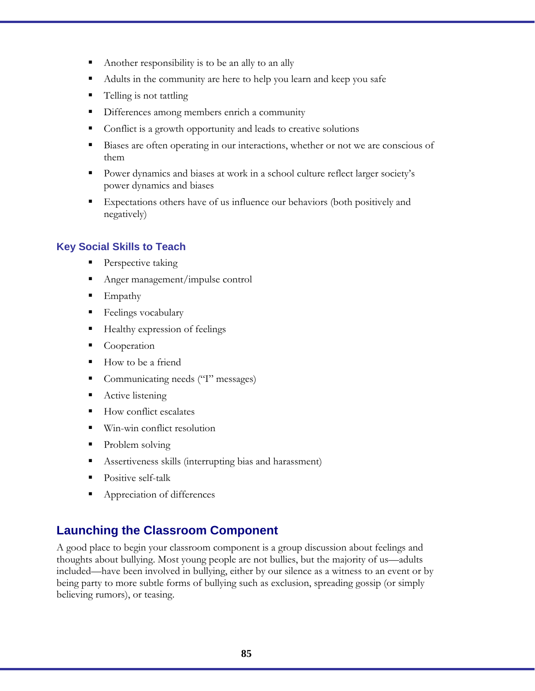- Another responsibility is to be an ally to an ally
- Adults in the community are here to help you learn and keep you safe
- Telling is not tattling
- Differences among members enrich a community
- Conflict is a growth opportunity and leads to creative solutions
- Biases are often operating in our interactions, whether or not we are conscious of them
- Power dynamics and biases at work in a school culture reflect larger society's power dynamics and biases
- Expectations others have of us influence our behaviors (both positively and negatively)

### **Key Social Skills to Teach**

- **Perspective taking**
- Anger management/impulse control
- $\blacksquare$  Empathy
- Feelings vocabulary
- Healthy expression of feelings
- Cooperation
- How to be a friend
- Communicating needs ("I" messages)
- Active listening
- How conflict escalates
- Win-win conflict resolution
- Problem solving
- Assertiveness skills (interrupting bias and harassment)
- Positive self-talk
- Appreciation of differences

### **Launching the Classroom Component**

A good place to begin your classroom component is a group discussion about feelings and thoughts about bullying. Most young people are not bullies, but the majority of us—adults included—have been involved in bullying, either by our silence as a witness to an event or by being party to more subtle forms of bullying such as exclusion, spreading gossip (or simply believing rumors), or teasing.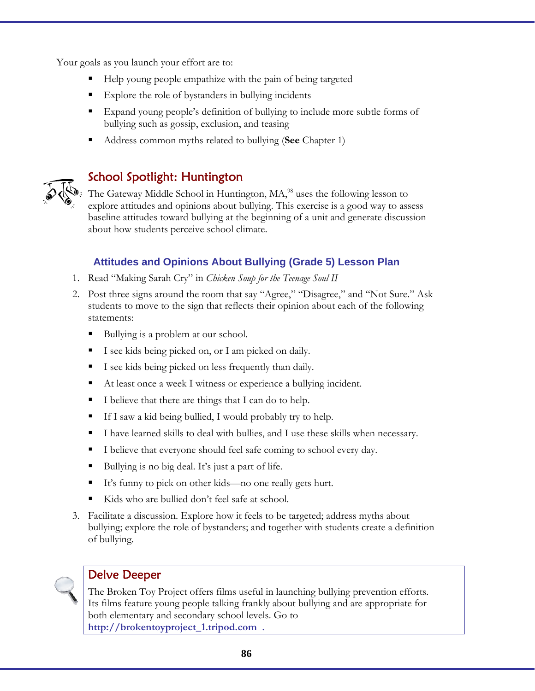Your goals as you launch your effort are to:

- Help young people empathize with the pain of being targeted
- **Explore the role of bystanders in bullying incidents**
- Expand young people's definition of bullying to include more subtle forms of bullying such as gossip, exclusion, and teasing
- Address common myths related to bullying (**See** Chapter 1)



### School Spotlight: Huntington

The Gateway Middle School in Huntington, MA,<sup>98</sup> uses the following lesson to explore attitudes and opinions about bullying. This exercise is a good way to assess baseline attitudes toward bullying at the beginning of a unit and generate discussion about how students perceive school climate.

#### **Attitudes and Opinions About Bullying (Grade 5) Lesson Plan**

- 1. Read "Making Sarah Cry" in *Chicken Soup for the Teenage Soul II*
- 2. Post three signs around the room that say "Agree," "Disagree," and "Not Sure." Ask students to move to the sign that reflects their opinion about each of the following statements:
	- Bullying is a problem at our school.
	- I see kids being picked on, or I am picked on daily.
	- I see kids being picked on less frequently than daily.
	- At least once a week I witness or experience a bullying incident.
	- I believe that there are things that I can do to help.
	- If I saw a kid being bullied, I would probably try to help.
	- I have learned skills to deal with bullies, and I use these skills when necessary.
	- I believe that everyone should feel safe coming to school every day.
	- Bullying is no big deal. It's just a part of life.
	- It's funny to pick on other kids—no one really gets hurt.
	- Kids who are bullied don't feel safe at school.
- 3. Facilitate a discussion. Explore how it feels to be targeted; address myths about bullying; explore the role of bystanders; and together with students create a definition of bullying.



#### Delve Deeper

The Broken Toy Project offers films useful in launching bullying prevention efforts. Its films feature young people talking frankly about bullying and are appropriate for both elementary and secondary school levels. Go to **http://brokentoyproject\_1.tripod.com .**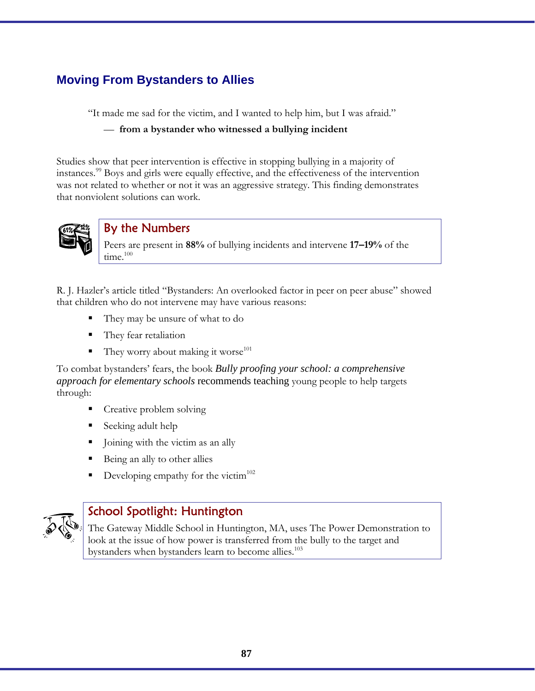# **Moving From Bystanders to Allies**

"It made me sad for the victim, and I wanted to help him, but I was afraid."

— **from a bystander who witnessed a bullying incident**

Studies show that peer intervention is effective in stopping bullying in a majority of instances.99 Boys and girls were equally effective, and the effectiveness of the intervention was not related to whether or not it was an aggressive strategy. This finding demonstrates that nonviolent solutions can work.



### By the Numbers

Peers are present in **88%** of bullying incidents and intervene **17–19%** of the  $time^{100}$ 

R. J. Hazler's article titled "Bystanders: An overlooked factor in peer on peer abuse" showed that children who do not intervene may have various reasons:

- They may be unsure of what to do
- They fear retaliation
- They worry about making it worse $101$

To combat bystanders' fears, the book *Bully proofing your school: a comprehensive approach for elementary schools* recommends teaching young people to help targets through:

- **Creative problem solving**
- Seeking adult help
- Joining with the victim as an ally
- Being an ally to other allies
- Developing empathy for the victim $102$



### School Spotlight: Huntington

The Gateway Middle School in Huntington, MA, uses The Power Demonstration to look at the issue of how power is transferred from the bully to the target and bystanders when bystanders learn to become allies.<sup>103</sup>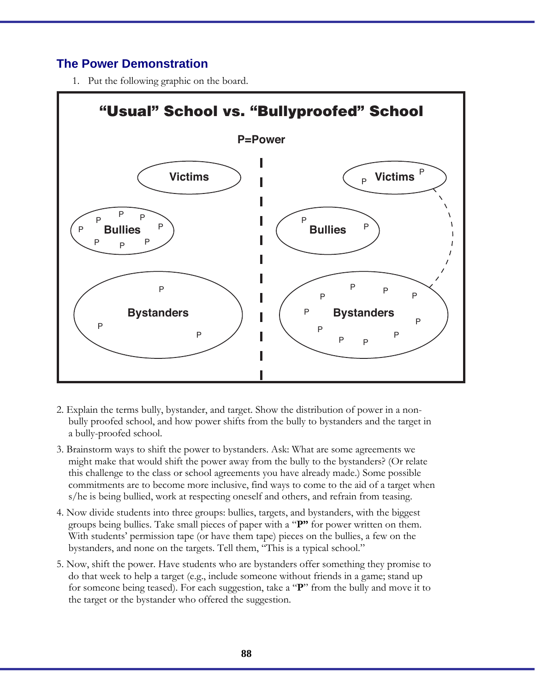### **The Power Demonstration**

1. Put the following graphic on the board.



- 2. Explain the terms bully, bystander, and target. Show the distribution of power in a nonbully proofed school, and how power shifts from the bully to bystanders and the target in a bully-proofed school.
- 3. Brainstorm ways to shift the power to bystanders. Ask: What are some agreements we might make that would shift the power away from the bully to the bystanders? (Or relate this challenge to the class or school agreements you have already made.) Some possible commitments are to become more inclusive, find ways to come to the aid of a target when s/he is being bullied, work at respecting oneself and others, and refrain from teasing.
- 4. Now divide students into three groups: bullies, targets, and bystanders, with the biggest groups being bullies. Take small pieces of paper with a "**P"** for power written on them. With students' permission tape (or have them tape) pieces on the bullies, a few on the bystanders, and none on the targets. Tell them, "This is a typical school."
- 5. Now, shift the power. Have students who are bystanders offer something they promise to do that week to help a target (e.g., include someone without friends in a game; stand up for someone being teased). For each suggestion, take a "**P**" from the bully and move it to the target or the bystander who offered the suggestion.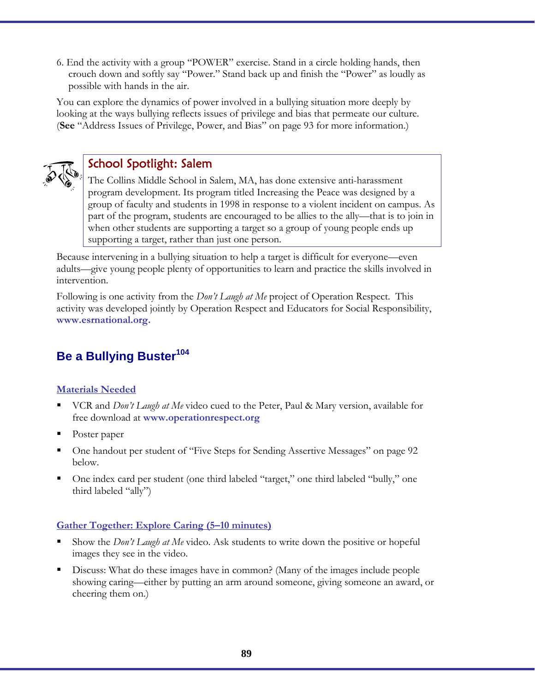6. End the activity with a group "POWER" exercise. Stand in a circle holding hands, then crouch down and softly say "Power." Stand back up and finish the "Power" as loudly as possible with hands in the air.

You can explore the dynamics of power involved in a bullying situation more deeply by looking at the ways bullying reflects issues of privilege and bias that permeate our culture. (**See** "Address Issues of Privilege, Power, and Bias" on page 93 for more information.)



# School Spotlight: Salem

The Collins Middle School in Salem, MA, has done extensive anti-harassment program development. Its program titled Increasing the Peace was designed by a group of faculty and students in 1998 in response to a violent incident on campus. As part of the program, students are encouraged to be allies to the ally—that is to join in when other students are supporting a target so a group of young people ends up supporting a target, rather than just one person.

Because intervening in a bullying situation to help a target is difficult for everyone—even adults—give young people plenty of opportunities to learn and practice the skills involved in intervention.

Following is one activity from the *Don't Laugh at Me* project of Operation Respect. This activity was developed jointly by Operation Respect and Educators for Social Responsibility, **www.esrnational.org.**

# **Be a Bullying Buster<sup>104</sup>**

#### **Materials Needed**

- VCR and *Don't Laugh at Me* video cued to the Peter, Paul & Mary version, available for free download at **www.operationrespect.org**
- Poster paper
- One handout per student of "Five Steps for Sending Assertive Messages" on page 92 below.
- One index card per student (one third labeled "target," one third labeled "bully," one third labeled "ally")

#### **Gather Together: Explore Caring (5–10 minutes)**

- Show the *Don't Laugh at Me* video. Ask students to write down the positive or hopeful images they see in the video.
- Discuss: What do these images have in common? (Many of the images include people showing caring—either by putting an arm around someone, giving someone an award, or cheering them on.)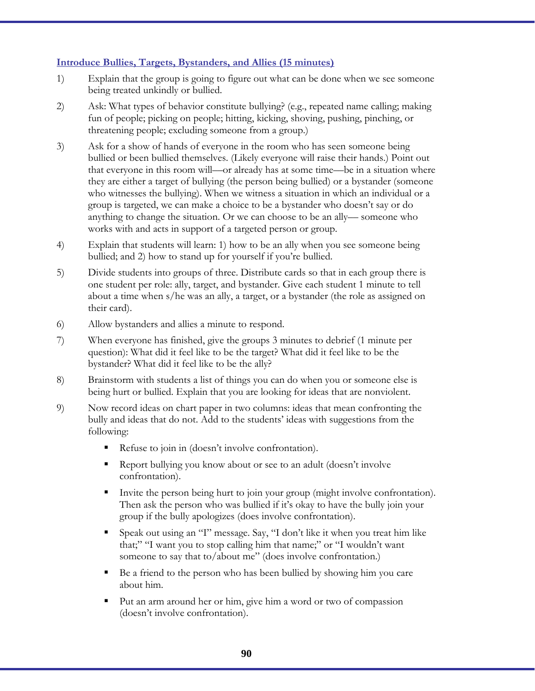#### **Introduce Bullies, Targets, Bystanders, and Allies (15 minutes)**

- 1) Explain that the group is going to figure out what can be done when we see someone being treated unkindly or bullied.
- 2) Ask: What types of behavior constitute bullying? (e.g., repeated name calling; making fun of people; picking on people; hitting, kicking, shoving, pushing, pinching, or threatening people; excluding someone from a group.)
- 3) Ask for a show of hands of everyone in the room who has seen someone being bullied or been bullied themselves. (Likely everyone will raise their hands.) Point out that everyone in this room will––or already has at some time––be in a situation where they are either a target of bullying (the person being bullied) or a bystander (someone who witnesses the bullying). When we witness a situation in which an individual or a group is targeted, we can make a choice to be a bystander who doesn't say or do anything to change the situation. Or we can choose to be an ally–– someone who works with and acts in support of a targeted person or group.
- 4) Explain that students will learn: 1) how to be an ally when you see someone being bullied; and 2) how to stand up for yourself if you're bullied.
- 5) Divide students into groups of three. Distribute cards so that in each group there is one student per role: ally, target, and bystander. Give each student 1 minute to tell about a time when s/he was an ally, a target, or a bystander (the role as assigned on their card).
- 6) Allow bystanders and allies a minute to respond.
- 7) When everyone has finished, give the groups 3 minutes to debrief (1 minute per question): What did it feel like to be the target? What did it feel like to be the bystander? What did it feel like to be the ally?
- 8) Brainstorm with students a list of things you can do when you or someone else is being hurt or bullied. Explain that you are looking for ideas that are nonviolent.
- 9) Now record ideas on chart paper in two columns: ideas that mean confronting the bully and ideas that do not. Add to the students' ideas with suggestions from the following:
	- Refuse to join in (doesn't involve confrontation).
	- Report bullying you know about or see to an adult (doesn't involve confrontation).
	- Invite the person being hurt to join your group (might involve confrontation). Then ask the person who was bullied if it's okay to have the bully join your group if the bully apologizes (does involve confrontation).
	- Speak out using an "I" message. Say, "I don't like it when you treat him like that;" "I want you to stop calling him that name;" or "I wouldn't want someone to say that to/about me" (does involve confrontation.)
	- Be a friend to the person who has been bullied by showing him you care about him.
	- Put an arm around her or him, give him a word or two of compassion (doesn't involve confrontation).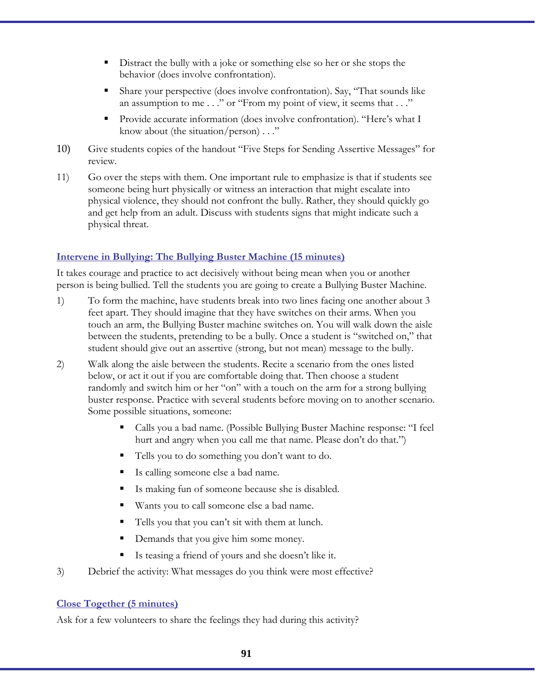- Distract the bully with a joke or something else so her or she stops the behavior (does involve confrontation).
- Share your perspective (does involve confrontation). Say, "That sounds like an assumption to me . . ." or "From my point of view, it seems that . . ."
- Provide accurate information (does involve confrontation). "Here's what I know about (the situation/person) . . ."
- 10) Give students copies of the handout "Five Steps for Sending Assertive Messages" for review.
- 11) Go over the steps with them. One important rule to emphasize is that if students see someone being hurt physically or witness an interaction that might escalate into physical violence, they should not confront the bully. Rather, they should quickly go and get help from an adult. Discuss with students signs that might indicate such a physical threat.

#### **Intervene in Bullying: The Bullying Buster Machine (15 minutes)**

It takes courage and practice to act decisively without being mean when you or another person is being bullied. Tell the students you are going to create a Bullying Buster Machine.

- 1) To form the machine, have students break into two lines facing one another about 3 feet apart. They should imagine that they have switches on their arms. When you touch an arm, the Bullying Buster machine switches on. You will walk down the aisle between the students, pretending to be a bully. Once a student is "switched on," that student should give out an assertive (strong, but not mean) message to the bully.
- 2) Walk along the aisle between the students. Recite a scenario from the ones listed below, or act it out if you are comfortable doing that. Then choose a student randomly and switch him or her "on" with a touch on the arm for a strong bullying buster response. Practice with several students before moving on to another scenario. Some possible situations, someone:
	- Calls you a bad name. (Possible Bullying Buster Machine response: "I feel hurt and angry when you call me that name. Please don't do that.")
	- Tells you to do something you don't want to do.
	- Is calling someone else a bad name.
	- Is making fun of someone because she is disabled.
	- Wants you to call someone else a bad name.
	- Tells you that you can't sit with them at lunch.
	- Demands that you give him some money.
	- Is teasing a friend of yours and she doesn't like it.
- 3) Debrief the activity: What messages do you think were most effective?

#### **Close Together (5 minutes)**

Ask for a few volunteers to share the feelings they had during this activity?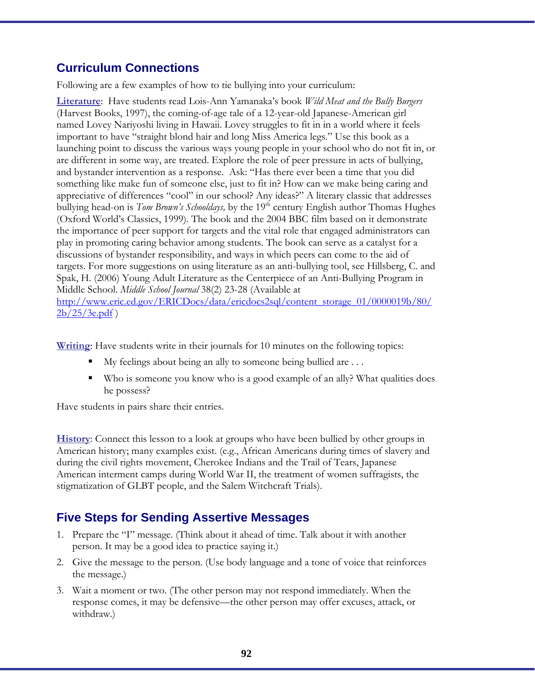### **Curriculum Connections**

Following are a few examples of how to tie bullying into your curriculum:

**Literature**: Have students read Lois-Ann Yamanaka's book *Wild Meat and the Bully Burgers*  (Harvest Books, 1997), the coming-of-age tale of a 12-year-old Japanese-American girl named Lovey Nariyoshi living in Hawaii. Lovey struggles to fit in in a world where it feels important to have "straight blond hair and long Miss America legs." Use this book as a launching point to discuss the various ways young people in your school who do not fit in, or are different in some way, are treated. Explore the role of peer pressure in acts of bullying, and bystander intervention as a response. Ask: "Has there ever been a time that you did something like make fun of someone else, just to fit in? How can we make being caring and appreciative of differences "cool" in our school? Any ideas?" A literary classic that addresses bullying head-on is *Tom Brown's Schooldays*, by the 19<sup>th</sup> century English author Thomas Hughes (Oxford World's Classics, 1999). The book and the 2004 BBC film based on it demonstrate the importance of peer support for targets and the vital role that engaged administrators can play in promoting caring behavior among students. The book can serve as a catalyst for a discussions of bystander responsibility, and ways in which peers can come to the aid of targets. For more suggestions on using literature as an anti-bullying tool, see Hillsberg, C. and Spak, H. (2006) Young Adult Literature as the Centerpiece of an Anti-Bullying Program in Middle School. *Middle School Journal* 38(2) 23-28 (Available at

http://www.eric.ed.gov/ERICDocs/data/ericdocs2sql/content\_storage\_01/0000019b/80/  $2b/25/3e.pdf$ 

**Writing**: Have students write in their journals for 10 minutes on the following topics:

- My feelings about being an ally to someone being bullied are . . .
- Who is someone you know who is a good example of an ally? What qualities does he possess?

Have students in pairs share their entries.

**History**: Connect this lesson to a look at groups who have been bullied by other groups in American history; many examples exist. (e.g., African Americans during times of slavery and during the civil rights movement, Cherokee Indians and the Trail of Tears, Japanese American interment camps during World War II, the treatment of women suffragists, the stigmatization of GLBT people, and the Salem Witchcraft Trials).

### **Five Steps for Sending Assertive Messages**

- 1. Prepare the "I" message. (Think about it ahead of time. Talk about it with another person. It may be a good idea to practice saying it.)
- 2. Give the message to the person. (Use body language and a tone of voice that reinforces the message.)
- 3. Wait a moment or two. (The other person may not respond immediately. When the response comes, it may be defensive—the other person may offer excuses, attack, or withdraw.)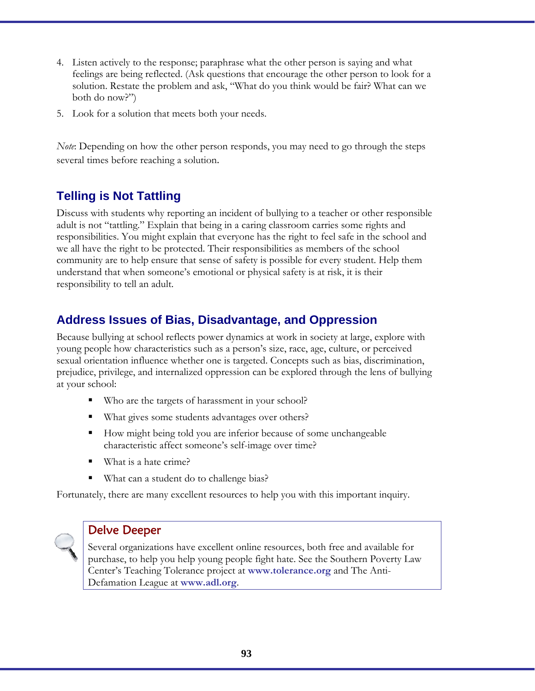- 4. Listen actively to the response; paraphrase what the other person is saying and what feelings are being reflected. (Ask questions that encourage the other person to look for a solution. Restate the problem and ask, "What do you think would be fair? What can we both do now?")
- 5. Look for a solution that meets both your needs.

*Note*: Depending on how the other person responds, you may need to go through the steps several times before reaching a solution.

# **Telling is Not Tattling**

Discuss with students why reporting an incident of bullying to a teacher or other responsible adult is not "tattling." Explain that being in a caring classroom carries some rights and responsibilities. You might explain that everyone has the right to feel safe in the school and we all have the right to be protected. Their responsibilities as members of the school community are to help ensure that sense of safety is possible for every student. Help them understand that when someone's emotional or physical safety is at risk, it is their responsibility to tell an adult.

# **Address Issues of Bias, Disadvantage, and Oppression**

Because bullying at school reflects power dynamics at work in society at large, explore with young people how characteristics such as a person's size, race, age, culture, or perceived sexual orientation influence whether one is targeted. Concepts such as bias, discrimination, prejudice, privilege, and internalized oppression can be explored through the lens of bullying at your school:

- Who are the targets of harassment in your school?
- What gives some students advantages over others?
- How might being told you are inferior because of some unchangeable characteristic affect someone's self-image over time?
- What is a hate crime?
- What can a student do to challenge bias?

Fortunately, there are many excellent resources to help you with this important inquiry.



### Delve Deeper

Several organizations have excellent online resources, both free and available for purchase, to help you help young people fight hate. See the Southern Poverty Law Center's Teaching Tolerance project at **www.tolerance.org** and The Anti-Defamation League at **www.adl.org**.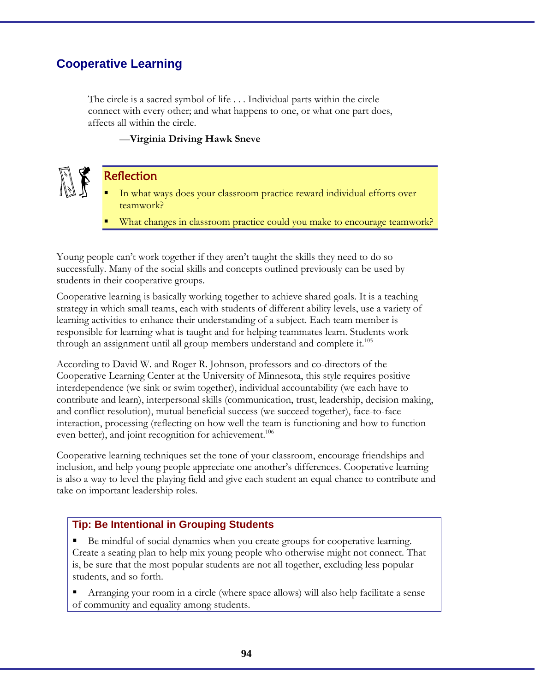### **Cooperative Learning**

The circle is a sacred symbol of life . . . Individual parts within the circle connect with every other; and what happens to one, or what one part does, affects all within the circle.

#### —**Virginia Driving Hawk Sneve**

### **Reflection**

- In what ways does your classroom practice reward individual efforts over teamwork?
- What changes in classroom practice could you make to encourage teamwork?

Young people can't work together if they aren't taught the skills they need to do so successfully. Many of the social skills and concepts outlined previously can be used by students in their cooperative groups.

Cooperative learning is basically working together to achieve shared goals. It is a teaching strategy in which small teams, each with students of different ability levels, use a variety of learning activities to enhance their understanding of a subject. Each team member is responsible for learning what is taught and for helping teammates learn. Students work through an assignment until all group members understand and complete it.<sup>105</sup>

According to David W. and Roger R. Johnson, professors and co-directors of the Cooperative Learning Center at the University of Minnesota, this style requires positive interdependence (we sink or swim together), individual accountability (we each have to contribute and learn), interpersonal skills (communication, trust, leadership, decision making, and conflict resolution), mutual beneficial success (we succeed together), face-to-face interaction, processing (reflecting on how well the team is functioning and how to function even better), and joint recognition for achievement.<sup>106</sup>

Cooperative learning techniques set the tone of your classroom, encourage friendships and inclusion, and help young people appreciate one another's differences. Cooperative learning is also a way to level the playing field and give each student an equal chance to contribute and take on important leadership roles.

#### **Tip: Be Intentional in Grouping Students**

 Be mindful of social dynamics when you create groups for cooperative learning. Create a seating plan to help mix young people who otherwise might not connect. That is, be sure that the most popular students are not all together, excluding less popular students, and so forth.

 Arranging your room in a circle (where space allows) will also help facilitate a sense of community and equality among students.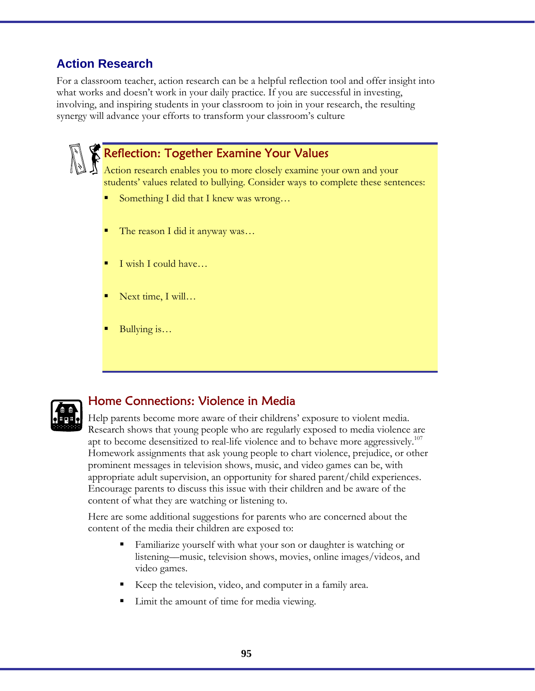# **Action Research**

For a classroom teacher, action research can be a helpful reflection tool and offer insight into what works and doesn't work in your daily practice. If you are successful in investing, involving, and inspiring students in your classroom to join in your research, the resulting synergy will advance your efforts to transform your classroom's culture

# Reflection: Together Examine Your Values

Action research enables you to more closely examine your own and your students' values related to bullying. Consider ways to complete these sentences:

- Something I did that I knew was wrong…
- The reason I did it anyway was…
- I wish I could have…
- Next time, I will…
- Bullying is…



# Home Connections: Violence in Media

Help parents become more aware of their childrens' exposure to violent media. Research shows that young people who are regularly exposed to media violence are apt to become desensitized to real-life violence and to behave more aggressively.<sup>107</sup> Homework assignments that ask young people to chart violence, prejudice, or other prominent messages in television shows, music, and video games can be, with appropriate adult supervision, an opportunity for shared parent/child experiences. Encourage parents to discuss this issue with their children and be aware of the content of what they are watching or listening to.

Here are some additional suggestions for parents who are concerned about the content of the media their children are exposed to:

- Familiarize yourself with what your son or daughter is watching or listening––music, television shows, movies, online images/videos, and video games.
- Keep the television, video, and computer in a family area.
- Limit the amount of time for media viewing.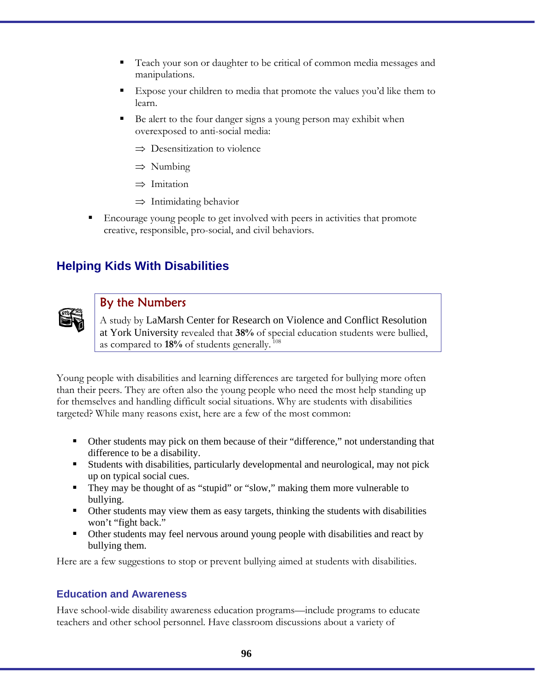- Teach your son or daughter to be critical of common media messages and manipulations.
- Expose your children to media that promote the values you'd like them to learn.
- Be alert to the four danger signs a young person may exhibit when overexposed to anti-social media:
	- ⇒ Desensitization to violence
	- ⇒ Numbing
	- ⇒ Imitation
	- $\Rightarrow$  Intimidating behavior
- Encourage young people to get involved with peers in activities that promote creative, responsible, pro-social, and civil behaviors.

# **Helping Kids With Disabilities**



### By the Numbers

A study by LaMarsh Center for Research on Violence and Conflict Resolution at York University revealed that **38%** of special education students were bullied, as compared to **18%** of students generally. 108

Young people with disabilities and learning differences are targeted for bullying more often than their peers. They are often also the young people who need the most help standing up for themselves and handling difficult social situations. Why are students with disabilities targeted? While many reasons exist, here are a few of the most common:

- Other students may pick on them because of their "difference," not understanding that difference to be a disability.
- Students with disabilities, particularly developmental and neurological, may not pick up on typical social cues.
- They may be thought of as "stupid" or "slow," making them more vulnerable to bullying.
- Other students may view them as easy targets, thinking the students with disabilities won't "fight back."
- Other students may feel nervous around young people with disabilities and react by bullying them.

Here are a few suggestions to stop or prevent bullying aimed at students with disabilities.

#### **Education and Awareness**

Have school-wide disability awareness education programs––include programs to educate teachers and other school personnel. Have classroom discussions about a variety of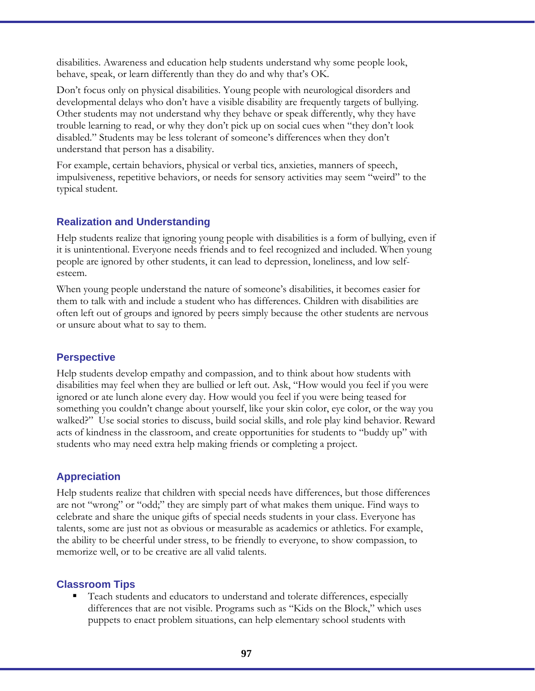disabilities. Awareness and education help students understand why some people look, behave, speak, or learn differently than they do and why that's OK.

Don't focus only on physical disabilities. Young people with neurological disorders and developmental delays who don't have a visible disability are frequently targets of bullying. Other students may not understand why they behave or speak differently, why they have trouble learning to read, or why they don't pick up on social cues when "they don't look disabled." Students may be less tolerant of someone's differences when they don't understand that person has a disability.

For example, certain behaviors, physical or verbal tics, anxieties, manners of speech, impulsiveness, repetitive behaviors, or needs for sensory activities may seem "weird" to the typical student.

#### **Realization and Understanding**

Help students realize that ignoring young people with disabilities is a form of bullying, even if it is unintentional. Everyone needs friends and to feel recognized and included. When young people are ignored by other students, it can lead to depression, loneliness, and low selfesteem.

When young people understand the nature of someone's disabilities, it becomes easier for them to talk with and include a student who has differences. Children with disabilities are often left out of groups and ignored by peers simply because the other students are nervous or unsure about what to say to them.

#### **Perspective**

Help students develop empathy and compassion, and to think about how students with disabilities may feel when they are bullied or left out. Ask, "How would you feel if you were ignored or ate lunch alone every day. How would you feel if you were being teased for something you couldn't change about yourself, like your skin color, eye color, or the way you walked?" Use social stories to discuss, build social skills, and role play kind behavior. Reward acts of kindness in the classroom, and create opportunities for students to "buddy up" with students who may need extra help making friends or completing a project.

### **Appreciation**

Help students realize that children with special needs have differences, but those differences are not "wrong" or "odd;" they are simply part of what makes them unique. Find ways to celebrate and share the unique gifts of special needs students in your class. Everyone has talents, some are just not as obvious or measurable as academics or athletics. For example, the ability to be cheerful under stress, to be friendly to everyone, to show compassion, to memorize well, or to be creative are all valid talents.

### **Classroom Tips**

 Teach students and educators to understand and tolerate differences, especially differences that are not visible. Programs such as "Kids on the Block," which uses puppets to enact problem situations, can help elementary school students with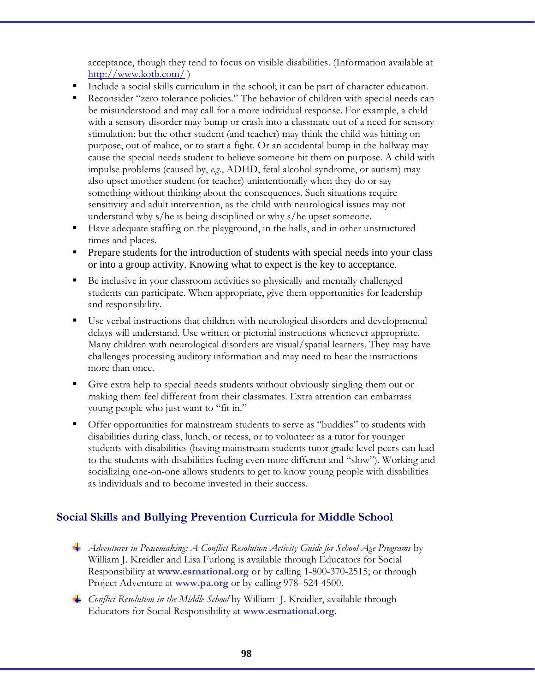acceptance, though they tend to focus on visible disabilities. (Information available at http://www.kotb.com/ )

- Include a social skills curriculum in the school; it can be part of character education.
- Reconsider "zero tolerance policies." The behavior of children with special needs can be misunderstood and may call for a more individual response. For example, a child with a sensory disorder may bump or crash into a classmate out of a need for sensory stimulation; but the other student (and teacher) may think the child was hitting on purpose, out of malice, or to start a fight. Or an accidental bump in the hallway may cause the special needs student to believe someone hit them on purpose. A child with impulse problems (caused by, *e.g.*, ADHD, fetal alcohol syndrome, or autism) may also upset another student (or teacher) unintentionally when they do or say something without thinking about the consequences. Such situations require sensitivity and adult intervention, as the child with neurological issues may not understand why s/he is being disciplined or why s/he upset someone.
- Have adequate staffing on the playground, in the halls, and in other unstructured times and places.
- **Prepare students for the introduction of students with special needs into your class** or into a group activity. Knowing what to expect is the key to acceptance.
- Be inclusive in your classroom activities so physically and mentally challenged students can participate. When appropriate, give them opportunities for leadership and responsibility.
- Use verbal instructions that children with neurological disorders and developmental delays will understand. Use written or pictorial instructions whenever appropriate. Many children with neurological disorders are visual/spatial learners. They may have challenges processing auditory information and may need to hear the instructions more than once.
- Give extra help to special needs students without obviously singling them out or making them feel different from their classmates. Extra attention can embarrass young people who just want to "fit in."
- Offer opportunities for mainstream students to serve as "buddies" to students with disabilities during class, lunch, or recess, or to volunteer as a tutor for younger students with disabilities (having mainstream students tutor grade-level peers can lead to the students with disabilities feeling even more different and "slow"). Working and socializing one-on-one allows students to get to know young people with disabilities as individuals and to become invested in their success.

### **Social Skills and Bullying Prevention Curricula for Middle School**

- *Adventures in Peacemaking: A Conflict Resolution Activity Guide for School-Age Programs* by William J. Kreidler and Lisa Furlong is available through Educators for Social Responsibility at **www.esrnational.org** or by calling 1-800-370-2515; or through Project Adventure at **www.pa.org** or by calling 978–524-4500.
- *Conflict Resolution in the Middle School* by William J. Kreidler, available through Educators for Social Responsibility at **www.esrnational.org**.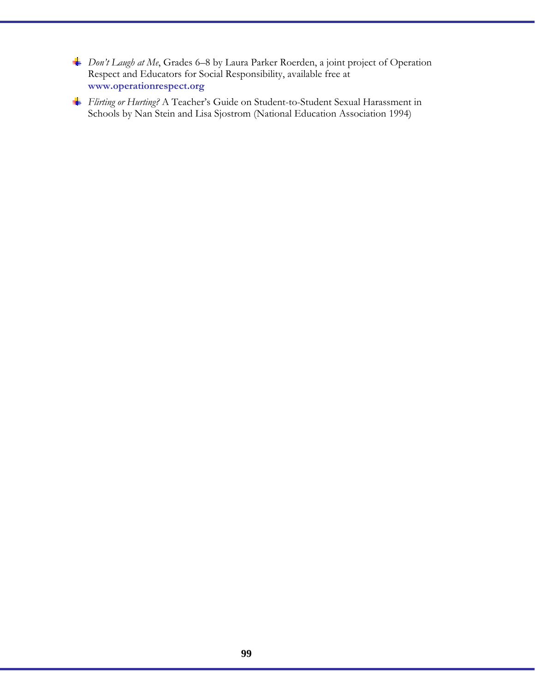- *Don't Laugh at Me*, Grades 6–8 by Laura Parker Roerden, a joint project of Operation Respect and Educators for Social Responsibility, available free at **www.operationrespect.org**
- *Flirting or Hurting?* A Teacher's Guide on Student-to-Student Sexual Harassment in Schools by Nan Stein and Lisa Sjostrom (National Education Association 1994)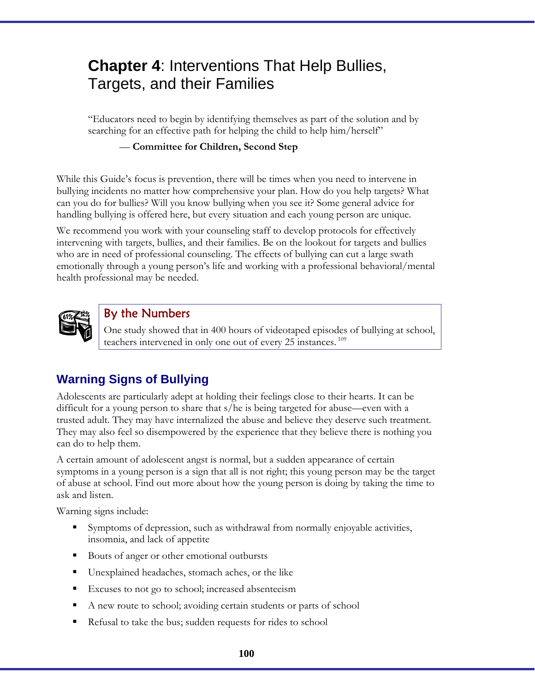# **Chapter 4**: Interventions That Help Bullies, Targets, and their Families

"Educators need to begin by identifying themselves as part of the solution and by searching for an effective path for helping the child to help him/herself"

#### — **Committee for Children, Second Step**

While this Guide's focus is prevention, there will be times when you need to intervene in bullying incidents no matter how comprehensive your plan. How do you help targets? What can you do for bullies? Will you know bullying when you see it? Some general advice for handling bullying is offered here, but every situation and each young person are unique.

We recommend you work with your counseling staff to develop protocols for effectively intervening with targets, bullies, and their families. Be on the lookout for targets and bullies who are in need of professional counseling. The effects of bullying can cut a large swath emotionally through a young person's life and working with a professional behavioral/mental health professional may be needed.



### By the Numbers

One study showed that in 400 hours of videotaped episodes of bullying at school, teachers intervened in only one out of every 25 instances.<sup>109</sup>

# **Warning Signs of Bullying**

Adolescents are particularly adept at holding their feelings close to their hearts. It can be difficult for a young person to share that s/he is being targeted for abuse—even with a trusted adult. They may have internalized the abuse and believe they deserve such treatment. They may also feel so disempowered by the experience that they believe there is nothing you can do to help them.

A certain amount of adolescent angst is normal, but a sudden appearance of certain symptoms in a young person is a sign that all is not right; this young person may be the target of abuse at school. Find out more about how the young person is doing by taking the time to ask and listen.

Warning signs include:

- Symptoms of depression, such as withdrawal from normally enjoyable activities, insomnia, and lack of appetite
- Bouts of anger or other emotional outbursts
- Unexplained headaches, stomach aches, or the like
- **Excuses to not go to school; increased absenteeism**
- A new route to school; avoiding certain students or parts of school
- Refusal to take the bus; sudden requests for rides to school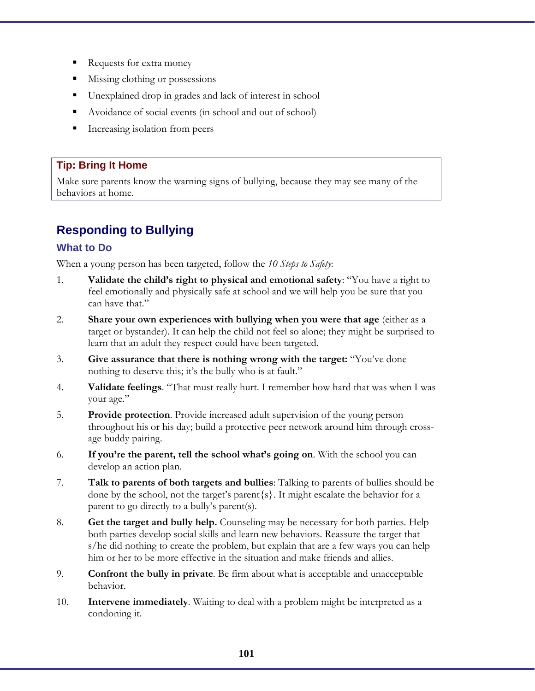- Requests for extra money
- Missing clothing or possessions
- Unexplained drop in grades and lack of interest in school
- Avoidance of social events (in school and out of school)
- **Increasing isolation from peers**

#### **Tip: Bring It Home**

Make sure parents know the warning signs of bullying, because they may see many of the behaviors at home.

# **Responding to Bullying**

#### **What to Do**

When a young person has been targeted, follow the *10 Steps to Safety*:

- 1. **Validate the child's right to physical and emotional safety**: "You have a right to feel emotionally and physically safe at school and we will help you be sure that you can have that."
- 2. **Share your own experiences with bullying when you were that age** (either as a target or bystander). It can help the child not feel so alone; they might be surprised to learn that an adult they respect could have been targeted.
- 3. **Give assurance that there is nothing wrong with the target:** "You've done nothing to deserve this; it's the bully who is at fault."
- 4. **Validate feelings**. "That must really hurt. I remember how hard that was when I was your age."
- 5. **Provide protection**. Provide increased adult supervision of the young person throughout his or his day; build a protective peer network around him through crossage buddy pairing.
- 6. **If you're the parent, tell the school what's going on**. With the school you can develop an action plan.
- 7. **Talk to parents of both targets and bullies**: Talking to parents of bullies should be done by the school, not the target's parent{s}. It might escalate the behavior for a parent to go directly to a bully's parent(s).
- 8. **Get the target and bully help.** Counseling may be necessary for both parties. Help both parties develop social skills and learn new behaviors. Reassure the target that s/he did nothing to create the problem, but explain that are a few ways you can help him or her to be more effective in the situation and make friends and allies.
- 9. **Confront the bully in private***.* Be firm about what is acceptable and unacceptable behavior.
- 10. **Intervene immediately**. Waiting to deal with a problem might be interpreted as a condoning it.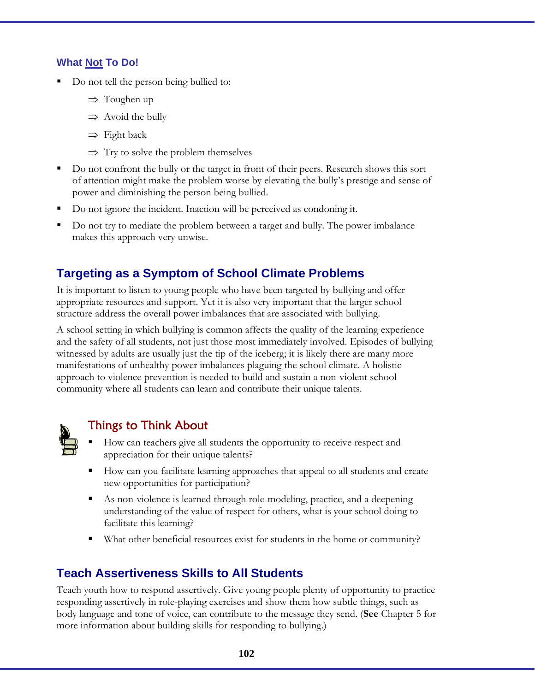### **What Not To Do!**

- Do not tell the person being bullied to:
	- ⇒ Toughen up
	- $\Rightarrow$  Avoid the bully
	- $\Rightarrow$  Fight back
	- $\Rightarrow$  Try to solve the problem themselves
- Do not confront the bully or the target in front of their peers. Research shows this sort of attention might make the problem worse by elevating the bully's prestige and sense of power and diminishing the person being bullied.
- Do not ignore the incident. Inaction will be perceived as condoning it.
- Do not try to mediate the problem between a target and bully. The power imbalance makes this approach very unwise.

### **Targeting as a Symptom of School Climate Problems**

It is important to listen to young people who have been targeted by bullying and offer appropriate resources and support. Yet it is also very important that the larger school structure address the overall power imbalances that are associated with bullying.

A school setting in which bullying is common affects the quality of the learning experience and the safety of all students, not just those most immediately involved. Episodes of bullying witnessed by adults are usually just the tip of the iceberg; it is likely there are many more manifestations of unhealthy power imbalances plaguing the school climate. A holistic approach to violence prevention is needed to build and sustain a non-violent school community where all students can learn and contribute their unique talents.



# Things to Think About

- How can teachers give all students the opportunity to receive respect and appreciation for their unique talents?
- How can you facilitate learning approaches that appeal to all students and create new opportunities for participation?
- As non-violence is learned through role-modeling, practice, and a deepening understanding of the value of respect for others, what is your school doing to facilitate this learning?
- What other beneficial resources exist for students in the home or community?

# **Teach Assertiveness Skills to All Students**

Teach youth how to respond assertively. Give young people plenty of opportunity to practice responding assertively in role-playing exercises and show them how subtle things, such as body language and tone of voice, can contribute to the message they send. (**See** Chapter 5 for more information about building skills for responding to bullying.)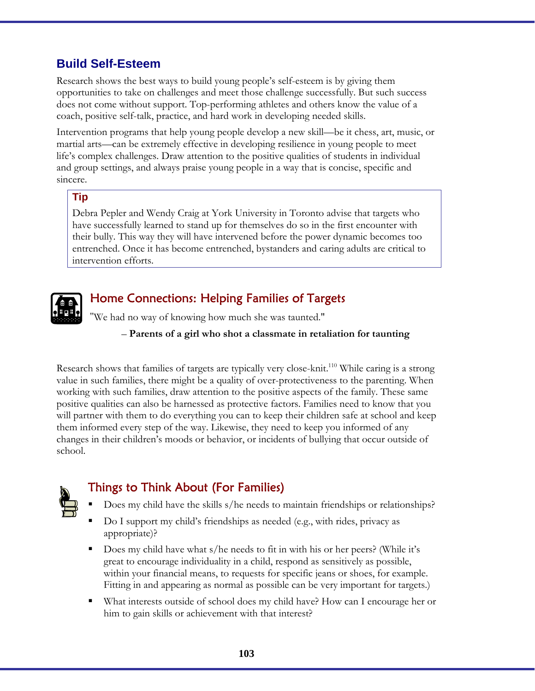# **Build Self-Esteem**

Research shows the best ways to build young people's self-esteem is by giving them opportunities to take on challenges and meet those challenge successfully. But such success does not come without support. Top-performing athletes and others know the value of a coach, positive self-talk, practice, and hard work in developing needed skills.

Intervention programs that help young people develop a new skill—be it chess, art, music, or martial arts—can be extremely effective in developing resilience in young people to meet life's complex challenges. Draw attention to the positive qualities of students in individual and group settings, and always praise young people in a way that is concise, specific and sincere.

#### **Tip**

Debra Pepler and Wendy Craig at York University in Toronto advise that targets who have successfully learned to stand up for themselves do so in the first encounter with their bully. This way they will have intervened before the power dynamic becomes too entrenched. Once it has become entrenched, bystanders and caring adults are critical to intervention efforts.



# Home Connections: Helping Families of Targets

ʺWe had no way of knowing how much she was taunted."

#### – **Parents of a girl who shot a classmate in retaliation for taunting**

Research shows that families of targets are typically very close-knit.<sup>110</sup> While caring is a strong value in such families, there might be a quality of over-protectiveness to the parenting. When working with such families, draw attention to the positive aspects of the family. These same positive qualities can also be harnessed as protective factors. Families need to know that you will partner with them to do everything you can to keep their children safe at school and keep them informed every step of the way. Likewise, they need to keep you informed of any changes in their children's moods or behavior, or incidents of bullying that occur outside of school.



# Things to Think About (For Families)

- Does my child have the skills s/he needs to maintain friendships or relationships?
- Do I support my child's friendships as needed (e.g., with rides, privacy as appropriate)?
- Does my child have what s/he needs to fit in with his or her peers? (While it's great to encourage individuality in a child, respond as sensitively as possible, within your financial means, to requests for specific jeans or shoes, for example. Fitting in and appearing as normal as possible can be very important for targets.)
- What interests outside of school does my child have? How can I encourage her or him to gain skills or achievement with that interest?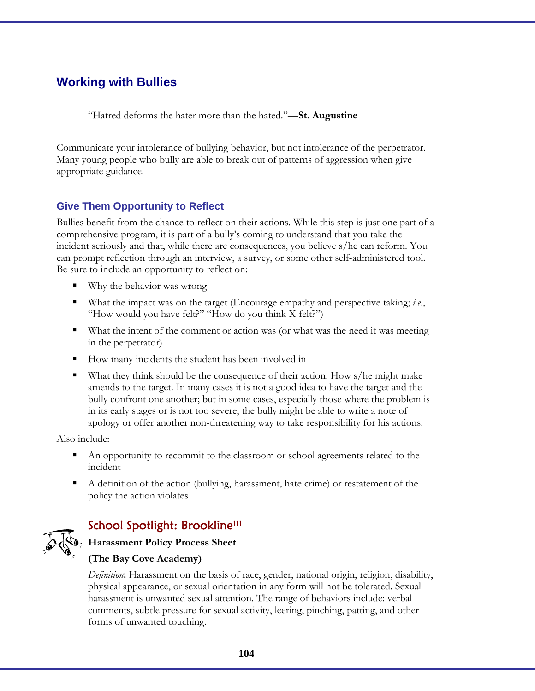# **Working with Bullies**

"Hatred deforms the hater more than the hated."—**St. Augustine** 

Communicate your intolerance of bullying behavior, but not intolerance of the perpetrator. Many young people who bully are able to break out of patterns of aggression when give appropriate guidance.

### **Give Them Opportunity to Reflect**

Bullies benefit from the chance to reflect on their actions. While this step is just one part of a comprehensive program, it is part of a bully's coming to understand that you take the incident seriously and that, while there are consequences, you believe s/he can reform. You can prompt reflection through an interview, a survey, or some other self-administered tool. Be sure to include an opportunity to reflect on:

- Why the behavior was wrong
- What the impact was on the target (Encourage empathy and perspective taking; *i.e*., "How would you have felt?" "How do you think X felt?")
- What the intent of the comment or action was (or what was the need it was meeting in the perpetrator)
- How many incidents the student has been involved in
- What they think should be the consequence of their action. How s/he might make amends to the target. In many cases it is not a good idea to have the target and the bully confront one another; but in some cases, especially those where the problem is in its early stages or is not too severe, the bully might be able to write a note of apology or offer another non-threatening way to take responsibility for his actions.

Also include:

- An opportunity to recommit to the classroom or school agreements related to the incident
- A definition of the action (bullying, harassment, hate crime) or restatement of the policy the action violates

# School Spotlight: Brookline<sup>111</sup>



### **Harassment Policy Process Sheet**

### **(The Bay Cove Academy)**

*Definition***:** Harassment on the basis of race, gender, national origin, religion, disability, physical appearance, or sexual orientation in any form will not be tolerated. Sexual harassment is unwanted sexual attention. The range of behaviors include: verbal comments, subtle pressure for sexual activity, leering, pinching, patting, and other forms of unwanted touching.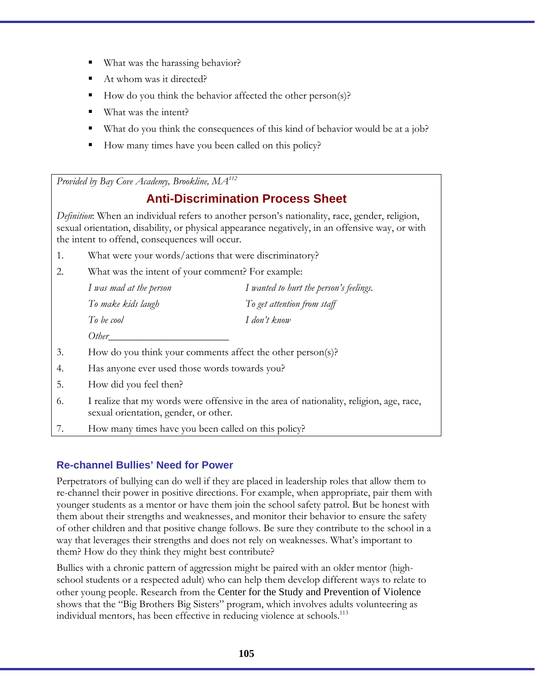- What was the harassing behavior?
- At whom was it directed?
- How do you think the behavior affected the other person(s)?
- What was the intent?
- What do you think the consequences of this kind of behavior would be at a job?
- How many times have you been called on this policy?

*Provided by Bay Cove Academy, Brookline, MA112*

# **Anti-Discrimination Process Sheet**

*Definition*: When an individual refers to another person's nationality, race, gender, religion, sexual orientation, disability, or physical appearance negatively, in an offensive way, or with the intent to offend, consequences will occur.

- 1. What were your words/actions that were discriminatory?
- 2. What was the intent of your comment? For example:

| I was mad at the person | I wanted to hurt the person's feelings. |
|-------------------------|-----------------------------------------|
| To make kids laugh      | To get attention from staff             |
| To be cool              | I don't know                            |
| Other                   |                                         |

- 3. How do you think your comments affect the other person(s)?
- 4. Has anyone ever used those words towards you?
- 5. How did you feel then?
- 6. I realize that my words were offensive in the area of nationality, religion, age, race, sexual orientation, gender, or other.
- 7. How many times have you been called on this policy?

### **Re-channel Bullies' Need for Power**

Perpetrators of bullying can do well if they are placed in leadership roles that allow them to re-channel their power in positive directions. For example, when appropriate, pair them with younger students as a mentor or have them join the school safety patrol. But be honest with them about their strengths and weaknesses, and monitor their behavior to ensure the safety of other children and that positive change follows. Be sure they contribute to the school in a way that leverages their strengths and does not rely on weaknesses. What's important to them? How do they think they might best contribute?

Bullies with a chronic pattern of aggression might be paired with an older mentor (highschool students or a respected adult) who can help them develop different ways to relate to other young people. Research from the Center for the Study and Prevention of Violence shows that the "Big Brothers Big Sisters" program, which involves adults volunteering as individual mentors, has been effective in reducing violence at schools.<sup>113</sup>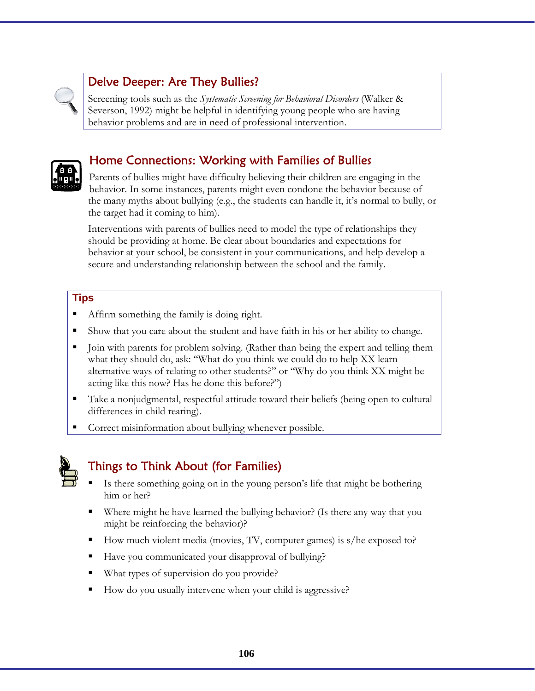# Delve Deeper: Are They Bullies?

Screening tools such as the *Systematic Screening for Behavioral Disorders* (Walker & Severson, 1992) might be helpful in identifying young people who are having behavior problems and are in need of professional intervention.



# Home Connections: Working with Families of Bullies

Parents of bullies might have difficulty believing their children are engaging in the behavior. In some instances, parents might even condone the behavior because of the many myths about bullying (e.g., the students can handle it, it's normal to bully, or the target had it coming to him).

Interventions with parents of bullies need to model the type of relationships they should be providing at home. Be clear about boundaries and expectations for behavior at your school, be consistent in your communications, and help develop a secure and understanding relationship between the school and the family.

#### **Tips**

- Affirm something the family is doing right.
- Show that you care about the student and have faith in his or her ability to change.
- Join with parents for problem solving. (Rather than being the expert and telling them what they should do, ask: "What do you think we could do to help XX learn alternative ways of relating to other students?" or "Why do you think XX might be acting like this now? Has he done this before?")
- Take a nonjudgmental, respectful attitude toward their beliefs (being open to cultural differences in child rearing).
- Correct misinformation about bullying whenever possible.



# Things to Think About (for Families)

- Is there something going on in the young person's life that might be bothering him or her?
- Where might he have learned the bullying behavior? (Is there any way that you might be reinforcing the behavior)?
- How much violent media (movies, TV, computer games) is s/he exposed to?
- Have you communicated your disapproval of bullying?
- What types of supervision do you provide?
- How do you usually intervene when your child is aggressive?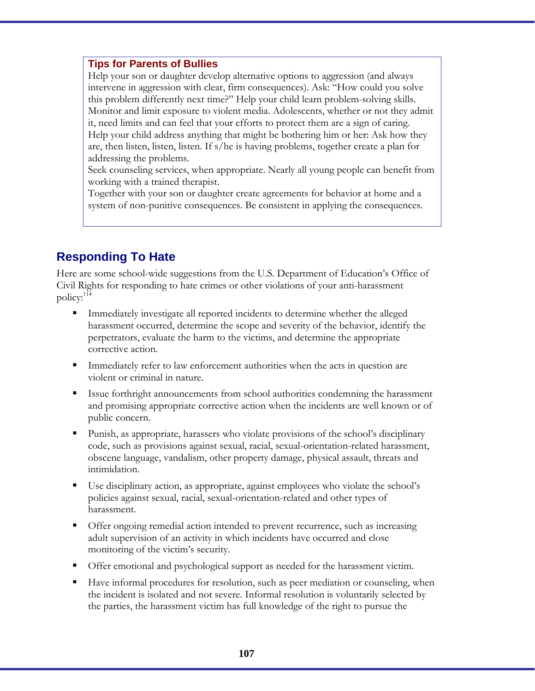#### **Tips for Parents of Bullies**

Help your son or daughter develop alternative options to aggression (and always intervene in aggression with clear, firm consequences). Ask: "How could you solve this problem differently next time?" Help your child learn problem-solving skills. Monitor and limit exposure to violent media. Adolescents, whether or not they admit it, need limits and can feel that your efforts to protect them are a sign of caring. Help your child address anything that might be bothering him or her: Ask how they are, then listen, listen, listen. If s/he is having problems, together create a plan for addressing the problems.

Seek counseling services, when appropriate. Nearly all young people can benefit from working with a trained therapist.

Together with your son or daughter create agreements for behavior at home and a system of non-punitive consequences. Be consistent in applying the consequences.

# **Responding To Hate**

Here are some school-wide suggestions from the U.S. Department of Education's Office of Civil Rights for responding to hate crimes or other violations of your anti-harassment policy:<sup>114</sup>

- Immediately investigate all reported incidents to determine whether the alleged harassment occurred, determine the scope and severity of the behavior, identify the perpetrators, evaluate the harm to the victims, and determine the appropriate corrective action.
- **IMMEDIATE:** Immediately refer to law enforcement authorities when the acts in question are violent or criminal in nature.
- Issue forthright announcements from school authorities condemning the harassment and promising appropriate corrective action when the incidents are well known or of public concern.
- Punish, as appropriate, harassers who violate provisions of the school's disciplinary code, such as provisions against sexual, racial, sexual-orientation-related harassment, obscene language, vandalism, other property damage, physical assault, threats and intimidation.
- Use disciplinary action, as appropriate, against employees who violate the school's policies against sexual, racial, sexual-orientation-related and other types of harassment.
- Offer ongoing remedial action intended to prevent recurrence, such as increasing adult supervision of an activity in which incidents have occurred and close monitoring of the victim's security.
- Offer emotional and psychological support as needed for the harassment victim.
- Have informal procedures for resolution, such as peer mediation or counseling, when the incident is isolated and not severe. Informal resolution is voluntarily selected by the parties, the harassment victim has full knowledge of the right to pursue the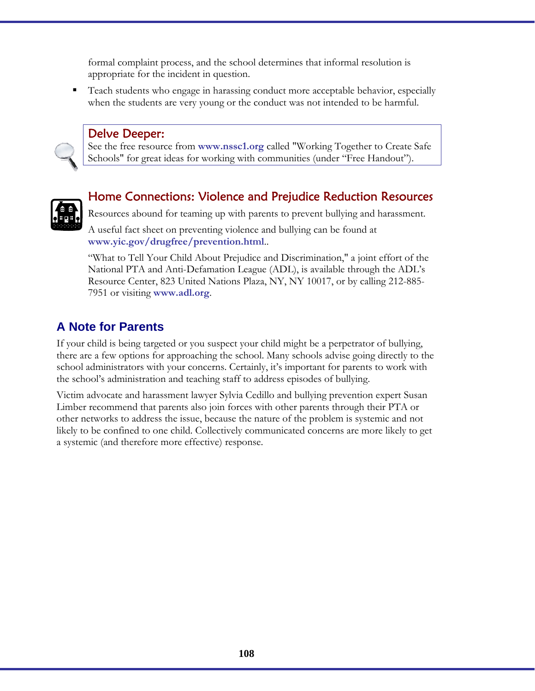formal complaint process, and the school determines that informal resolution is appropriate for the incident in question.

 Teach students who engage in harassing conduct more acceptable behavior, especially when the students are very young or the conduct was not intended to be harmful.

### Delve Deeper:

See the free resource from **www.nssc1.org** called "Working Together to Create Safe Schools" for great ideas for working with communities (under "Free Handout").



### Home Connections: Violence and Prejudice Reduction Resources

Resources abound for teaming up with parents to prevent bullying and harassment.

A useful fact sheet on preventing violence and bullying can be found at **www.yic.gov/drugfree/prevention.html**..

"What to Tell Your Child About Prejudice and Discrimination," a joint effort of the National PTA and Anti-Defamation League (ADL), is available through the ADL's Resource Center, 823 United Nations Plaza, NY, NY 10017, or by calling 212-885- 7951 or visiting **www.adl.org**.

### **A Note for Parents**

If your child is being targeted or you suspect your child might be a perpetrator of bullying, there are a few options for approaching the school. Many schools advise going directly to the school administrators with your concerns. Certainly, it's important for parents to work with the school's administration and teaching staff to address episodes of bullying.

Victim advocate and harassment lawyer Sylvia Cedillo and bullying prevention expert Susan Limber recommend that parents also join forces with other parents through their PTA or other networks to address the issue, because the nature of the problem is systemic and not likely to be confined to one child. Collectively communicated concerns are more likely to get a systemic (and therefore more effective) response.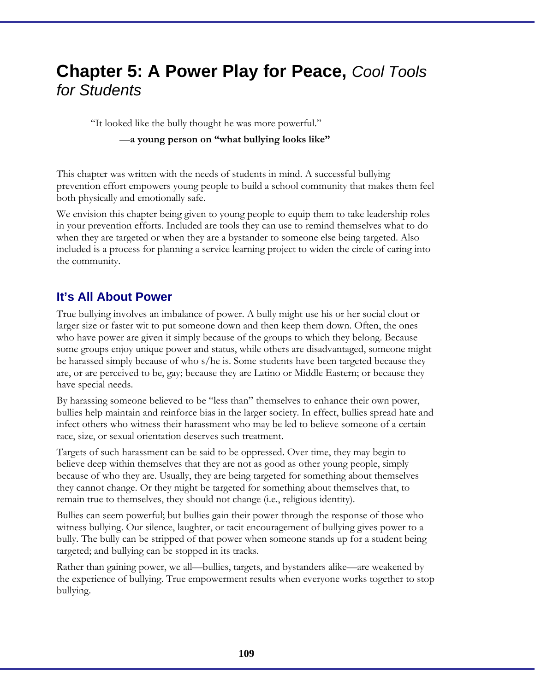# **Chapter 5: A Power Play for Peace,** *Cool Tools for Students*

"It looked like the bully thought he was more powerful."

#### —**a young person on "what bullying looks like"**

This chapter was written with the needs of students in mind. A successful bullying prevention effort empowers young people to build a school community that makes them feel both physically and emotionally safe.

We envision this chapter being given to young people to equip them to take leadership roles in your prevention efforts. Included are tools they can use to remind themselves what to do when they are targeted or when they are a bystander to someone else being targeted. Also included is a process for planning a service learning project to widen the circle of caring into the community.

## **It's All About Power**

True bullying involves an imbalance of power. A bully might use his or her social clout or larger size or faster wit to put someone down and then keep them down. Often, the ones who have power are given it simply because of the groups to which they belong. Because some groups enjoy unique power and status, while others are disadvantaged, someone might be harassed simply because of who s/he is. Some students have been targeted because they are, or are perceived to be, gay; because they are Latino or Middle Eastern; or because they have special needs.

By harassing someone believed to be "less than" themselves to enhance their own power, bullies help maintain and reinforce bias in the larger society. In effect, bullies spread hate and infect others who witness their harassment who may be led to believe someone of a certain race, size, or sexual orientation deserves such treatment.

Targets of such harassment can be said to be oppressed. Over time, they may begin to believe deep within themselves that they are not as good as other young people, simply because of who they are. Usually, they are being targeted for something about themselves they cannot change. Or they might be targeted for something about themselves that, to remain true to themselves, they should not change (i.e., religious identity).

Bullies can seem powerful; but bullies gain their power through the response of those who witness bullying. Our silence, laughter, or tacit encouragement of bullying gives power to a bully. The bully can be stripped of that power when someone stands up for a student being targeted; and bullying can be stopped in its tracks.

Rather than gaining power, we all—bullies, targets, and bystanders alike—are weakened by the experience of bullying. True empowerment results when everyone works together to stop bullying.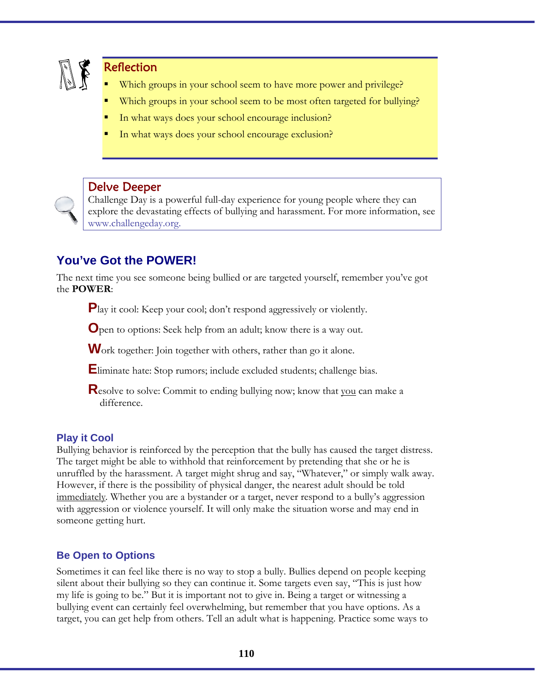

### **Reflection**

- Which groups in your school seem to have more power and privilege?
- Which groups in your school seem to be most often targeted for bullying?
- In what ways does your school encourage inclusion?
- In what ways does your school encourage exclusion?



#### Delve Deeper

Challenge Day is a powerful full-day experience for young people where they can explore the devastating effects of bullying and harassment. For more information, see www.challengeday.org.

# **You've Got the POWER!**

The next time you see someone being bullied or are targeted yourself, remember you've got the **POWER**:

**P**lay it cool: Keep your cool; don't respond aggressively or violently.

**O**pen to options: Seek help from an adult; know there is a way out.

Work together: Join together with others, rather than go it alone.

**E**liminate hate: Stop rumors; include excluded students; challenge bias.

**R**esolve to solve: Commit to ending bullying now; know that you can make a difference.

#### **Play it Cool**

Bullying behavior is reinforced by the perception that the bully has caused the target distress. The target might be able to withhold that reinforcement by pretending that she or he is unruffled by the harassment. A target might shrug and say, "Whatever," or simply walk away. However, if there is the possibility of physical danger, the nearest adult should be told immediately*.* Whether you are a bystander or a target, never respond to a bully's aggression with aggression or violence yourself. It will only make the situation worse and may end in someone getting hurt.

#### **Be Open to Options**

Sometimes it can feel like there is no way to stop a bully. Bullies depend on people keeping silent about their bullying so they can continue it. Some targets even say, "This is just how my life is going to be." But it is important not to give in. Being a target or witnessing a bullying event can certainly feel overwhelming, but remember that you have options. As a target, you can get help from others. Tell an adult what is happening. Practice some ways to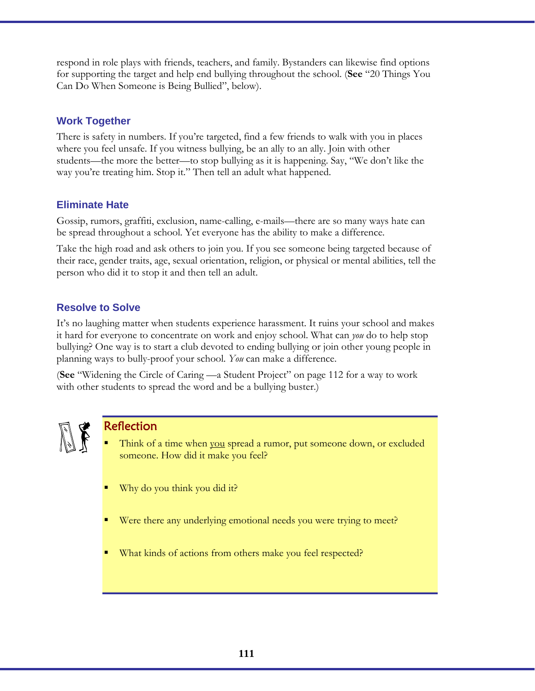respond in role plays with friends, teachers, and family. Bystanders can likewise find options for supporting the target and help end bullying throughout the school. (**See** "20 Things You Can Do When Someone is Being Bullied", below).

### **Work Together**

There is safety in numbers. If you're targeted, find a few friends to walk with you in places where you feel unsafe. If you witness bullying, be an ally to an ally. Join with other students—the more the better—to stop bullying as it is happening. Say, "We don't like the way you're treating him. Stop it." Then tell an adult what happened.

### **Eliminate Hate**

Gossip, rumors, graffiti, exclusion, name-calling, e-mails—there are so many ways hate can be spread throughout a school. Yet everyone has the ability to make a difference.

Take the high road and ask others to join you. If you see someone being targeted because of their race, gender traits, age, sexual orientation, religion, or physical or mental abilities, tell the person who did it to stop it and then tell an adult.

### **Resolve to Solve**

It's no laughing matter when students experience harassment. It ruins your school and makes it hard for everyone to concentrate on work and enjoy school. What can *you* do to help stop bullying? One way is to start a club devoted to ending bullying or join other young people in planning ways to bully-proof your school. *You* can make a difference.

(**See** "Widening the Circle of Caring —a Student Project" on page 112 for a way to work with other students to spread the word and be a bullying buster.)



### Reflection

- Think of a time when you spread a rumor, put someone down, or excluded someone. How did it make you feel?
- Why do you think you did it?
- Were there any underlying emotional needs you were trying to meet?
- What kinds of actions from others make you feel respected?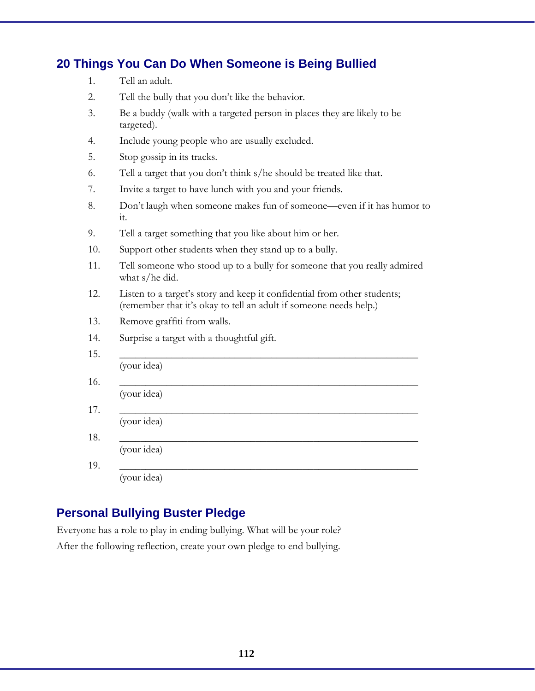# **20 Things You Can Do When Someone is Being Bullied**

- 2. Tell the bully that you don't like the behavior.
- 3. Be a buddy (walk with a targeted person in places they are likely to be targeted).
- 4. Include young people who are usually excluded.
- 5. Stop gossip in its tracks.
- 6. Tell a target that you don't think s/he should be treated like that.
- 7. Invite a target to have lunch with you and your friends.
- 8. Don't laugh when someone makes fun of someone—even if it has humor to it.
- 9. Tell a target something that you like about him or her.
- 10. Support other students when they stand up to a bully.
- 11. Tell someone who stood up to a bully for someone that you really admired what s/he did.
- 12. Listen to a target's story and keep it confidential from other students; (remember that it's okay to tell an adult if someone needs help.)
- 13. Remove graffiti from walls.
- 14. Surprise a target with a thoughtful gift.

| (your idea) |  |  |
|-------------|--|--|
| (your idea) |  |  |
| (your idea) |  |  |
| (your idea) |  |  |
| (your idea) |  |  |

# **Personal Bullying Buster Pledge**

Everyone has a role to play in ending bullying. What will be your role? After the following reflection, create your own pledge to end bullying.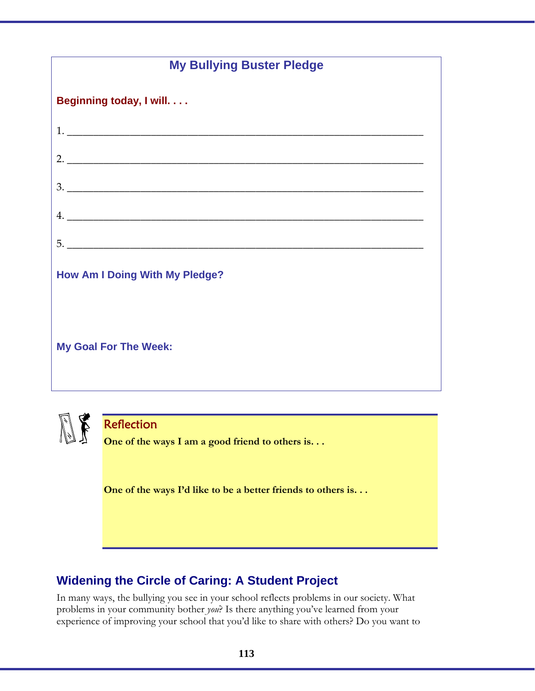| <b>My Bullying Buster Pledge</b>      |  |  |  |  |
|---------------------------------------|--|--|--|--|
| Beginning today, I will.              |  |  |  |  |
|                                       |  |  |  |  |
|                                       |  |  |  |  |
| 3.                                    |  |  |  |  |
|                                       |  |  |  |  |
| 5.                                    |  |  |  |  |
| <b>How Am I Doing With My Pledge?</b> |  |  |  |  |
| <b>My Goal For The Week:</b>          |  |  |  |  |



# Reflection

**One of the ways I am a good friend to others is. . .** 

**One of the ways I'd like to be a better friends to others is. . .** 

# **Widening the Circle of Caring: A Student Project**

In many ways, the bullying you see in your school reflects problems in our society. What problems in your community bother *you*? Is there anything you've learned from your experience of improving your school that you'd like to share with others? Do you want to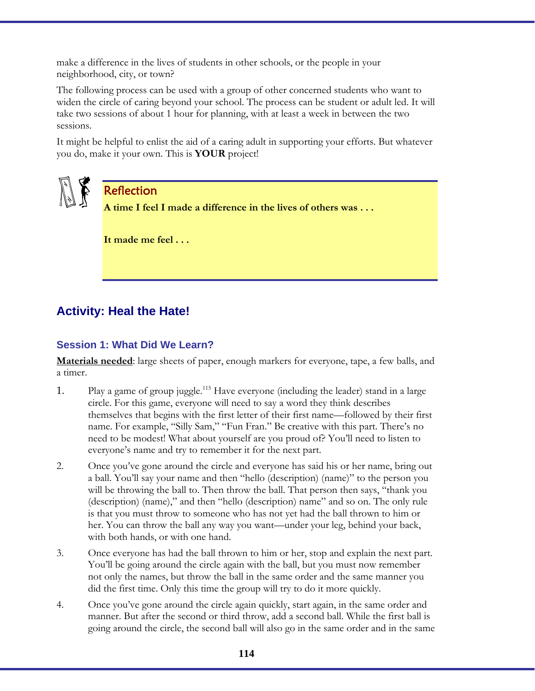make a difference in the lives of students in other schools, or the people in your neighborhood, city, or town?

The following process can be used with a group of other concerned students who want to widen the circle of caring beyond your school. The process can be student or adult led. It will take two sessions of about 1 hour for planning, with at least a week in between the two sessions.

It might be helpful to enlist the aid of a caring adult in supporting your efforts. But whatever you do, make it your own. This is **YOUR** project!



### Reflection

**A time I feel I made a difference in the lives of others was . . .** 

**It made me feel . . .** 

# **Activity: Heal the Hate!**

### **Session 1: What Did We Learn?**

**Materials needed**: large sheets of paper, enough markers for everyone, tape, a few balls, and a timer.

- 1. Play a game of group juggle.<sup>115</sup> Have everyone (including the leader) stand in a large circle. For this game, everyone will need to say a word they think describes themselves that begins with the first letter of their first name—followed by their first name. For example, "Silly Sam," "Fun Fran." Be creative with this part. There's no need to be modest! What about yourself are you proud of? You'll need to listen to everyone's name and try to remember it for the next part.
- 2. Once you've gone around the circle and everyone has said his or her name, bring out a ball. You'll say your name and then "hello (description) (name)" to the person you will be throwing the ball to. Then throw the ball. That person then says, "thank you (description) (name)," and then "hello (description) name" and so on. The only rule is that you must throw to someone who has not yet had the ball thrown to him or her. You can throw the ball any way you want—under your leg, behind your back, with both hands, or with one hand.
- 3. Once everyone has had the ball thrown to him or her, stop and explain the next part. You'll be going around the circle again with the ball, but you must now remember not only the names, but throw the ball in the same order and the same manner you did the first time. Only this time the group will try to do it more quickly.
- 4. Once you've gone around the circle again quickly, start again, in the same order and manner. But after the second or third throw, add a second ball. While the first ball is going around the circle, the second ball will also go in the same order and in the same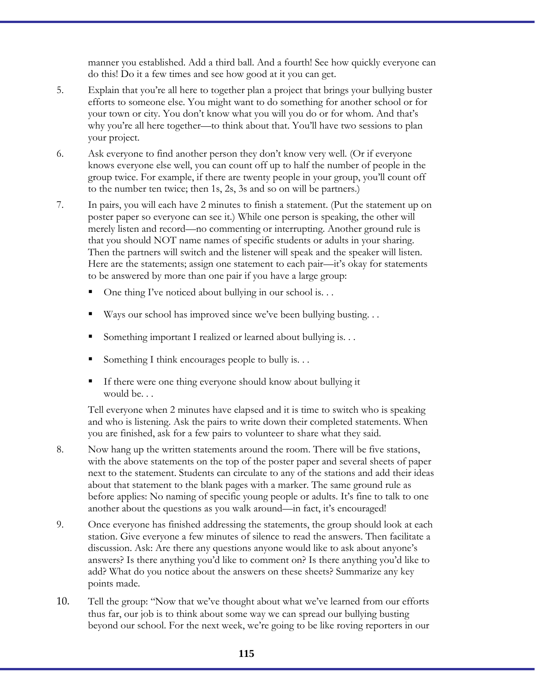manner you established. Add a third ball. And a fourth! See how quickly everyone can do this! Do it a few times and see how good at it you can get.

- 5. Explain that you're all here to together plan a project that brings your bullying buster efforts to someone else. You might want to do something for another school or for your town or city. You don't know what you will you do or for whom. And that's why you're all here together—to think about that. You'll have two sessions to plan your project.
- 6. Ask everyone to find another person they don't know very well. (Or if everyone knows everyone else well, you can count off up to half the number of people in the group twice. For example, if there are twenty people in your group, you'll count off to the number ten twice; then 1s, 2s, 3s and so on will be partners.)
- 7. In pairs, you will each have 2 minutes to finish a statement. (Put the statement up on poster paper so everyone can see it.) While one person is speaking, the other will merely listen and record—no commenting or interrupting. Another ground rule is that you should NOT name names of specific students or adults in your sharing. Then the partners will switch and the listener will speak and the speaker will listen. Here are the statements; assign one statement to each pair––it's okay for statements to be answered by more than one pair if you have a large group:
	- One thing I've noticed about bullying in our school is. . .
	- Ways our school has improved since we've been bullying busting. . .
	- Something important I realized or learned about bullying is. . .
	- Something I think encourages people to bully is. . .
	- If there were one thing everyone should know about bullying it would be. . .

Tell everyone when 2 minutes have elapsed and it is time to switch who is speaking and who is listening. Ask the pairs to write down their completed statements. When you are finished, ask for a few pairs to volunteer to share what they said.

- 8. Now hang up the written statements around the room. There will be five stations, with the above statements on the top of the poster paper and several sheets of paper next to the statement. Students can circulate to any of the stations and add their ideas about that statement to the blank pages with a marker. The same ground rule as before applies: No naming of specific young people or adults. It's fine to talk to one another about the questions as you walk around—in fact, it's encouraged!
- 9. Once everyone has finished addressing the statements, the group should look at each station. Give everyone a few minutes of silence to read the answers. Then facilitate a discussion. Ask: Are there any questions anyone would like to ask about anyone's answers? Is there anything you'd like to comment on? Is there anything you'd like to add? What do you notice about the answers on these sheets? Summarize any key points made.
- 10. Tell the group: "Now that we've thought about what we've learned from our efforts thus far, our job is to think about some way we can spread our bullying busting beyond our school. For the next week, we're going to be like roving reporters in our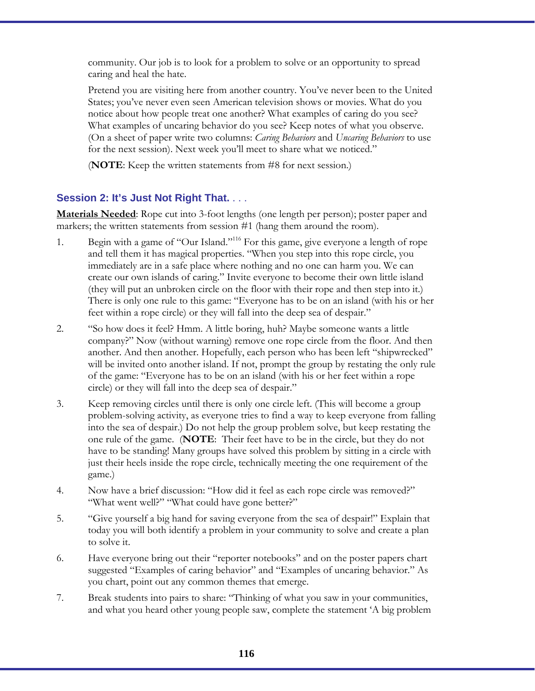community. Our job is to look for a problem to solve or an opportunity to spread caring and heal the hate.

 Pretend you are visiting here from another country. You've never been to the United States; you've never even seen American television shows or movies. What do you notice about how people treat one another? What examples of caring do you see? What examples of uncaring behavior do you see? Keep notes of what you observe. (On a sheet of paper write two columns: *Caring Behaviors* and *Uncaring Behaviors* to use for the next session). Next week you'll meet to share what we noticed."

(**NOTE**: Keep the written statements from #8 for next session.)

### **Session 2: It's Just Not Right That.** . . .

**Materials Needed:** Rope cut into 3-foot lengths (one length per person); poster paper and markers; the written statements from session #1 (hang them around the room).

- 1. Begin with a game of "Our Island."<sup>116</sup> For this game, give everyone a length of rope and tell them it has magical properties. "When you step into this rope circle, you immediately are in a safe place where nothing and no one can harm you. We can create our own islands of caring." Invite everyone to become their own little island (they will put an unbroken circle on the floor with their rope and then step into it.) There is only one rule to this game: "Everyone has to be on an island (with his or her feet within a rope circle) or they will fall into the deep sea of despair."
- 2. "So how does it feel? Hmm. A little boring, huh? Maybe someone wants a little company?" Now (without warning) remove one rope circle from the floor. And then another. And then another. Hopefully, each person who has been left "shipwrecked" will be invited onto another island. If not, prompt the group by restating the only rule of the game: "Everyone has to be on an island (with his or her feet within a rope circle) or they will fall into the deep sea of despair."
- 3. Keep removing circles until there is only one circle left. (This will become a group problem-solving activity, as everyone tries to find a way to keep everyone from falling into the sea of despair.) Do not help the group problem solve, but keep restating the one rule of the game. (**NOTE**: Their feet have to be in the circle, but they do not have to be standing! Many groups have solved this problem by sitting in a circle with just their heels inside the rope circle, technically meeting the one requirement of the game.)
- 4. Now have a brief discussion: "How did it feel as each rope circle was removed?" "What went well?" "What could have gone better?"
- 5. "Give yourself a big hand for saving everyone from the sea of despair!" Explain that today you will both identify a problem in your community to solve and create a plan to solve it.
- 6. Have everyone bring out their "reporter notebooks" and on the poster papers chart suggested "Examples of caring behavior" and "Examples of uncaring behavior." As you chart, point out any common themes that emerge.
- 7. Break students into pairs to share: "Thinking of what you saw in your communities, and what you heard other young people saw, complete the statement 'A big problem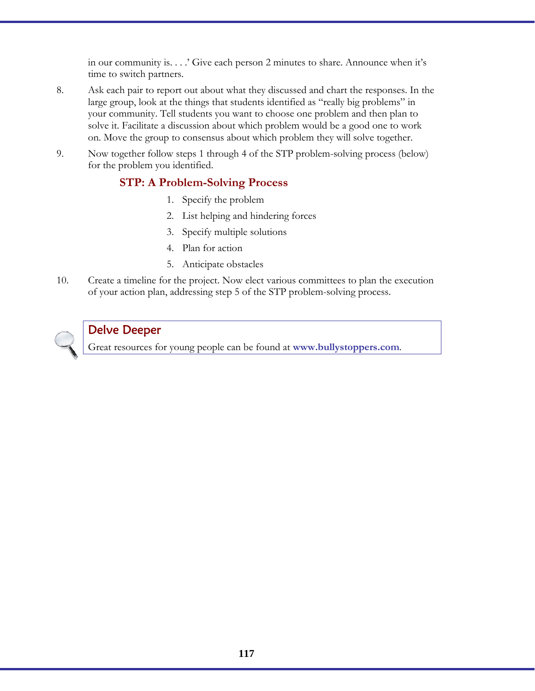in our community is. . . .' Give each person 2 minutes to share. Announce when it's time to switch partners.

- 8. Ask each pair to report out about what they discussed and chart the responses. In the large group, look at the things that students identified as "really big problems" in your community. Tell students you want to choose one problem and then plan to solve it. Facilitate a discussion about which problem would be a good one to work on. Move the group to consensus about which problem they will solve together.
- 9. Now together follow steps 1 through 4 of the STP problem-solving process (below) for the problem you identified.

## **STP: A Problem-Solving Process**

- 1. Specify the problem
- 2. List helping and hindering forces
- 3. Specify multiple solutions
- 4. Plan for action
- 5. Anticipate obstacles
- 10. Create a timeline for the project. Now elect various committees to plan the execution of your action plan, addressing step 5 of the STP problem-solving process.



## Delve Deeper

Great resources for young people can be found at **www.bullystoppers.com**.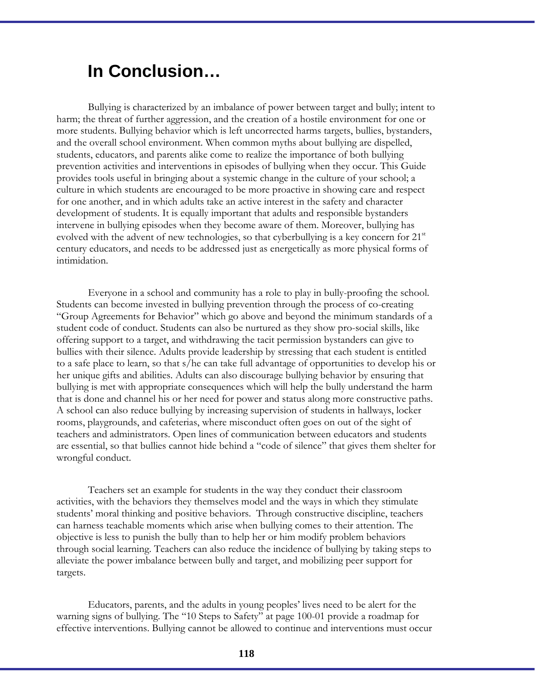# **In Conclusion…**

Bullying is characterized by an imbalance of power between target and bully; intent to harm; the threat of further aggression, and the creation of a hostile environment for one or more students. Bullying behavior which is left uncorrected harms targets, bullies, bystanders, and the overall school environment. When common myths about bullying are dispelled, students, educators, and parents alike come to realize the importance of both bullying prevention activities and interventions in episodes of bullying when they occur. This Guide provides tools useful in bringing about a systemic change in the culture of your school; a culture in which students are encouraged to be more proactive in showing care and respect for one another, and in which adults take an active interest in the safety and character development of students. It is equally important that adults and responsible bystanders intervene in bullying episodes when they become aware of them. Moreover, bullying has evolved with the advent of new technologies, so that cyberbullying is a key concern for  $21<sup>st</sup>$ century educators, and needs to be addressed just as energetically as more physical forms of intimidation.

 Everyone in a school and community has a role to play in bully-proofing the school. Students can become invested in bullying prevention through the process of co-creating "Group Agreements for Behavior" which go above and beyond the minimum standards of a student code of conduct. Students can also be nurtured as they show pro-social skills, like offering support to a target, and withdrawing the tacit permission bystanders can give to bullies with their silence. Adults provide leadership by stressing that each student is entitled to a safe place to learn, so that s/he can take full advantage of opportunities to develop his or her unique gifts and abilities. Adults can also discourage bullying behavior by ensuring that bullying is met with appropriate consequences which will help the bully understand the harm that is done and channel his or her need for power and status along more constructive paths. A school can also reduce bullying by increasing supervision of students in hallways, locker rooms, playgrounds, and cafeterias, where misconduct often goes on out of the sight of teachers and administrators. Open lines of communication between educators and students are essential, so that bullies cannot hide behind a "code of silence" that gives them shelter for wrongful conduct.

 Teachers set an example for students in the way they conduct their classroom activities, with the behaviors they themselves model and the ways in which they stimulate students' moral thinking and positive behaviors. Through constructive discipline, teachers can harness teachable moments which arise when bullying comes to their attention. The objective is less to punish the bully than to help her or him modify problem behaviors through social learning. Teachers can also reduce the incidence of bullying by taking steps to alleviate the power imbalance between bully and target, and mobilizing peer support for targets.

 Educators, parents, and the adults in young peoples' lives need to be alert for the warning signs of bullying. The "10 Steps to Safety" at page 100-01 provide a roadmap for effective interventions. Bullying cannot be allowed to continue and interventions must occur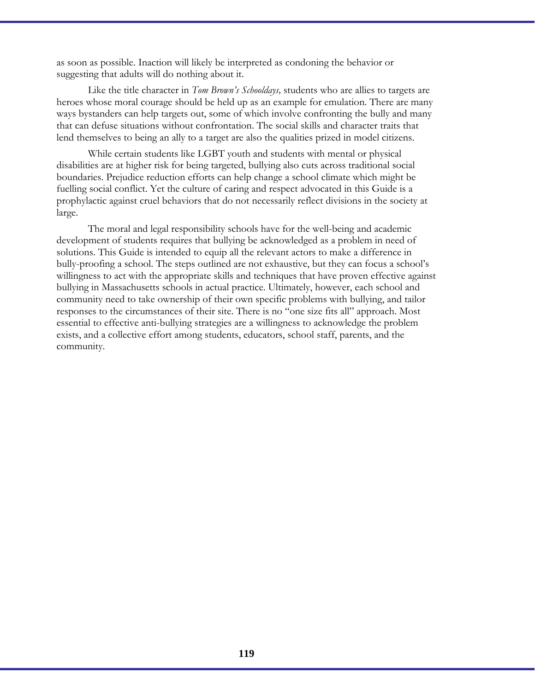as soon as possible. Inaction will likely be interpreted as condoning the behavior or suggesting that adults will do nothing about it.

 Like the title character in *Tom Brown's Schooldays,* students who are allies to targets are heroes whose moral courage should be held up as an example for emulation. There are many ways bystanders can help targets out, some of which involve confronting the bully and many that can defuse situations without confrontation. The social skills and character traits that lend themselves to being an ally to a target are also the qualities prized in model citizens.

 While certain students like LGBT youth and students with mental or physical disabilities are at higher risk for being targeted, bullying also cuts across traditional social boundaries. Prejudice reduction efforts can help change a school climate which might be fuelling social conflict. Yet the culture of caring and respect advocated in this Guide is a prophylactic against cruel behaviors that do not necessarily reflect divisions in the society at large.

 The moral and legal responsibility schools have for the well-being and academic development of students requires that bullying be acknowledged as a problem in need of solutions. This Guide is intended to equip all the relevant actors to make a difference in bully-proofing a school. The steps outlined are not exhaustive, but they can focus a school's willingness to act with the appropriate skills and techniques that have proven effective against bullying in Massachusetts schools in actual practice. Ultimately, however, each school and community need to take ownership of their own specific problems with bullying, and tailor responses to the circumstances of their site. There is no "one size fits all" approach. Most essential to effective anti-bullying strategies are a willingness to acknowledge the problem exists, and a collective effort among students, educators, school staff, parents, and the community.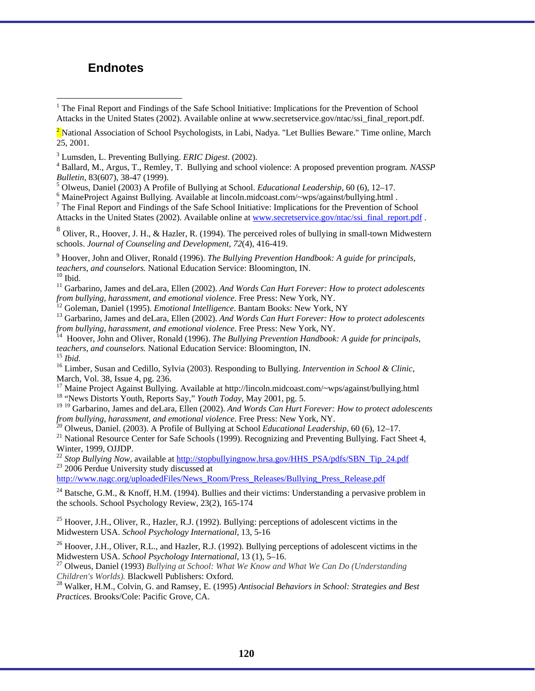### **Endnotes**

<sup>7</sup> The Final Report and Findings of the Safe School Initiative: Implications for the Prevention of School Attacks in the United States (2002). Available online at www.secretservice.gov/ntac/ssi\_final\_report.pdf .

<sup>8</sup> Oliver, R., Hoover, J. H., & Hazler, R. (1994). The perceived roles of bullying in small-town Midwestern schools. *Journal of Counseling and Development, 72*(4), 416-419.

9 Hoover, John and Oliver, Ronald (1996). *The Bullying Prevention Handbook: A guide for principals, teachers, and counselors.* National Education Service: Bloomington, IN. <sup>10</sup> Ibid.

 $\overline{a}$ 

<sup>11</sup> Garbarino, James and deLara, Ellen (2002). *And Words Can Hurt Forever: How to protect adolescents from bullying, harassment, and emotional violence.* Free Press: New York, NY.

 $\frac{12}{12}$  Goleman, Daniel (1995). *Emotional Intelligence*. Bantam Books: New York, NY<br><sup>13</sup> Garbarino, James and deLara, Ellen (2002). *And Words Can Hurt Forever: How to protect adolescents* 

*from bullying, harassment, and emotional violence.* Free Press: New York, NY.<br><sup>14</sup> Hoover, John and Oliver, Ronald (1996). *The Bullying Prevention Handbook: A guide for principals, teachers, and counselors.* National Edu

<sup>15</sup> *Ibid.* <sup>16</sup> Limber, Susan and Cedillo, Sylvia (2003). Responding to Bullying. *Intervention in School & Clinic*, March, Vol. 38, Issue 4, pg. 236.

<sup>17</sup> Maine Project Against Bullying. Available at http://lincoln.midcoast.com/~wps/against/bullying.html <sup>18</sup> "News Distorts Youth, Reports Say," *Youth Today*, May 2001, pg. 5.

<sup>19 19</sup> Garbarino, James and deLara, Ellen (2002). *And Words Can Hurt Forever: How to protect adolescents from bullying, harassment, and emotional violence*. Free Press: New York, NY.

<sup>20</sup> Olweus, Daniel. (2003). A Profile of Bullying at School *Educational Leadership*, 60 (6), 12–17.<br><sup>21</sup> National Resource Center for Safe Schools (1999). Recognizing and Preventing Bullying. Fact Sheet 4,

Winter, 1999, OJJDP.

<sup>22</sup> *Stop Bullying Now, available at http://stopbullyingnow.hrsa.gov/HHS\_PSA/pdfs/SBN\_Tip\_24.pdf* <sup>23</sup> 2006 Perdue University study discussed at

http://www.nagc.org/uploadedFiles/News\_Room/Press\_Releases/Bullying\_Press\_Release.pdf

<sup>24</sup> Batsche, G.M., & Knoff, H.M. (1994). Bullies and their victims: Understanding a pervasive problem in the schools. School Psychology Review, 23(2), 165-174

<sup>25</sup> Hoover, J.H., Oliver, R., Hazler, R.J. (1992). Bullying: perceptions of adolescent victims in the Midwestern USA. *School Psychology International*, 13, 5-16

<sup>26</sup> Hoover, J.H., Oliver, R.L., and Hazler, R.J. (1992). Bullying perceptions of adolescent victims in the Midwestern USA. *School Psychology International*, 13 (1), 5–16.

<sup>27</sup> Olweus, Daniel (1993) *Bullying at School: What We Know and What We Can Do (Understanding Children's Worlds). Blackwell Publishers: Oxford.* 

<sup>28</sup> Walker, H.M., Colvin, G. and Ramsey, E. (1995) *Antisocial Behaviors in School: Strategies and Best Practices.* Brooks/Cole: Pacific Grove, CA.

<sup>&</sup>lt;sup>1</sup> The Final Report and Findings of the Safe School Initiative: Implications for the Prevention of School Attacks in the United States (2002). Available online at www.secretservice.gov/ntac/ssi\_final\_report.pdf.

<sup>&</sup>lt;sup>2</sup> National Association of School Psychologists, in Labi, Nadya. "Let Bullies Beware." Time online, March 25, 2001.

<sup>&</sup>lt;sup>3</sup> Lumsden, L. Preventing Bullying. *ERIC Digest*. (2002).

Ballard, M., Argus, T., Remley, T. Bullying and school violence: A proposed prevention program*. NASSP Bulletin*, 83(607), 38-47 (1999).

Olweus, Daniel (2003) A Profile of Bullying at School. *Educational Leadership,* 60 (6), 12–17. <sup>6</sup>

MaineProject Against Bullying. Available at lincoln.midcoast.com/~wps/against/bullying.html .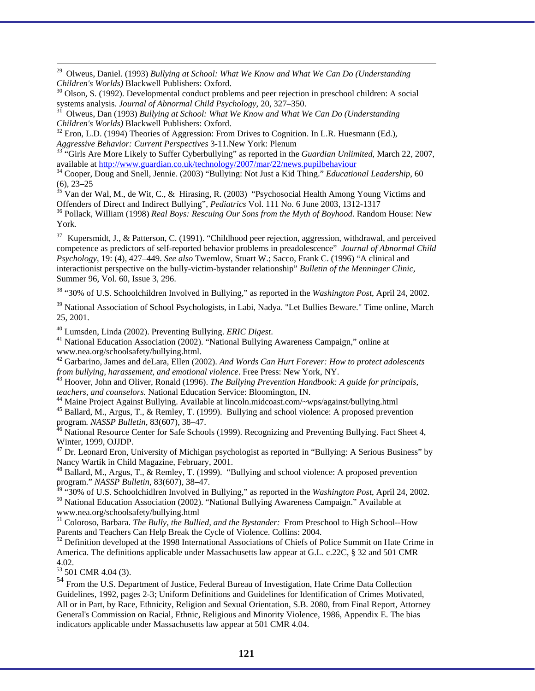<sup>29</sup> Olweus, Daniel. (1993) *Bullying at School: What We Know and What We Can Do (Understanding Children's Worlds)* Blackwell Publishers: Oxford.

<sup>30</sup> Olson, S. (1992). Developmental conduct problems and peer rejection in preschool children: A social systems analysis. *Journal of Abnormal Child Psychology*, 20, 327–350.

systems analysis. *Journal of Abnormal Child Psychology*, 20, 327–350. 31 Olweus, Dan (1993) *Bullying at School: What We Know and What We Can Do (Understanding* 

*Children's Worlds)* Blackwell Publishers: Oxford.<br><sup>32</sup> Eron, L.D. (1994) Theories of Aggression: From Drives to Cognition. In L.R. Huesmann (Ed.), *Aggressive Behavior: Current Perspectives* 3-11.New York: Plenum

<sup>33 "</sup>Girls Are More Likely to Suffer Cyberbullying" as reported in the *Guardian Unlimited*, March 22, 2007, available at http://www.guardian.co.uk/technology/2007/mar/22/news.pupilbehaviour

<sup>34</sup> Cooper, Doug and Snell, Jennie. (2003) "Bullying: Not Just a Kid Thing." *Educational Leadership*, 60 (6), 23–25

 $35$  Van der Wal, M., de Wit, C., & Hirasing, R. (2003) "Psychosocial Health Among Young Victims and Offenders of Direct and Indirect Bullying", *Pediatrics* Vol. 111 No. 6 June 2003, 1312-1317

<sup>36</sup> Pollack, William (1998) *Real Boys: Rescuing Our Sons from the Myth of Boyhood*. Random House: New York.

<sup>37</sup> Kupersmidt, J., & Patterson, C. (1991). "Childhood peer rejection, aggression, withdrawal, and perceived competence as predictors of self-reported behavior problems in preadolescence" *Journal of Abnormal Child Psychology*, 19: (4), 427–449. *See also* Twemlow, Stuart W.; Sacco, Frank C. (1996) "A clinical and interactionist perspective on the bully-victim-bystander relationship" *Bulletin of the Menninger Clinic*, Summer 96, Vol. 60, Issue 3, 296.

38 "30% of U.S. Schoolchildren Involved in Bullying," as reported in the *Washington Post*, April 24, 2002.

<sup>39</sup> National Association of School Psychologists, in Labi, Nadya. "Let Bullies Beware." Time online, March 25, 2001.

<sup>40</sup> Lumsden, Linda (2002). Preventing Bullying. *ERIC Digest*.<br><sup>41</sup> National Education Association (2002). "National Bullying Awareness Campaign," online at www.nea.org/schoolsafety/bullying.html.

42 Garbarino, James and deLara, Ellen (2002). *And Words Can Hurt Forever: How to protect adolescents* 

*from bullying, harassement, and emotional violence.* Free Press: New York, NY.<br><sup>43</sup> Hoover, John and Oliver, Ronald (1996). *The Bullying Prevention Handbook: A guide for principals, teachers, and counselors.* National Ed

<sup>44</sup> Maine Project Against Bullying. Available at lincoln.midcoast.com/~wps/against/bullying.html <sup>45</sup> Ballard, M., Argus, T., & Remley, T. (1999). Bullying and school violence: A proposed prevention program. *NASSP Bulletin*, 83(607), 38–47.<br><sup>46</sup> National Resource Center for Safe Schools (1999). Recognizing and Preventing Bullying. Fact Sheet 4,

Winter, 1999, OJJDP.

 $47$  Dr. Leonard Eron, University of Michigan psychologist as reported in "Bullying: A Serious Business" by Nancy Wartik in Child Magazine, February, 2001.

<sup>48</sup> Ballard, M., Argus, T.,  $\&$  Remley, T. (1999). "Bullying and school violence: A proposed prevention program." *NASSP Bulletin*, 83(607), 38–47.<br><sup>49</sup> "30% of U.S. Schoolchidlren Involved in Bullying," as reported in the *Washington Post*, April 24, 2002.

<sup>50</sup> National Education Association (2002). "National Bullying Awareness Campaign." Available at www.nea.org/schoolsafety/bullying.html

<sup>51</sup> Coloroso, Barbara. *The Bully, the Bullied, and the Bystander:* From Preschool to High School--How Parents and Teachers Can Help Break the Cycle of Violence. Collins: 2004.

 $52$  Definition developed at the 1998 International Associations of Chiefs of Police Summit on Hate Crime in America. The definitions applicable under Massachusetts law appear at G.L. c.22C, § 32 and 501 CMR 4.02.

<sup>53</sup> 501 CMR 4.04 (3).

<sup>54</sup> From the U.S. Department of Justice, Federal Bureau of Investigation, Hate Crime Data Collection Guidelines, 1992, pages 2-3; Uniform Definitions and Guidelines for Identification of Crimes Motivated, All or in Part, by Race, Ethnicity, Religion and Sexual Orientation, S.B. 2080, from Final Report, Attorney General's Commission on Racial, Ethnic, Religious and Minority Violence, 1986, Appendix E. The bias indicators applicable under Massachusetts law appear at 501 CMR 4.04.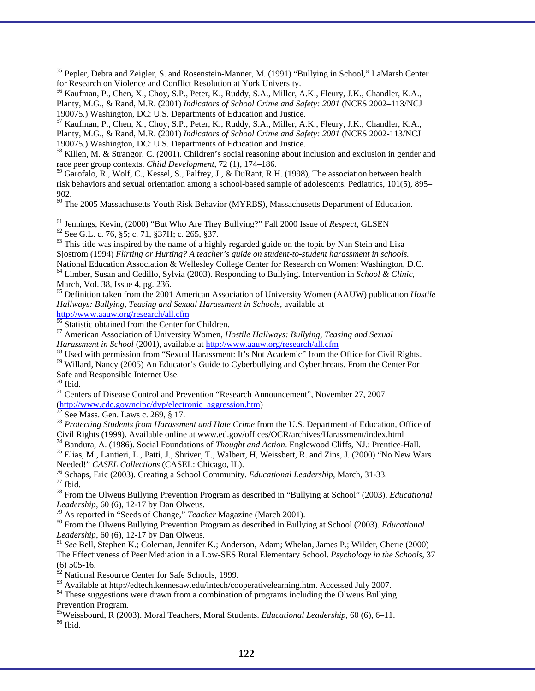<sup>55</sup> Pepler, Debra and Zeigler, S. and Rosenstein-Manner, M. (1991) "Bullying in School," LaMarsh Center for Research on Violence and Conflict Resolution at York University.

<sup>56</sup> Kaufman, P., Chen, X., Choy, S.P., Peter, K., Ruddy, S.A., Miller, A.K., Fleury, J.K., Chandler, K.A., Planty, M.G., & Rand, M.R. (2001) *Indicators of School Crime and Safety: 2001* (NCES 2002–113/NCJ 190075.) Washington, DC: U.S. Departments of Education and Justice.

 $57$  Kaufman, P., Chen, X., Choy, S.P., Peter, K., Ruddy, S.A., Miller, A.K., Fleury, J.K., Chandler, K.A., Planty, M.G., & Rand, M.R. (2001) *Indicators of School Crime and Safety: 2001* (NCES 2002-113/NCJ 190075.) Washington, DC: U.S. Departments of Education and Justice.

58 Killen, M. & Strangor, C. (2001). Children's social reasoning about inclusion and exclusion in gender and race peer group contexts. *Child Development*, 72 (1), 174–186.

 $^{59}$  Garofalo, R., Wolf, C., Kessel, S., Palfrey, J., & DuRant, R.H. (1998), The association between health risk behaviors and sexual orientation among a school-based sample of adolescents. Pediatrics, 101(5), 895– 902.

<sup>60</sup> The 2005 Massachusetts Youth Risk Behavior (MYRBS), Massachusetts Department of Education.

<sup>61</sup> Jennings, Kevin, (2000) "But Who Are They Bullying?" Fall 2000 Issue of *Respect*, GLSEN <sup>62</sup> See G.L. c. 76, §5; c. 71, §37H; c. 265, §37.

 $63$  This title was inspired by the name of a highly regarded guide on the topic by Nan Stein and Lisa Sjostrom (1994) *Flirting or Hurting? A teacher's guide on student-to-student harassment in schools.* <sup>64</sup> Limber, Susan and Cedillo, Sylvia (2003). Responding to Bullying. Intervention in *School & Clinic*, March, Vol. 38, Issue 4, pg. 236.

65 Definition taken from the 2001 American Association of University Women (AAUW) publication *Hostile Hallways: Bullying, Teasing and Sexual Harassment in Schools,* available at

http://www.aauw.org/research/all.cfm<br><sup>66</sup> Statistic obtained from the Center for Children.

67 American Association of University Women, *Hostile Hallways: Bullying, Teasing and Sexual* 

*Harassment in School* (2001), available at http://www.aauw.org/research/all.cfm<br><sup>68</sup> Used with permission from "Sexual Harassment: It's Not Academic" from the Office for Civil Rights.<br><sup>69</sup> Willard, Nancy (2005) An Educato Safe and Responsible Internet Use.

 $70$  Ibid.

<sup>71</sup> Centers of Disease Control and Prevention "Research Announcement", November 27, 2007  $(\frac{http://www.cdc.gov/ncipc/dvp/electronic_aggression.htm}{72}$ <br>
See Mass. Gen. Laws c. 269, § 17.

<sup>73</sup> Protecting Students from Harassment and Hate Crime from the U.S. Department of Education, Office of Civil Rights (1999). Available online at www.ed.gov/offices/OCR/archives/Harassment/index.html

<sup>74</sup> Bandura, A. (1986). Social Foundations of *Thought and Action*. Englewood Cliffs, NJ.: Prentice-Hall.<br><sup>75</sup> Elias, M., Lantieri, L., Patti, J., Shriver, T., Walbert, H. Weissbert, R. and Zins, J. (2000) "No New Wars

Needed!" *CASEL Collections* (CASEL: Chicago, IL).<br><sup>76</sup> Schaps, Eric (2003). Creating a School Community. *Educational Leadership*, March, 31-33.<br><sup>77</sup> Ibid.

78 From the Olweus Bullying Prevention Program as described in "Bullying at School" (2003). *Educational* 

<sup>79</sup> As reported in "Seeds of Change," *Teacher* Magazine (March 2001).<br><sup>80</sup> From the Olweus Bullying Prevention Program as described in Bullying at School (2003). *Educational Leadership*, 60 (6), 12-17 by Dan Olweus.

<sup>81</sup> See Bell, Stephen K.; Coleman, Jennifer K.; Anderson, Adam; Whelan, James P.; Wilder, Cherie (2000) The Effectiveness of Peer Mediation in a Low-SES Rural Elementary School. *Psychology in the Schools,* 37 (6) 505-16.

 $\frac{82}{82}$  National Resource Center for Safe Schools, 1999.<br> $\frac{83}{83}$  Available at http://edtech.kennesaw.edu/intech/cooperativelearning.htm. Accessed July 2007.

 $84$  These suggestions were drawn from a combination of programs including the Olweus Bullying Prevention Program.

<sup>85</sup>Weissbourd, R (2003). Moral Teachers, Moral Students. *Educational Leadership*, 60 (6), 6–11. <sup>86</sup> Ibid.